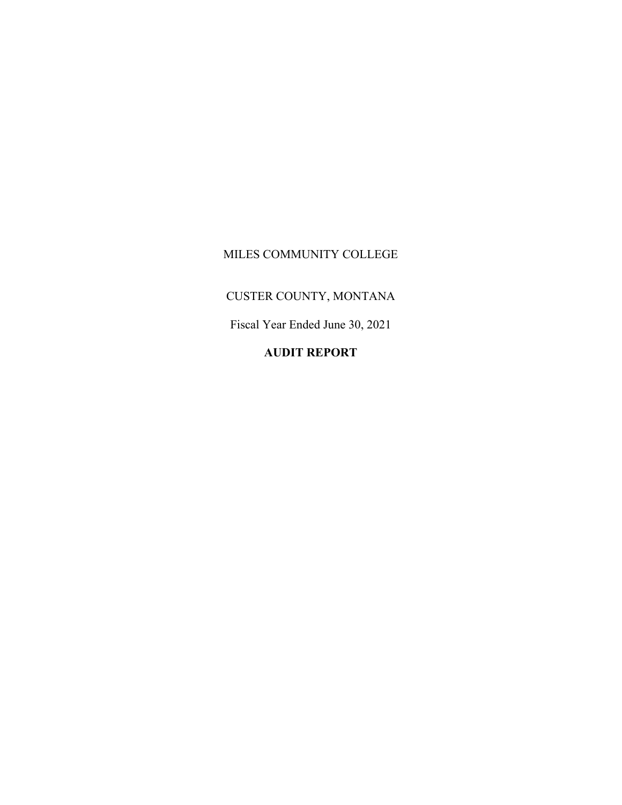## CUSTER COUNTY, MONTANA

Fiscal Year Ended June 30, 2021

## **AUDIT REPORT**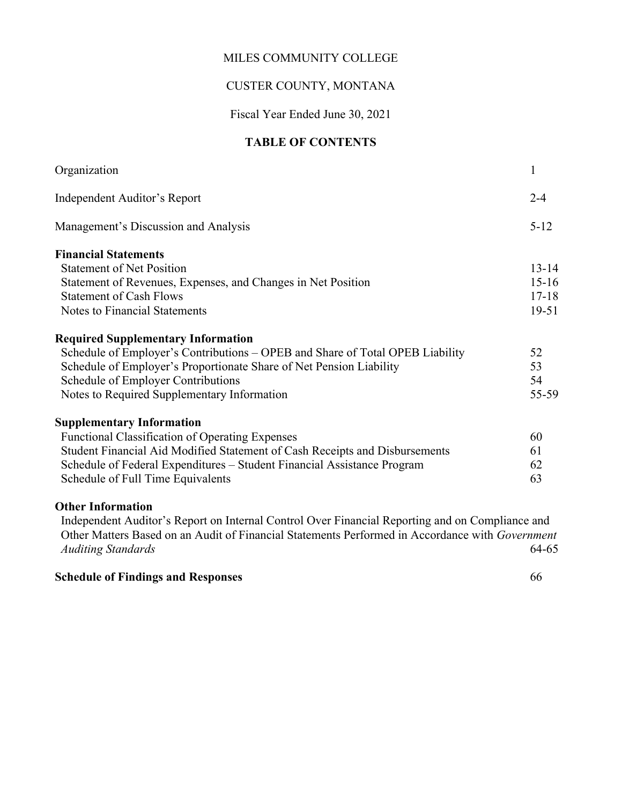## CUSTER COUNTY, MONTANA

Fiscal Year Ended June 30, 2021

## **TABLE OF CONTENTS**

| Organization                                                                                    | 1         |
|-------------------------------------------------------------------------------------------------|-----------|
| Independent Auditor's Report                                                                    | $2 - 4$   |
| Management's Discussion and Analysis                                                            | $5 - 12$  |
| <b>Financial Statements</b>                                                                     |           |
| <b>Statement of Net Position</b>                                                                | $13 - 14$ |
| Statement of Revenues, Expenses, and Changes in Net Position                                    | $15-16$   |
| <b>Statement of Cash Flows</b>                                                                  | $17 - 18$ |
| Notes to Financial Statements                                                                   | $19 - 51$ |
| <b>Required Supplementary Information</b>                                                       |           |
| Schedule of Employer's Contributions – OPEB and Share of Total OPEB Liability                   | 52        |
| Schedule of Employer's Proportionate Share of Net Pension Liability                             | 53        |
| Schedule of Employer Contributions                                                              | 54        |
| Notes to Required Supplementary Information                                                     | 55-59     |
| <b>Supplementary Information</b>                                                                |           |
| <b>Functional Classification of Operating Expenses</b>                                          | 60        |
| Student Financial Aid Modified Statement of Cash Receipts and Disbursements                     | 61        |
| Schedule of Federal Expenditures - Student Financial Assistance Program                         | 62        |
| Schedule of Full Time Equivalents                                                               | 63        |
| <b>Other Information</b>                                                                        |           |
| Independent Auditor's Report on Internal Control Over Financial Reporting and on Compliance and |           |

 Other Matters Based on an Audit of Financial Statements Performed in Accordance with *Government Auditing Standards* 64-65

## **Schedule of Findings and Responses** 66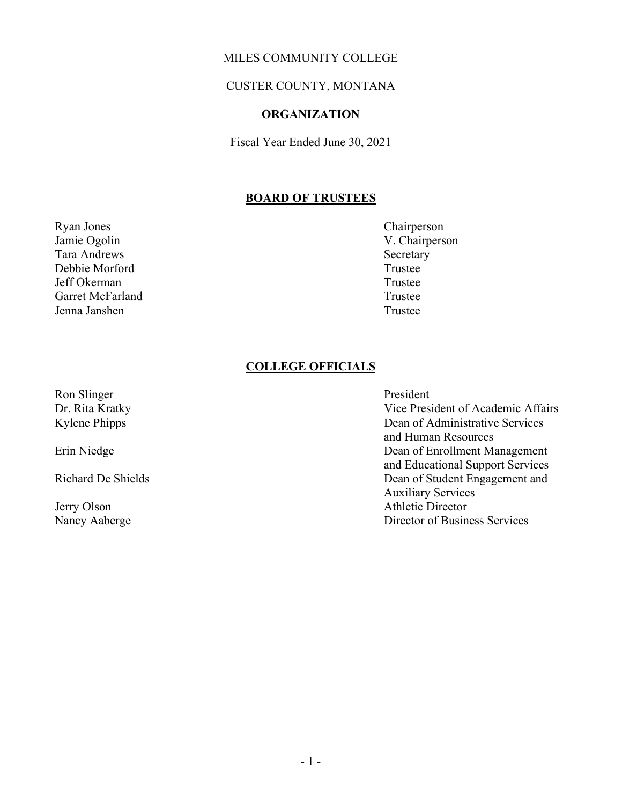#### CUSTER COUNTY, MONTANA

#### **ORGANIZATION**

Fiscal Year Ended June 30, 2021

#### **BOARD OF TRUSTEES**

Ryan Jones Chairperson Jamie Ogolin V. Chairperson Tara Andrews<br>
Debbie Morford<br>
Trustee Debbie Morford Jeff Okerman Trustee Garret McFarland Trustee Jenna Janshen Trustee

#### **COLLEGE OFFICIALS**

Ron Slinger<br>
Dr. Rita Kratky<br>
Vice President<br>
Vice President Vice President of Academic Affairs Kylene Phipps Dean of Administrative Services Erin Niedge<br>
Erin Niedge<br>
Erin Niedge<br>
Erin Niedge<br>
Erin Niedge<br>
Erin Niedge<br>
Erin Niedge<br>
Erin Niedge<br>
Erin Niedge<br>
Erin Niedge<br>
Erin Niedge<br>
Erin Niedge<br>
Erin III erin III erin Niederland Niederland Niederland Niederland Dean of Enrollment Management and Educational Support Services Richard De Shields Dean of Student Engagement and Auxiliary Services Jerry Olson Athletic Director Nancy Aaberge Director of Business Services

- 1 -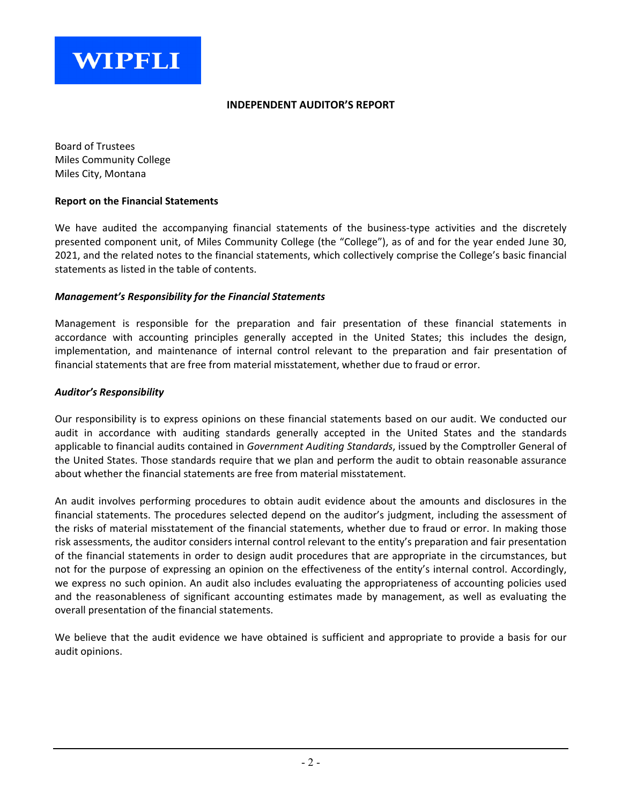

#### **INDEPENDENT AUDITOR'S REPORT**

Board of Trustees Miles Community College Miles City, Montana

#### **Report on the Financial Statements**

We have audited the accompanying financial statements of the business-type activities and the discretely presented component unit, of Miles Community College (the "College"), as of and for the year ended June 30, 2021, and the related notes to the financial statements, which collectively comprise the College's basic financial statements as listed in the table of contents.

#### *Management's Responsibility for the Financial Statements*

Management is responsible for the preparation and fair presentation of these financial statements in accordance with accounting principles generally accepted in the United States; this includes the design, implementation, and maintenance of internal control relevant to the preparation and fair presentation of financial statements that are free from material misstatement, whether due to fraud or error.

#### *Auditor's Responsibility*

Our responsibility is to express opinions on these financial statements based on our audit. We conducted our audit in accordance with auditing standards generally accepted in the United States and the standards applicable to financial audits contained in *Government Auditing Standards*, issued by the Comptroller General of the United States. Those standards require that we plan and perform the audit to obtain reasonable assurance about whether the financial statements are free from material misstatement.

An audit involves performing procedures to obtain audit evidence about the amounts and disclosures in the financial statements. The procedures selected depend on the auditor's judgment, including the assessment of the risks of material misstatement of the financial statements, whether due to fraud or error. In making those risk assessments, the auditor considers internal control relevant to the entity's preparation and fair presentation of the financial statements in order to design audit procedures that are appropriate in the circumstances, but not for the purpose of expressing an opinion on the effectiveness of the entity's internal control. Accordingly, we express no such opinion. An audit also includes evaluating the appropriateness of accounting policies used and the reasonableness of significant accounting estimates made by management, as well as evaluating the overall presentation of the financial statements.

We believe that the audit evidence we have obtained is sufficient and appropriate to provide a basis for our audit opinions.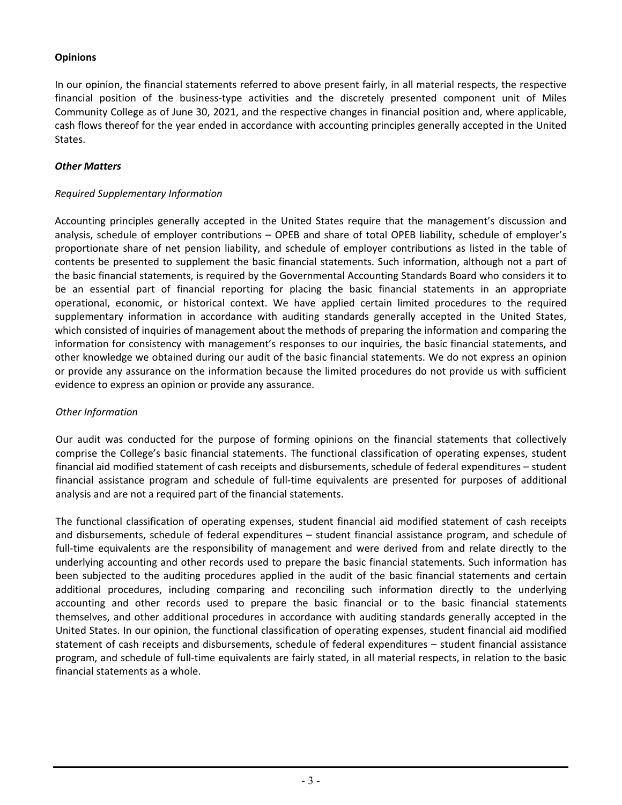#### **Opinions**

In our opinion, the financial statements referred to above present fairly, in all material respects, the respective financial position of the business-type activities and the discretely presented component unit of Miles Community College as of June 30, 2021, and the respective changes in financial position and, where applicable, cash flows thereof for the year ended in accordance with accounting principles generally accepted in the United States.

#### *Other Matters*

#### *Required Supplementary Information*

Accounting principles generally accepted in the United States require that the management's discussion and analysis, schedule of employer contributions – OPEB and share of total OPEB liability, schedule of employer's proportionate share of net pension liability, and schedule of employer contributions as listed in the table of contents be presented to supplement the basic financial statements. Such information, although not a part of the basic financial statements, is required by the Governmental Accounting Standards Board who considers it to be an essential part of financial reporting for placing the basic financial statements in an appropriate operational, economic, or historical context. We have applied certain limited procedures to the required supplementary information in accordance with auditing standards generally accepted in the United States, which consisted of inquiries of management about the methods of preparing the information and comparing the information for consistency with management's responses to our inquiries, the basic financial statements, and other knowledge we obtained during our audit of the basic financial statements. We do not express an opinion or provide any assurance on the information because the limited procedures do not provide us with sufficient evidence to express an opinion or provide any assurance.

#### *Other Information*

Our audit was conducted for the purpose of forming opinions on the financial statements that collectively comprise the College's basic financial statements. The functional classification of operating expenses, student financial aid modified statement of cash receipts and disbursements, schedule of federal expenditures – student financial assistance program and schedule of full‐time equivalents are presented for purposes of additional analysis and are not a required part of the financial statements.

The functional classification of operating expenses, student financial aid modified statement of cash receipts and disbursements, schedule of federal expenditures – student financial assistance program, and schedule of full-time equivalents are the responsibility of management and were derived from and relate directly to the underlying accounting and other records used to prepare the basic financial statements. Such information has been subjected to the auditing procedures applied in the audit of the basic financial statements and certain additional procedures, including comparing and reconciling such information directly to the underlying accounting and other records used to prepare the basic financial or to the basic financial statements themselves, and other additional procedures in accordance with auditing standards generally accepted in the United States. In our opinion, the functional classification of operating expenses, student financial aid modified statement of cash receipts and disbursements, schedule of federal expenditures – student financial assistance program, and schedule of full‐time equivalents are fairly stated, in all material respects, in relation to the basic financial statements as a whole.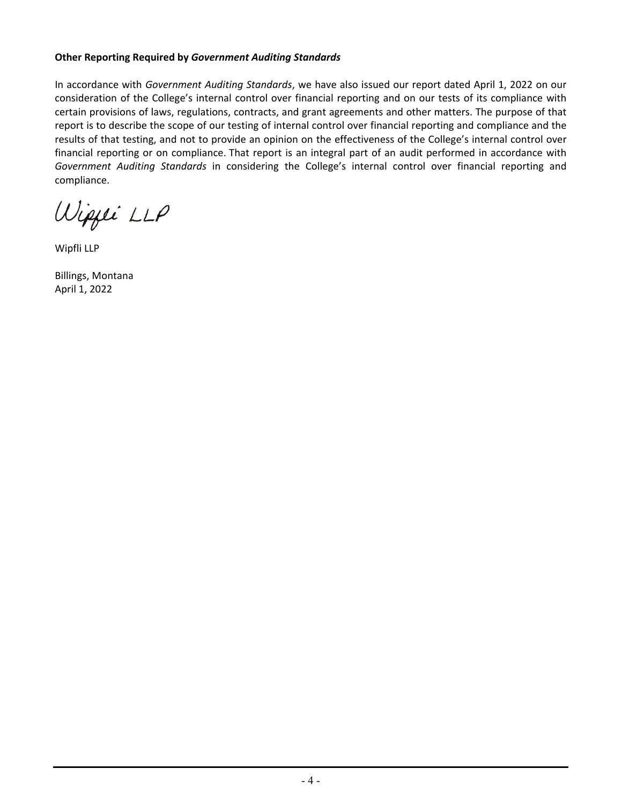#### **Other Reporting Required by** *Government Auditing Standards*

In accordance with *Government Auditing Standards*, we have also issued our report dated April 1, 2022 on our consideration of the College's internal control over financial reporting and on our tests of its compliance with certain provisions of laws, regulations, contracts, and grant agreements and other matters. The purpose of that report is to describe the scope of our testing of internal control over financial reporting and compliance and the results of that testing, and not to provide an opinion on the effectiveness of the College's internal control over financial reporting or on compliance. That report is an integral part of an audit performed in accordance with *Government Auditing Standards* in considering the College's internal control over financial reporting and compliance.

Wippei LLP

Wipfli LLP

Billings, Montana April 1, 2022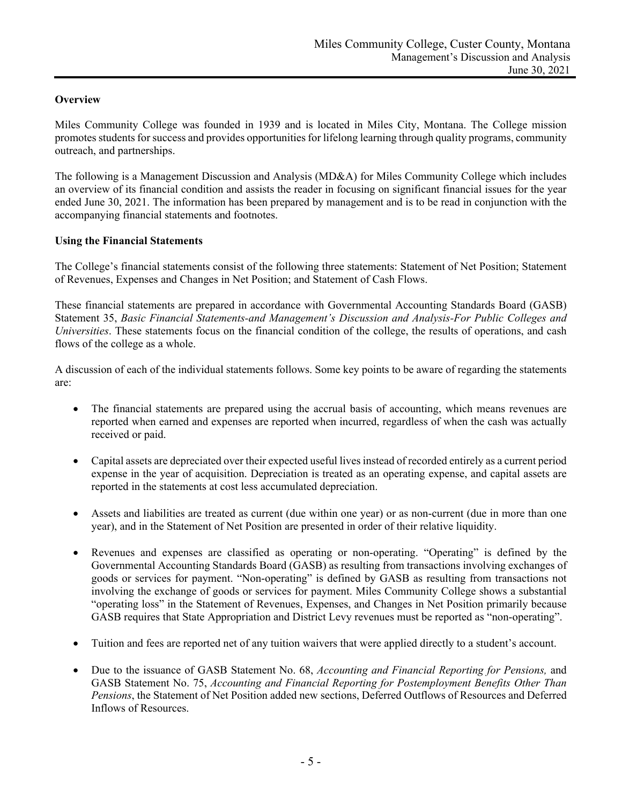#### **Overview**

Miles Community College was founded in 1939 and is located in Miles City, Montana. The College mission promotes students for success and provides opportunities for lifelong learning through quality programs, community outreach, and partnerships.

The following is a Management Discussion and Analysis (MD&A) for Miles Community College which includes an overview of its financial condition and assists the reader in focusing on significant financial issues for the year ended June 30, 2021. The information has been prepared by management and is to be read in conjunction with the accompanying financial statements and footnotes.

#### **Using the Financial Statements**

The College's financial statements consist of the following three statements: Statement of Net Position; Statement of Revenues, Expenses and Changes in Net Position; and Statement of Cash Flows.

These financial statements are prepared in accordance with Governmental Accounting Standards Board (GASB) Statement 35, *Basic Financial Statements-and Management's Discussion and Analysis-For Public Colleges and Universities*. These statements focus on the financial condition of the college, the results of operations, and cash flows of the college as a whole.

A discussion of each of the individual statements follows. Some key points to be aware of regarding the statements are:

- The financial statements are prepared using the accrual basis of accounting, which means revenues are reported when earned and expenses are reported when incurred, regardless of when the cash was actually received or paid.
- Capital assets are depreciated over their expected useful lives instead of recorded entirely as a current period expense in the year of acquisition. Depreciation is treated as an operating expense, and capital assets are reported in the statements at cost less accumulated depreciation.
- Assets and liabilities are treated as current (due within one year) or as non-current (due in more than one year), and in the Statement of Net Position are presented in order of their relative liquidity.
- Revenues and expenses are classified as operating or non-operating. "Operating" is defined by the Governmental Accounting Standards Board (GASB) as resulting from transactions involving exchanges of goods or services for payment. "Non-operating" is defined by GASB as resulting from transactions not involving the exchange of goods or services for payment. Miles Community College shows a substantial "operating loss" in the Statement of Revenues, Expenses, and Changes in Net Position primarily because GASB requires that State Appropriation and District Levy revenues must be reported as "non-operating".
- Tuition and fees are reported net of any tuition waivers that were applied directly to a student's account.
- Due to the issuance of GASB Statement No. 68, *Accounting and Financial Reporting for Pensions,* and GASB Statement No. 75, *Accounting and Financial Reporting for Postemployment Benefits Other Than Pensions*, the Statement of Net Position added new sections, Deferred Outflows of Resources and Deferred Inflows of Resources.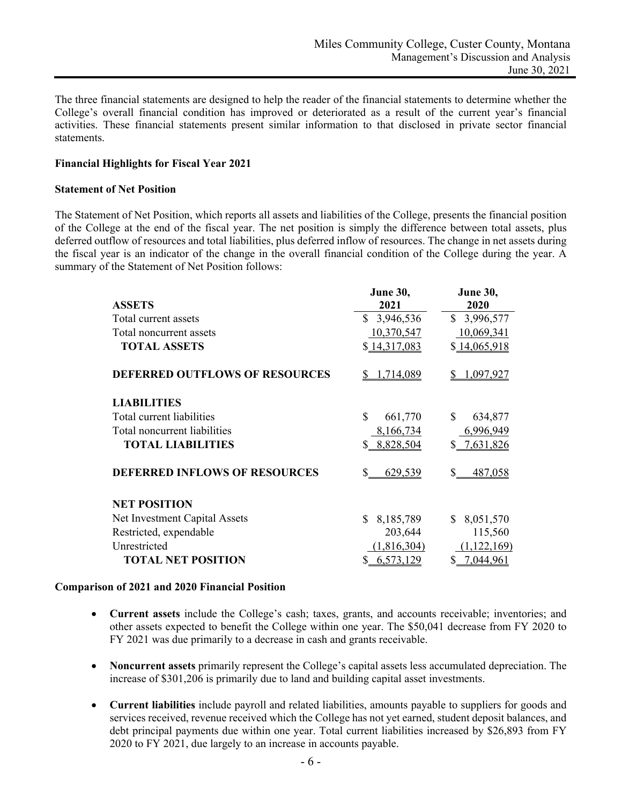The three financial statements are designed to help the reader of the financial statements to determine whether the College's overall financial condition has improved or deteriorated as a result of the current year's financial activities. These financial statements present similar information to that disclosed in private sector financial statements.

#### **Financial Highlights for Fiscal Year 2021**

#### **Statement of Net Position**

The Statement of Net Position, which reports all assets and liabilities of the College, presents the financial position of the College at the end of the fiscal year. The net position is simply the difference between total assets, plus deferred outflow of resources and total liabilities, plus deferred inflow of resources. The change in net assets during the fiscal year is an indicator of the change in the overall financial condition of the College during the year. A summary of the Statement of Net Position follows:

| <b>ASSETS</b>                         | <b>June 30,</b><br>2021 | <b>June 30,</b><br>2020 |
|---------------------------------------|-------------------------|-------------------------|
| Total current assets                  | 3,946,536<br>S.         | S.<br>3,996,577         |
|                                       |                         |                         |
| Total noncurrent assets               | 10,370,547              | 10,069,341              |
| <b>TOTAL ASSETS</b>                   | \$14,317,083            | \$14,065,918            |
| <b>DEFERRED OUTFLOWS OF RESOURCES</b> | 1,714,089               | 1,097,927               |
| <b>LIABILITIES</b>                    |                         |                         |
| Total current liabilities             | \$<br>661,770           | \$<br>634,877           |
| Total noncurrent liabilities          | 8,166,734               | 6,996,949               |
| <b>TOTAL LIABILITIES</b>              | \$ 8,828,504            | \$7,631,826             |
| <b>DEFERRED INFLOWS OF RESOURCES</b>  | 629,539                 | 487,058                 |
| <b>NET POSITION</b>                   |                         |                         |
| Net Investment Capital Assets         | 8,185,789<br>S.         | 8,051,570<br>\$.        |
| Restricted, expendable                | 203,644                 | 115,560                 |
| Unrestricted                          | (1,816,304)             | (1,122,169)             |
| <b>TOTAL NET POSITION</b>             | 6,573,129<br>S.         | 7,044,961<br>S          |

#### **Comparison of 2021 and 2020 Financial Position**

- **Current assets** include the College's cash; taxes, grants, and accounts receivable; inventories; and other assets expected to benefit the College within one year. The \$50,041 decrease from FY 2020 to FY 2021 was due primarily to a decrease in cash and grants receivable.
- **Noncurrent assets** primarily represent the College's capital assets less accumulated depreciation. The increase of \$301,206 is primarily due to land and building capital asset investments.
- **Current liabilities** include payroll and related liabilities, amounts payable to suppliers for goods and services received, revenue received which the College has not yet earned, student deposit balances, and debt principal payments due within one year. Total current liabilities increased by \$26,893 from FY 2020 to FY 2021, due largely to an increase in accounts payable.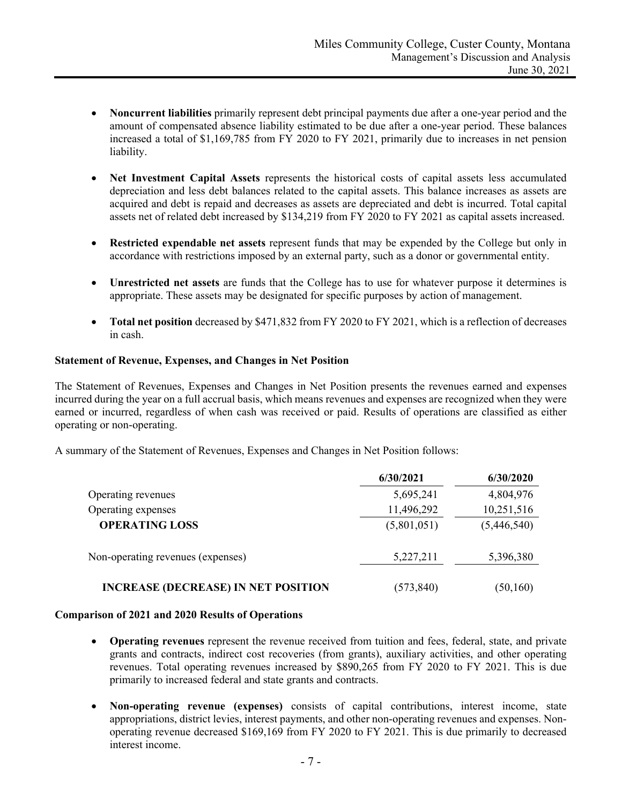- **Noncurrent liabilities** primarily represent debt principal payments due after a one-year period and the amount of compensated absence liability estimated to be due after a one-year period. These balances increased a total of \$1,169,785 from FY 2020 to FY 2021, primarily due to increases in net pension liability.
- **Net Investment Capital Assets** represents the historical costs of capital assets less accumulated depreciation and less debt balances related to the capital assets. This balance increases as assets are acquired and debt is repaid and decreases as assets are depreciated and debt is incurred. Total capital assets net of related debt increased by \$134,219 from FY 2020 to FY 2021 as capital assets increased.
- **Restricted expendable net assets** represent funds that may be expended by the College but only in accordance with restrictions imposed by an external party, such as a donor or governmental entity.
- **Unrestricted net assets** are funds that the College has to use for whatever purpose it determines is appropriate. These assets may be designated for specific purposes by action of management.
- Total net position decreased by \$471,832 from FY 2020 to FY 2021, which is a reflection of decreases in cash.

#### **Statement of Revenue, Expenses, and Changes in Net Position**

The Statement of Revenues, Expenses and Changes in Net Position presents the revenues earned and expenses incurred during the year on a full accrual basis, which means revenues and expenses are recognized when they were earned or incurred, regardless of when cash was received or paid. Results of operations are classified as either operating or non-operating.

A summary of the Statement of Revenues, Expenses and Changes in Net Position follows:

|                                            | 6/30/2021   | 6/30/2020   |
|--------------------------------------------|-------------|-------------|
| Operating revenues                         | 5,695,241   | 4,804,976   |
| Operating expenses                         | 11,496,292  | 10,251,516  |
| <b>OPERATING LOSS</b>                      | (5,801,051) | (5,446,540) |
| Non-operating revenues (expenses)          | 5,227,211   | 5,396,380   |
| <b>INCREASE (DECREASE) IN NET POSITION</b> | (573, 840)  | (50, 160)   |

#### **Comparison of 2021 and 2020 Results of Operations**

- **Operating revenues** represent the revenue received from tuition and fees, federal, state, and private grants and contracts, indirect cost recoveries (from grants), auxiliary activities, and other operating revenues. Total operating revenues increased by \$890,265 from FY 2020 to FY 2021. This is due primarily to increased federal and state grants and contracts.
- **Non-operating revenue (expenses)** consists of capital contributions, interest income, state appropriations, district levies, interest payments, and other non-operating revenues and expenses. Nonoperating revenue decreased \$169,169 from FY 2020 to FY 2021. This is due primarily to decreased interest income.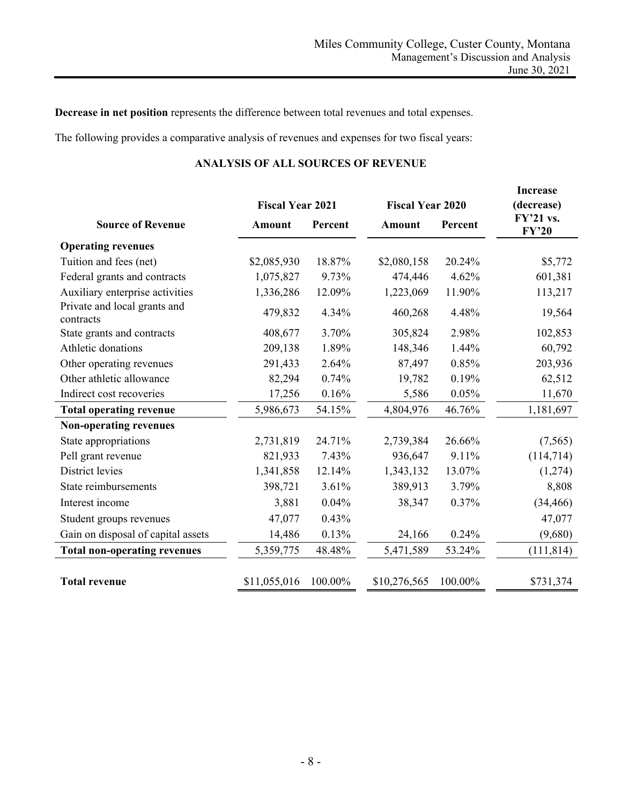**Decrease in net position** represents the difference between total revenues and total expenses.

The following provides a comparative analysis of revenues and expenses for two fiscal years:

|                                           | <b>Fiscal Year 2021</b> |         | <b>Fiscal Year 2020</b> |         | <b>Increase</b><br>(decrease) |
|-------------------------------------------|-------------------------|---------|-------------------------|---------|-------------------------------|
| <b>Source of Revenue</b>                  | <b>Amount</b>           | Percent | Amount                  | Percent | FY'21 vs.<br>FY'20            |
| <b>Operating revenues</b>                 |                         |         |                         |         |                               |
| Tuition and fees (net)                    | \$2,085,930             | 18.87%  | \$2,080,158             | 20.24%  | \$5,772                       |
| Federal grants and contracts              | 1,075,827               | 9.73%   | 474,446                 | 4.62%   | 601,381                       |
| Auxiliary enterprise activities           | 1,336,286               | 12.09%  | 1,223,069               | 11.90%  | 113,217                       |
| Private and local grants and<br>contracts | 479,832                 | 4.34%   | 460,268                 | 4.48%   | 19,564                        |
| State grants and contracts                | 408,677                 | 3.70%   | 305,824                 | 2.98%   | 102,853                       |
| Athletic donations                        | 209,138                 | 1.89%   | 148,346                 | 1.44%   | 60,792                        |
| Other operating revenues                  | 291,433                 | 2.64%   | 87,497                  | 0.85%   | 203,936                       |
| Other athletic allowance                  | 82,294                  | 0.74%   | 19,782                  | 0.19%   | 62,512                        |
| Indirect cost recoveries                  | 17,256                  | 0.16%   | 5,586                   | 0.05%   | 11,670                        |
| <b>Total operating revenue</b>            | 5,986,673               | 54.15%  | 4,804,976               | 46.76%  | 1,181,697                     |
| Non-operating revenues                    |                         |         |                         |         |                               |
| State appropriations                      | 2,731,819               | 24.71%  | 2,739,384               | 26.66%  | (7,565)                       |
| Pell grant revenue                        | 821,933                 | 7.43%   | 936,647                 | 9.11%   | (114, 714)                    |
| District levies                           | 1,341,858               | 12.14%  | 1,343,132               | 13.07%  | (1,274)                       |
| State reimbursements                      | 398,721                 | 3.61%   | 389,913                 | 3.79%   | 8,808                         |
| Interest income                           | 3,881                   | 0.04%   | 38,347                  | 0.37%   | (34, 466)                     |
| Student groups revenues                   | 47,077                  | 0.43%   |                         |         | 47,077                        |
| Gain on disposal of capital assets        | 14,486                  | 0.13%   | 24,166                  | 0.24%   | (9,680)                       |
| <b>Total non-operating revenues</b>       | 5,359,775               | 48.48%  | 5,471,589               | 53.24%  | (111, 814)                    |
| <b>Total revenue</b>                      | \$11,055,016            | 100.00% | \$10,276,565            | 100.00% | \$731,374                     |

## **ANALYSIS OF ALL SOURCES OF REVENUE**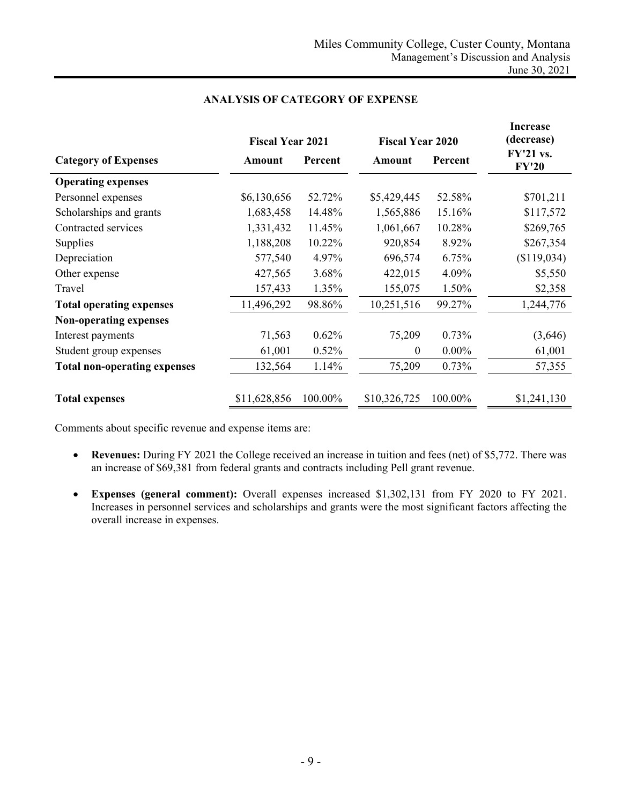|                                     | <b>Fiscal Year 2021</b> |          | <b>Fiscal Year 2020</b> |          | Increase<br>(decrease)           |
|-------------------------------------|-------------------------|----------|-------------------------|----------|----------------------------------|
| <b>Category of Expenses</b>         | Amount                  | Percent  | Amount                  | Percent  | <b>FY'21 vs.</b><br><b>FY'20</b> |
| <b>Operating expenses</b>           |                         |          |                         |          |                                  |
| Personnel expenses                  | \$6,130,656             | 52.72%   | \$5,429,445             | 52.58%   | \$701,211                        |
| Scholarships and grants             | 1,683,458               | 14.48%   | 1,565,886               | 15.16%   | \$117,572                        |
| Contracted services                 | 1,331,432               | 11.45%   | 1,061,667               | 10.28%   | \$269,765                        |
| Supplies                            | 1,188,208               | 10.22%   | 920,854                 | 8.92%    | \$267,354                        |
| Depreciation                        | 577,540                 | 4.97%    | 696,574                 | 6.75%    | (\$119,034)                      |
| Other expense                       | 427,565                 | 3.68%    | 422,015                 | 4.09%    | \$5,550                          |
| Travel                              | 157,433                 | 1.35%    | 155,075                 | 1.50%    | \$2,358                          |
| <b>Total operating expenses</b>     | 11,496,292              | 98.86%   | 10,251,516              | 99.27%   | 1,244,776                        |
| <b>Non-operating expenses</b>       |                         |          |                         |          |                                  |
| Interest payments                   | 71,563                  | 0.62%    | 75,209                  | 0.73%    | (3,646)                          |
| Student group expenses              | 61,001                  | $0.52\%$ | $\theta$                | $0.00\%$ | 61,001                           |
| <b>Total non-operating expenses</b> | 132,564                 | 1.14%    | 75,209                  | 0.73%    | 57,355                           |
| <b>Total expenses</b>               | \$11,628,856            | 100.00%  | \$10,326,725            | 100.00%  | \$1,241,130                      |

#### **ANALYSIS OF CATEGORY OF EXPENSE**

Comments about specific revenue and expense items are:

- **Revenues:** During FY 2021 the College received an increase in tuition and fees (net) of \$5,772. There was an increase of \$69,381 from federal grants and contracts including Pell grant revenue.
- **Expenses (general comment):** Overall expenses increased \$1,302,131 from FY 2020 to FY 2021. Increases in personnel services and scholarships and grants were the most significant factors affecting the overall increase in expenses.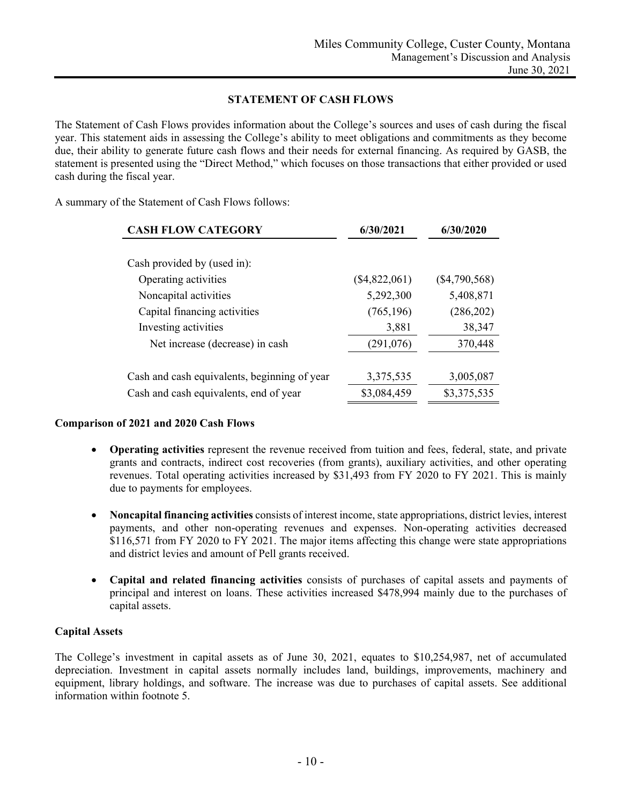#### **STATEMENT OF CASH FLOWS**

The Statement of Cash Flows provides information about the College's sources and uses of cash during the fiscal year. This statement aids in assessing the College's ability to meet obligations and commitments as they become due, their ability to generate future cash flows and their needs for external financing. As required by GASB, the statement is presented using the "Direct Method," which focuses on those transactions that either provided or used cash during the fiscal year.

A summary of the Statement of Cash Flows follows:

| <b>CASH FLOW CATEGORY</b>                    | 6/30/2021       | 6/30/2020       |
|----------------------------------------------|-----------------|-----------------|
|                                              |                 |                 |
| Cash provided by (used in):                  |                 |                 |
| Operating activities                         | $(\$4,822,061)$ | $(\$4,790,568)$ |
| Noncapital activities                        | 5,292,300       | 5,408,871       |
| Capital financing activities                 | (765, 196)      | (286,202)       |
| Investing activities                         | 3,881           | 38,347          |
| Net increase (decrease) in cash              | (291, 076)      | 370,448         |
| Cash and cash equivalents, beginning of year | 3,375,535       | 3,005,087       |
| Cash and cash equivalents, end of year       | \$3,084,459     | \$3,375,535     |

#### **Comparison of 2021 and 2020 Cash Flows**

- **Operating activities** represent the revenue received from tuition and fees, federal, state, and private grants and contracts, indirect cost recoveries (from grants), auxiliary activities, and other operating revenues. Total operating activities increased by \$31,493 from FY 2020 to FY 2021. This is mainly due to payments for employees.
- **Noncapital financing activities** consists of interest income, state appropriations, district levies, interest payments, and other non-operating revenues and expenses. Non-operating activities decreased \$116,571 from FY 2020 to FY 2021. The major items affecting this change were state appropriations and district levies and amount of Pell grants received.
- **Capital and related financing activities** consists of purchases of capital assets and payments of principal and interest on loans. These activities increased \$478,994 mainly due to the purchases of capital assets.

#### **Capital Assets**

The College's investment in capital assets as of June 30, 2021, equates to \$10,254,987, net of accumulated depreciation. Investment in capital assets normally includes land, buildings, improvements, machinery and equipment, library holdings, and software. The increase was due to purchases of capital assets. See additional information within footnote 5.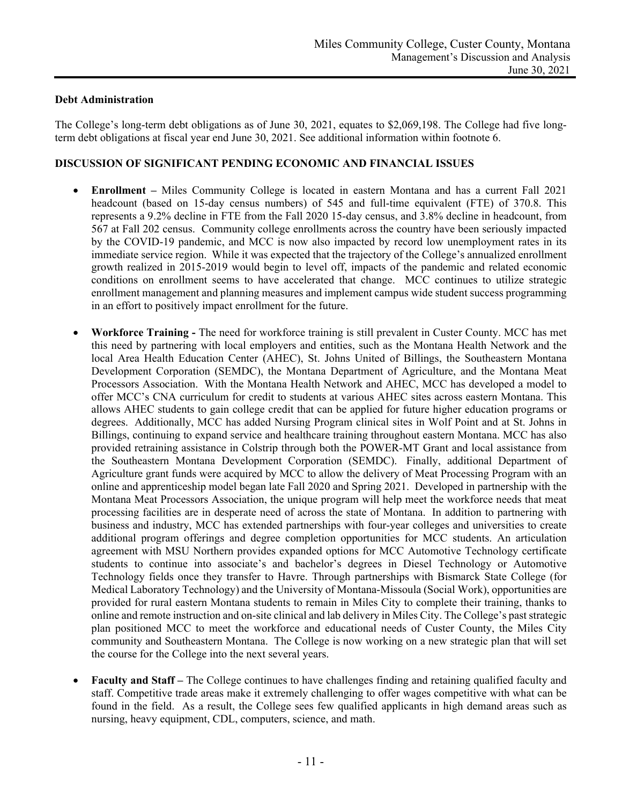#### **Debt Administration**

The College's long-term debt obligations as of June 30, 2021, equates to \$2,069,198. The College had five longterm debt obligations at fiscal year end June 30, 2021. See additional information within footnote 6.

#### **DISCUSSION OF SIGNIFICANT PENDING ECONOMIC AND FINANCIAL ISSUES**

- **Enrollment** Miles Community College is located in eastern Montana and has a current Fall 2021 headcount (based on 15-day census numbers) of 545 and full-time equivalent (FTE) of 370.8. This represents a 9.2% decline in FTE from the Fall 2020 15-day census, and 3.8% decline in headcount, from 567 at Fall 202 census. Community college enrollments across the country have been seriously impacted by the COVID-19 pandemic, and MCC is now also impacted by record low unemployment rates in its immediate service region. While it was expected that the trajectory of the College's annualized enrollment growth realized in 2015-2019 would begin to level off, impacts of the pandemic and related economic conditions on enrollment seems to have accelerated that change. MCC continues to utilize strategic enrollment management and planning measures and implement campus wide student success programming in an effort to positively impact enrollment for the future.
- **Workforce Training** The need for workforce training is still prevalent in Custer County. MCC has met this need by partnering with local employers and entities, such as the Montana Health Network and the local Area Health Education Center (AHEC), St. Johns United of Billings, the Southeastern Montana Development Corporation (SEMDC), the Montana Department of Agriculture, and the Montana Meat Processors Association. With the Montana Health Network and AHEC, MCC has developed a model to offer MCC's CNA curriculum for credit to students at various AHEC sites across eastern Montana. This allows AHEC students to gain college credit that can be applied for future higher education programs or degrees. Additionally, MCC has added Nursing Program clinical sites in Wolf Point and at St. Johns in Billings, continuing to expand service and healthcare training throughout eastern Montana. MCC has also provided retraining assistance in Colstrip through both the POWER-MT Grant and local assistance from the Southeastern Montana Development Corporation (SEMDC). Finally, additional Department of Agriculture grant funds were acquired by MCC to allow the delivery of Meat Processing Program with an online and apprenticeship model began late Fall 2020 and Spring 2021. Developed in partnership with the Montana Meat Processors Association, the unique program will help meet the workforce needs that meat processing facilities are in desperate need of across the state of Montana. In addition to partnering with business and industry, MCC has extended partnerships with four-year colleges and universities to create additional program offerings and degree completion opportunities for MCC students. An articulation agreement with MSU Northern provides expanded options for MCC Automotive Technology certificate students to continue into associate's and bachelor's degrees in Diesel Technology or Automotive Technology fields once they transfer to Havre. Through partnerships with Bismarck State College (for Medical Laboratory Technology) and the University of Montana-Missoula (Social Work), opportunities are provided for rural eastern Montana students to remain in Miles City to complete their training, thanks to online and remote instruction and on-site clinical and lab delivery in Miles City. The College's past strategic plan positioned MCC to meet the workforce and educational needs of Custer County, the Miles City community and Southeastern Montana. The College is now working on a new strategic plan that will set the course for the College into the next several years.
- **Faculty and Staff** The College continues to have challenges finding and retaining qualified faculty and staff. Competitive trade areas make it extremely challenging to offer wages competitive with what can be found in the field. As a result, the College sees few qualified applicants in high demand areas such as nursing, heavy equipment, CDL, computers, science, and math.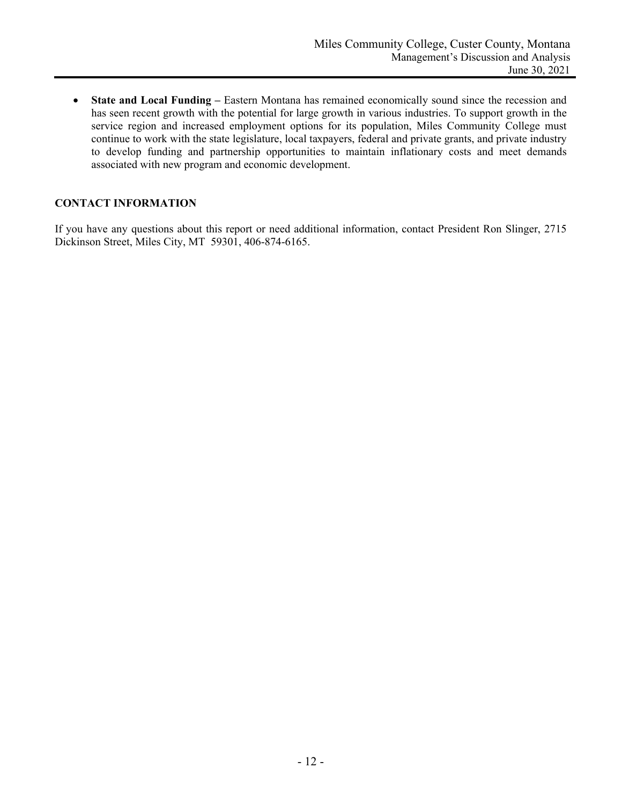• State and Local Funding – Eastern Montana has remained economically sound since the recession and has seen recent growth with the potential for large growth in various industries. To support growth in the service region and increased employment options for its population, Miles Community College must continue to work with the state legislature, local taxpayers, federal and private grants, and private industry to develop funding and partnership opportunities to maintain inflationary costs and meet demands associated with new program and economic development.

#### **CONTACT INFORMATION**

If you have any questions about this report or need additional information, contact President Ron Slinger, 2715 Dickinson Street, Miles City, MT 59301, 406-874-6165.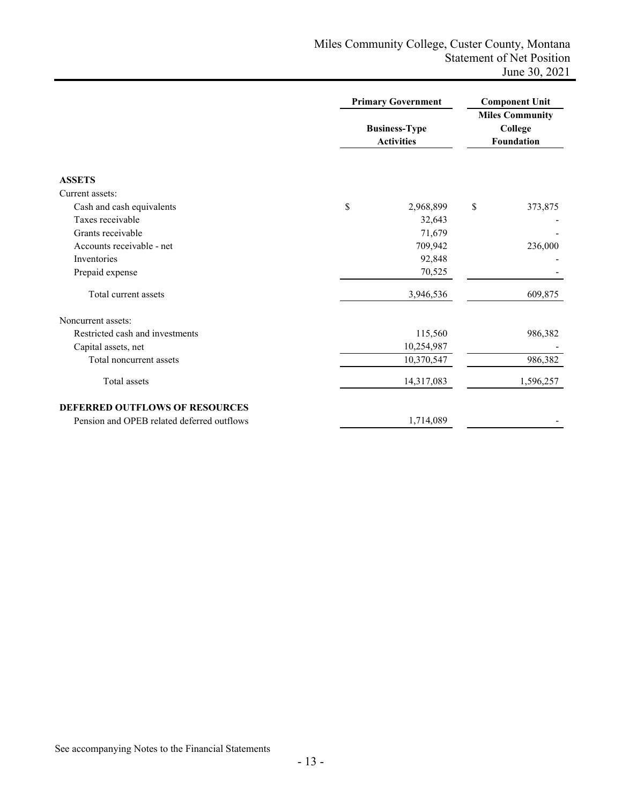|                                            | <b>Primary Government</b>                 |    | <b>Component Unit</b>                           |  |
|--------------------------------------------|-------------------------------------------|----|-------------------------------------------------|--|
|                                            | <b>Business-Type</b><br><b>Activities</b> |    | <b>Miles Community</b><br>College<br>Foundation |  |
| <b>ASSETS</b>                              |                                           |    |                                                 |  |
| Current assets:                            |                                           |    |                                                 |  |
| Cash and cash equivalents                  | \$<br>2,968,899                           | \$ | 373,875                                         |  |
| Taxes receivable                           | 32,643                                    |    |                                                 |  |
| Grants receivable                          | 71,679                                    |    |                                                 |  |
| Accounts receivable - net                  | 709,942                                   |    | 236,000                                         |  |
| Inventories                                | 92,848                                    |    |                                                 |  |
| Prepaid expense                            | 70,525                                    |    |                                                 |  |
| Total current assets                       | 3,946,536                                 |    | 609,875                                         |  |
| Noncurrent assets:                         |                                           |    |                                                 |  |
| Restricted cash and investments            | 115,560                                   |    | 986,382                                         |  |
| Capital assets, net                        | 10,254,987                                |    |                                                 |  |
| Total noncurrent assets                    | 10,370,547                                |    | 986,382                                         |  |
| Total assets                               | 14,317,083                                |    | 1,596,257                                       |  |
| DEFERRED OUTFLOWS OF RESOURCES             |                                           |    |                                                 |  |
| Pension and OPEB related deferred outflows | 1,714,089                                 |    |                                                 |  |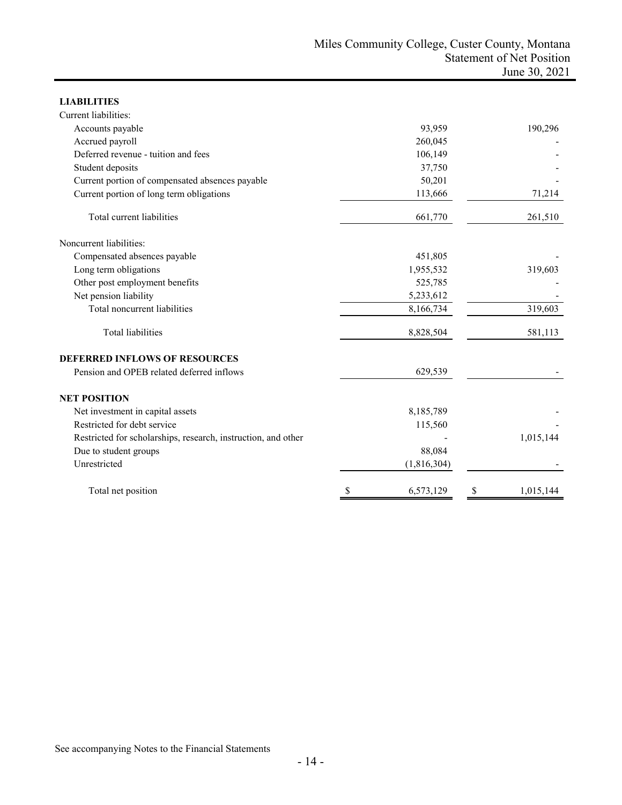| <b>LIABILITIES</b>                                            |   |             |                 |
|---------------------------------------------------------------|---|-------------|-----------------|
| Current liabilities:                                          |   |             |                 |
| Accounts payable                                              |   | 93,959      | 190,296         |
| Accrued payroll                                               |   | 260,045     |                 |
| Deferred revenue - tuition and fees                           |   | 106,149     |                 |
| Student deposits                                              |   | 37,750      |                 |
| Current portion of compensated absences payable               |   | 50,201      |                 |
| Current portion of long term obligations                      |   | 113,666     | 71,214          |
| Total current liabilities                                     |   | 661,770     | 261,510         |
| Noncurrent liabilities:                                       |   |             |                 |
| Compensated absences payable                                  |   | 451,805     |                 |
| Long term obligations                                         |   | 1,955,532   | 319,603         |
| Other post employment benefits                                |   | 525,785     |                 |
| Net pension liability                                         |   | 5,233,612   |                 |
| Total noncurrent liabilities                                  |   | 8,166,734   | 319,603         |
| <b>Total liabilities</b>                                      |   | 8,828,504   | 581,113         |
| DEFERRED INFLOWS OF RESOURCES                                 |   |             |                 |
| Pension and OPEB related deferred inflows                     |   | 629,539     |                 |
| <b>NET POSITION</b>                                           |   |             |                 |
| Net investment in capital assets                              |   | 8,185,789   |                 |
| Restricted for debt service                                   |   | 115,560     |                 |
| Restricted for scholarships, research, instruction, and other |   |             | 1,015,144       |
| Due to student groups                                         |   | 88,084      |                 |
| Unrestricted                                                  |   | (1,816,304) |                 |
| Total net position                                            | S | 6,573,129   | \$<br>1,015,144 |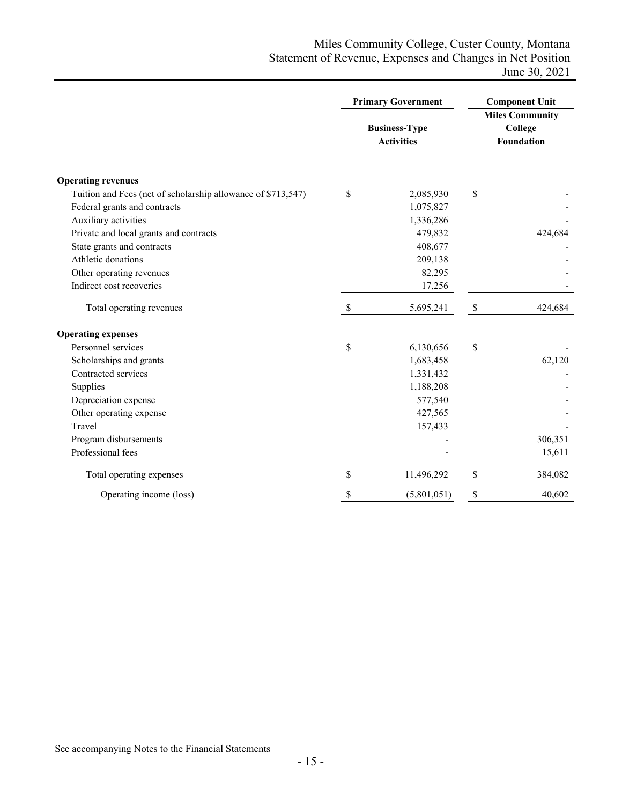|                                                              | <b>Primary Government</b> |                                           | <b>Component Unit</b> |                                                 |  |
|--------------------------------------------------------------|---------------------------|-------------------------------------------|-----------------------|-------------------------------------------------|--|
|                                                              |                           | <b>Business-Type</b><br><b>Activities</b> |                       | <b>Miles Community</b><br>College<br>Foundation |  |
| <b>Operating revenues</b>                                    |                           |                                           |                       |                                                 |  |
| Tuition and Fees (net of scholarship allowance of \$713,547) | \$                        | 2,085,930                                 | \$                    |                                                 |  |
| Federal grants and contracts                                 |                           | 1,075,827                                 |                       |                                                 |  |
| Auxiliary activities                                         |                           | 1,336,286                                 |                       |                                                 |  |
| Private and local grants and contracts                       |                           | 479,832                                   |                       | 424,684                                         |  |
| State grants and contracts                                   |                           | 408,677                                   |                       |                                                 |  |
| Athletic donations                                           |                           | 209,138                                   |                       |                                                 |  |
| Other operating revenues                                     |                           | 82,295                                    |                       |                                                 |  |
| Indirect cost recoveries                                     |                           | 17,256                                    |                       |                                                 |  |
| Total operating revenues                                     | $\mathcal{S}$             | 5,695,241                                 | \$                    | 424,684                                         |  |
| <b>Operating expenses</b>                                    |                           |                                           |                       |                                                 |  |
| Personnel services                                           | \$                        | 6,130,656                                 | \$                    |                                                 |  |
| Scholarships and grants                                      |                           | 1,683,458                                 |                       | 62,120                                          |  |
| Contracted services                                          |                           | 1,331,432                                 |                       |                                                 |  |
| Supplies                                                     |                           | 1,188,208                                 |                       |                                                 |  |
| Depreciation expense                                         |                           | 577,540                                   |                       |                                                 |  |
| Other operating expense                                      |                           | 427,565                                   |                       |                                                 |  |
| Travel                                                       |                           | 157,433                                   |                       |                                                 |  |
| Program disbursements                                        |                           |                                           |                       | 306,351                                         |  |
| Professional fees                                            |                           |                                           |                       | 15,611                                          |  |
| Total operating expenses                                     | $\mathbb{S}$              | 11,496,292                                | \$                    | 384,082                                         |  |
| Operating income (loss)                                      | \$                        | (5,801,051)                               | \$                    | 40,602                                          |  |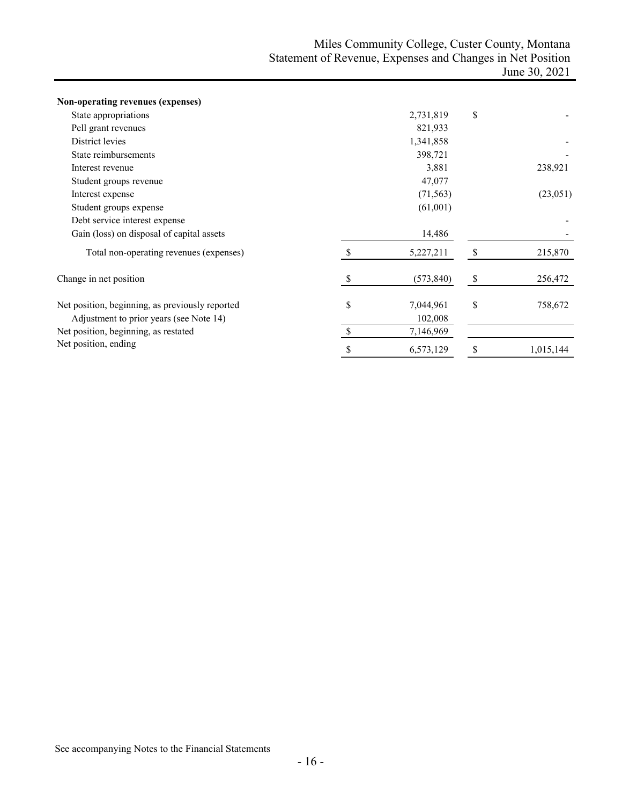| Non-operating revenues (expenses)               |    |            |                 |
|-------------------------------------------------|----|------------|-----------------|
| State appropriations                            |    | 2,731,819  | \$              |
| Pell grant revenues                             |    | 821,933    |                 |
| District levies                                 |    | 1,341,858  |                 |
| State reimbursements                            |    | 398,721    |                 |
| Interest revenue                                |    | 3,881      | 238,921         |
| Student groups revenue                          |    | 47,077     |                 |
| Interest expense                                |    | (71, 563)  | (23,051)        |
| Student groups expense                          |    | (61,001)   |                 |
| Debt service interest expense                   |    |            |                 |
| Gain (loss) on disposal of capital assets       |    | 14,486     |                 |
| Total non-operating revenues (expenses)         |    | 5,227,211  | \$<br>215,870   |
| Change in net position                          | S  | (573, 840) | \$<br>256,472   |
| Net position, beginning, as previously reported | S  | 7,044,961  | \$<br>758,672   |
| Adjustment to prior years (see Note 14)         |    | 102,008    |                 |
| Net position, beginning, as restated            | \$ | 7,146,969  |                 |
| Net position, ending                            | S  | 6,573,129  | \$<br>1,015,144 |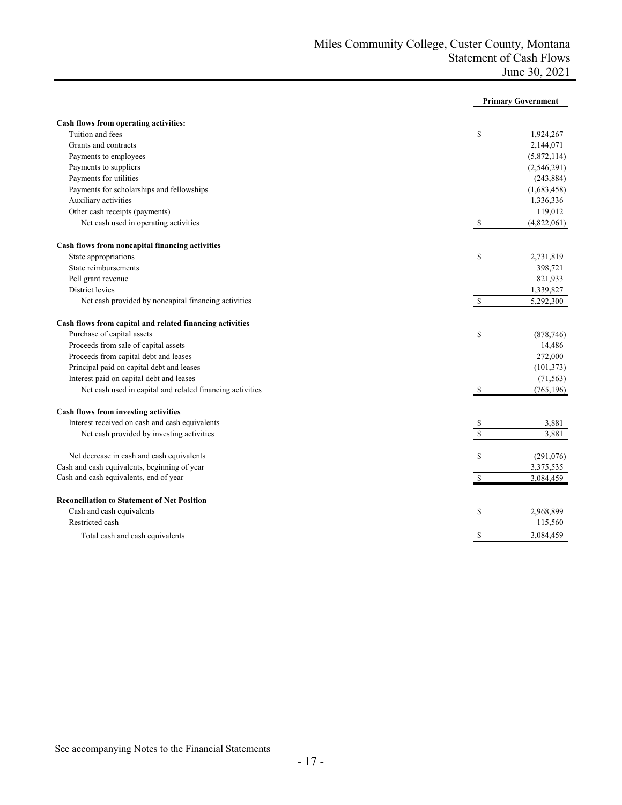|                                                           |                          | <b>Primary Government</b> |
|-----------------------------------------------------------|--------------------------|---------------------------|
|                                                           |                          |                           |
| Cash flows from operating activities:                     |                          |                           |
| Tuition and fees                                          | \$                       | 1,924,267                 |
| Grants and contracts                                      |                          | 2,144,071                 |
| Payments to employees                                     |                          | (5,872,114)               |
| Payments to suppliers                                     |                          | (2,546,291)               |
| Payments for utilities                                    |                          | (243, 884)                |
| Payments for scholarships and fellowships                 |                          | (1,683,458)               |
| Auxiliary activities                                      |                          | 1,336,336                 |
| Other cash receipts (payments)                            |                          | 119,012                   |
| Net cash used in operating activities                     | $\mathbb{S}$             | (4,822,061)               |
| Cash flows from noncapital financing activities           |                          |                           |
| State appropriations                                      | \$                       | 2,731,819                 |
| State reimbursements                                      |                          | 398,721                   |
| Pell grant revenue                                        |                          | 821,933                   |
| District levies                                           |                          | 1,339,827                 |
| Net cash provided by noncapital financing activities      | $\mathbb{S}$             | 5,292,300                 |
| Cash flows from capital and related financing activities  |                          |                           |
| Purchase of capital assets                                | \$                       | (878, 746)                |
| Proceeds from sale of capital assets                      |                          | 14,486                    |
| Proceeds from capital debt and leases                     |                          | 272,000                   |
| Principal paid on capital debt and leases                 |                          | (101, 373)                |
| Interest paid on capital debt and leases                  |                          | (71, 563)                 |
| Net cash used in capital and related financing activities | $\mathcal{S}$            | (765, 196)                |
| Cash flows from investing activities                      |                          |                           |
| Interest received on cash and cash equivalents            | $\mathcal{S}$            | 3,881                     |
| Net cash provided by investing activities                 | $\overline{\mathcal{S}}$ | 3,881                     |
| Net decrease in cash and cash equivalents                 | \$                       | (291, 076)                |
| Cash and cash equivalents, beginning of year              |                          | 3,375,535                 |
| Cash and cash equivalents, end of year                    | \$                       | 3,084,459                 |
| <b>Reconciliation to Statement of Net Position</b>        |                          |                           |
| Cash and cash equivalents                                 | \$                       | 2,968,899                 |
| Restricted cash                                           |                          | 115,560                   |
| Total cash and cash equivalents                           | \$                       | 3,084,459                 |
|                                                           |                          |                           |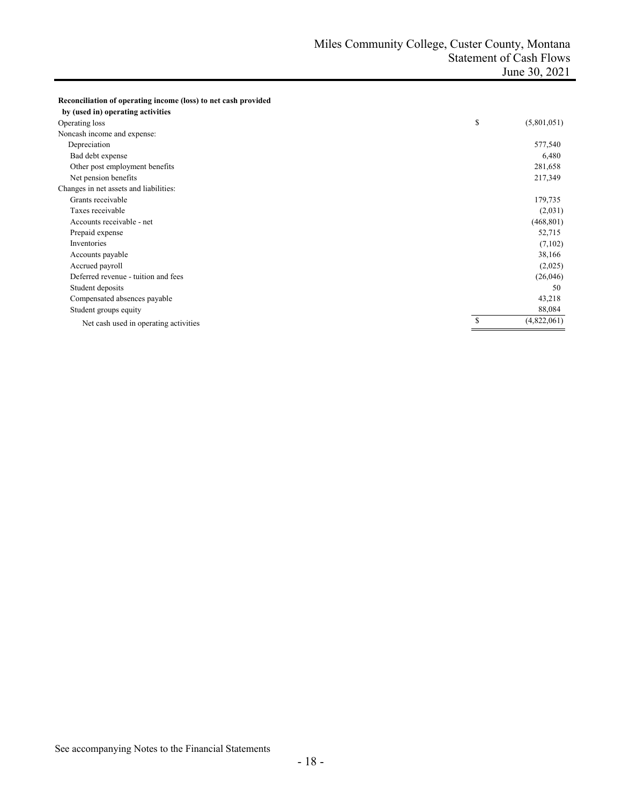| Reconciliation of operating income (loss) to net cash provided<br>by (used in) operating activities |    |             |
|-----------------------------------------------------------------------------------------------------|----|-------------|
| Operating loss                                                                                      | \$ | (5,801,051) |
| Noncash income and expense:                                                                         |    |             |
| Depreciation                                                                                        |    | 577,540     |
| Bad debt expense                                                                                    |    | 6,480       |
| Other post employment benefits                                                                      |    | 281,658     |
| Net pension benefits                                                                                |    | 217,349     |
| Changes in net assets and liabilities:                                                              |    |             |
| Grants receivable                                                                                   |    | 179,735     |
| Taxes receivable                                                                                    |    | (2,031)     |
| Accounts receivable - net                                                                           |    | (468, 801)  |
| Prepaid expense                                                                                     |    | 52,715      |
| Inventories                                                                                         |    | (7,102)     |
| Accounts payable                                                                                    |    | 38,166      |
| Accrued payroll                                                                                     |    | (2,025)     |
| Deferred revenue - tuition and fees                                                                 |    | (26,046)    |
| Student deposits                                                                                    |    | 50          |
| Compensated absences payable                                                                        |    | 43,218      |
| Student groups equity                                                                               |    | 88,084      |
| Net cash used in operating activities                                                               | S  | (4,822,061) |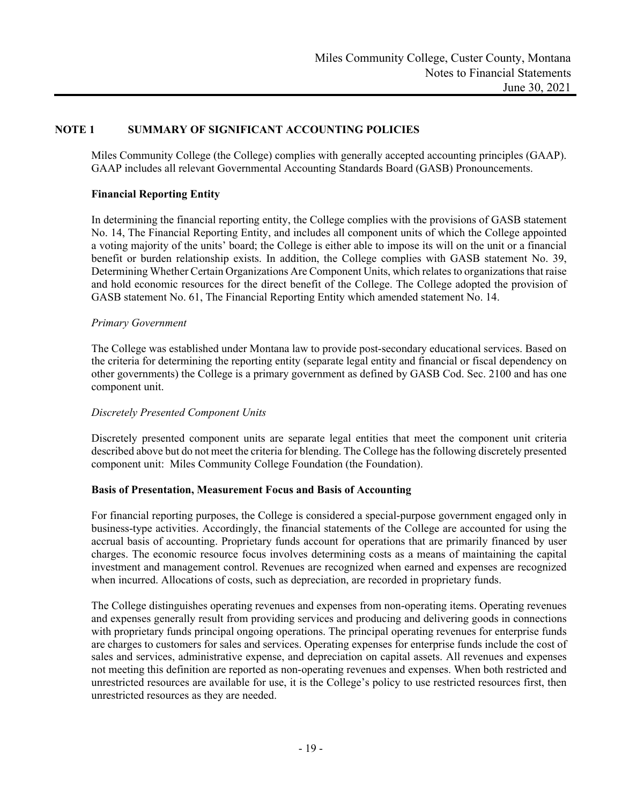#### **NOTE 1 SUMMARY OF SIGNIFICANT ACCOUNTING POLICIES**

Miles Community College (the College) complies with generally accepted accounting principles (GAAP). GAAP includes all relevant Governmental Accounting Standards Board (GASB) Pronouncements.

#### **Financial Reporting Entity**

In determining the financial reporting entity, the College complies with the provisions of GASB statement No. 14, The Financial Reporting Entity, and includes all component units of which the College appointed a voting majority of the units' board; the College is either able to impose its will on the unit or a financial benefit or burden relationship exists. In addition, the College complies with GASB statement No. 39, Determining Whether Certain Organizations Are Component Units, which relates to organizations that raise and hold economic resources for the direct benefit of the College. The College adopted the provision of GASB statement No. 61, The Financial Reporting Entity which amended statement No. 14.

#### *Primary Government*

The College was established under Montana law to provide post-secondary educational services. Based on the criteria for determining the reporting entity (separate legal entity and financial or fiscal dependency on other governments) the College is a primary government as defined by GASB Cod. Sec. 2100 and has one component unit.

#### *Discretely Presented Component Units*

Discretely presented component units are separate legal entities that meet the component unit criteria described above but do not meet the criteria for blending. The College has the following discretely presented component unit: Miles Community College Foundation (the Foundation).

#### **Basis of Presentation, Measurement Focus and Basis of Accounting**

For financial reporting purposes, the College is considered a special-purpose government engaged only in business-type activities. Accordingly, the financial statements of the College are accounted for using the accrual basis of accounting. Proprietary funds account for operations that are primarily financed by user charges. The economic resource focus involves determining costs as a means of maintaining the capital investment and management control. Revenues are recognized when earned and expenses are recognized when incurred. Allocations of costs, such as depreciation, are recorded in proprietary funds.

The College distinguishes operating revenues and expenses from non-operating items. Operating revenues and expenses generally result from providing services and producing and delivering goods in connections with proprietary funds principal ongoing operations. The principal operating revenues for enterprise funds are charges to customers for sales and services. Operating expenses for enterprise funds include the cost of sales and services, administrative expense, and depreciation on capital assets. All revenues and expenses not meeting this definition are reported as non-operating revenues and expenses. When both restricted and unrestricted resources are available for use, it is the College's policy to use restricted resources first, then unrestricted resources as they are needed.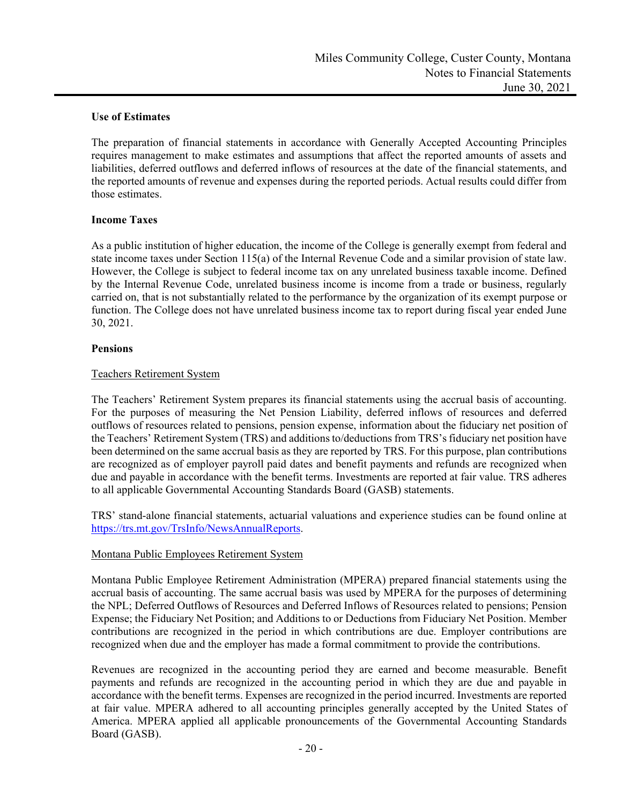#### **Use of Estimates**

The preparation of financial statements in accordance with Generally Accepted Accounting Principles requires management to make estimates and assumptions that affect the reported amounts of assets and liabilities, deferred outflows and deferred inflows of resources at the date of the financial statements, and the reported amounts of revenue and expenses during the reported periods. Actual results could differ from those estimates.

#### **Income Taxes**

As a public institution of higher education, the income of the College is generally exempt from federal and state income taxes under Section 115(a) of the Internal Revenue Code and a similar provision of state law. However, the College is subject to federal income tax on any unrelated business taxable income. Defined by the Internal Revenue Code, unrelated business income is income from a trade or business, regularly carried on, that is not substantially related to the performance by the organization of its exempt purpose or function. The College does not have unrelated business income tax to report during fiscal year ended June 30, 2021.

#### **Pensions**

#### Teachers Retirement System

The Teachers' Retirement System prepares its financial statements using the accrual basis of accounting. For the purposes of measuring the Net Pension Liability, deferred inflows of resources and deferred outflows of resources related to pensions, pension expense, information about the fiduciary net position of the Teachers' Retirement System (TRS) and additions to/deductions from TRS's fiduciary net position have been determined on the same accrual basis as they are reported by TRS. For this purpose, plan contributions are recognized as of employer payroll paid dates and benefit payments and refunds are recognized when due and payable in accordance with the benefit terms. Investments are reported at fair value. TRS adheres to all applicable Governmental Accounting Standards Board (GASB) statements.

TRS' stand-alone financial statements, actuarial valuations and experience studies can be found online at https://trs.mt.gov/TrsInfo/NewsAnnualReports.

#### Montana Public Employees Retirement System

Montana Public Employee Retirement Administration (MPERA) prepared financial statements using the accrual basis of accounting. The same accrual basis was used by MPERA for the purposes of determining the NPL; Deferred Outflows of Resources and Deferred Inflows of Resources related to pensions; Pension Expense; the Fiduciary Net Position; and Additions to or Deductions from Fiduciary Net Position. Member contributions are recognized in the period in which contributions are due. Employer contributions are recognized when due and the employer has made a formal commitment to provide the contributions.

Revenues are recognized in the accounting period they are earned and become measurable. Benefit payments and refunds are recognized in the accounting period in which they are due and payable in accordance with the benefit terms. Expenses are recognized in the period incurred. Investments are reported at fair value. MPERA adhered to all accounting principles generally accepted by the United States of America. MPERA applied all applicable pronouncements of the Governmental Accounting Standards Board (GASB).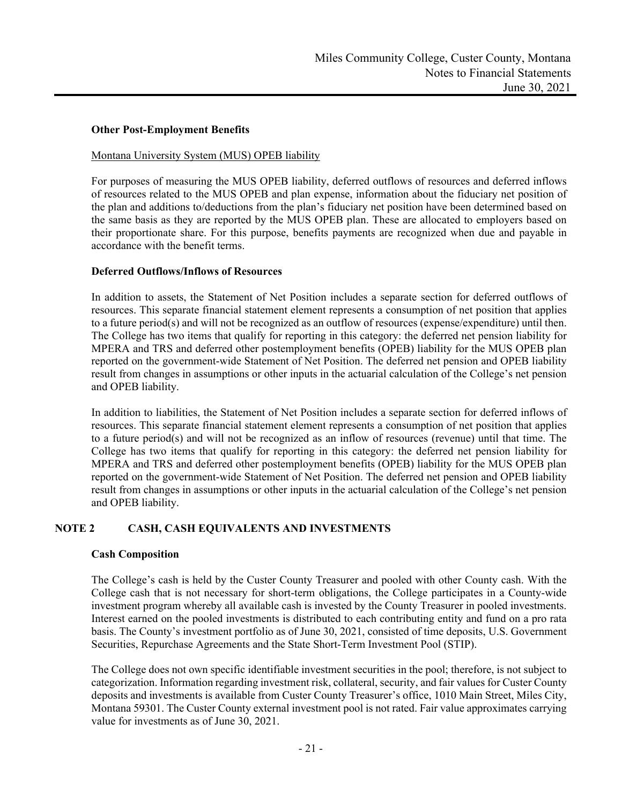#### **Other Post-Employment Benefits**

#### Montana University System (MUS) OPEB liability

For purposes of measuring the MUS OPEB liability, deferred outflows of resources and deferred inflows of resources related to the MUS OPEB and plan expense, information about the fiduciary net position of the plan and additions to/deductions from the plan's fiduciary net position have been determined based on the same basis as they are reported by the MUS OPEB plan. These are allocated to employers based on their proportionate share. For this purpose, benefits payments are recognized when due and payable in accordance with the benefit terms.

#### **Deferred Outflows/Inflows of Resources**

In addition to assets, the Statement of Net Position includes a separate section for deferred outflows of resources. This separate financial statement element represents a consumption of net position that applies to a future period(s) and will not be recognized as an outflow of resources (expense/expenditure) until then. The College has two items that qualify for reporting in this category: the deferred net pension liability for MPERA and TRS and deferred other postemployment benefits (OPEB) liability for the MUS OPEB plan reported on the government-wide Statement of Net Position. The deferred net pension and OPEB liability result from changes in assumptions or other inputs in the actuarial calculation of the College's net pension and OPEB liability.

In addition to liabilities, the Statement of Net Position includes a separate section for deferred inflows of resources. This separate financial statement element represents a consumption of net position that applies to a future period(s) and will not be recognized as an inflow of resources (revenue) until that time. The College has two items that qualify for reporting in this category: the deferred net pension liability for MPERA and TRS and deferred other postemployment benefits (OPEB) liability for the MUS OPEB plan reported on the government-wide Statement of Net Position. The deferred net pension and OPEB liability result from changes in assumptions or other inputs in the actuarial calculation of the College's net pension and OPEB liability.

#### **NOTE 2 CASH, CASH EQUIVALENTS AND INVESTMENTS**

#### **Cash Composition**

The College's cash is held by the Custer County Treasurer and pooled with other County cash. With the College cash that is not necessary for short-term obligations, the College participates in a County-wide investment program whereby all available cash is invested by the County Treasurer in pooled investments. Interest earned on the pooled investments is distributed to each contributing entity and fund on a pro rata basis. The County's investment portfolio as of June 30, 2021, consisted of time deposits, U.S. Government Securities, Repurchase Agreements and the State Short-Term Investment Pool (STIP).

The College does not own specific identifiable investment securities in the pool; therefore, is not subject to categorization. Information regarding investment risk, collateral, security, and fair values for Custer County deposits and investments is available from Custer County Treasurer's office, 1010 Main Street, Miles City, Montana 59301. The Custer County external investment pool is not rated. Fair value approximates carrying value for investments as of June 30, 2021.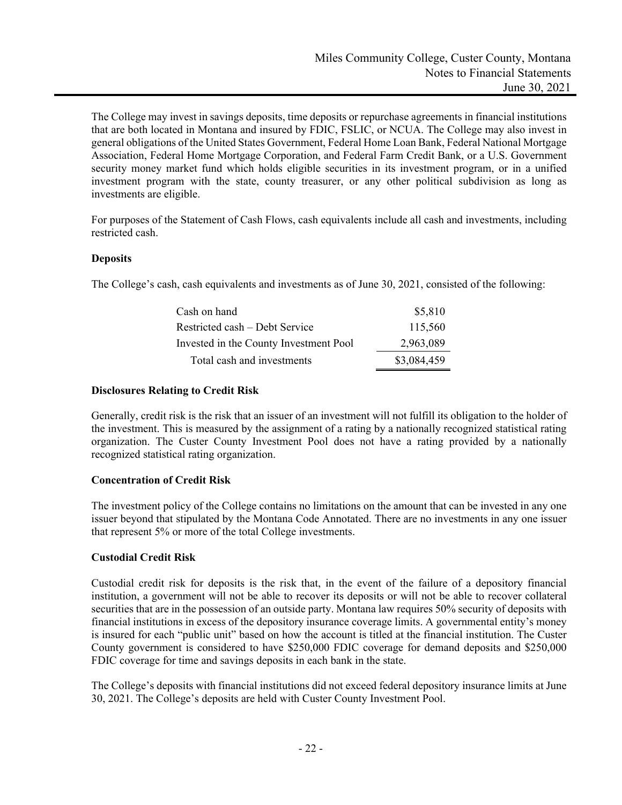The College may invest in savings deposits, time deposits or repurchase agreements in financial institutions that are both located in Montana and insured by FDIC, FSLIC, or NCUA. The College may also invest in general obligations of the United States Government, Federal Home Loan Bank, Federal National Mortgage Association, Federal Home Mortgage Corporation, and Federal Farm Credit Bank, or a U.S. Government security money market fund which holds eligible securities in its investment program, or in a unified investment program with the state, county treasurer, or any other political subdivision as long as investments are eligible.

For purposes of the Statement of Cash Flows, cash equivalents include all cash and investments, including restricted cash.

#### **Deposits**

The College's cash, cash equivalents and investments as of June 30, 2021, consisted of the following:

| Cash on hand                           | \$5,810     |
|----------------------------------------|-------------|
| Restricted cash – Debt Service         | 115,560     |
| Invested in the County Investment Pool | 2,963,089   |
| Total cash and investments             | \$3,084,459 |

#### **Disclosures Relating to Credit Risk**

Generally, credit risk is the risk that an issuer of an investment will not fulfill its obligation to the holder of the investment. This is measured by the assignment of a rating by a nationally recognized statistical rating organization. The Custer County Investment Pool does not have a rating provided by a nationally recognized statistical rating organization.

#### **Concentration of Credit Risk**

The investment policy of the College contains no limitations on the amount that can be invested in any one issuer beyond that stipulated by the Montana Code Annotated. There are no investments in any one issuer that represent 5% or more of the total College investments.

#### **Custodial Credit Risk**

Custodial credit risk for deposits is the risk that, in the event of the failure of a depository financial institution, a government will not be able to recover its deposits or will not be able to recover collateral securities that are in the possession of an outside party. Montana law requires 50% security of deposits with financial institutions in excess of the depository insurance coverage limits. A governmental entity's money is insured for each "public unit" based on how the account is titled at the financial institution. The Custer County government is considered to have \$250,000 FDIC coverage for demand deposits and \$250,000 FDIC coverage for time and savings deposits in each bank in the state.

The College's deposits with financial institutions did not exceed federal depository insurance limits at June 30, 2021. The College's deposits are held with Custer County Investment Pool.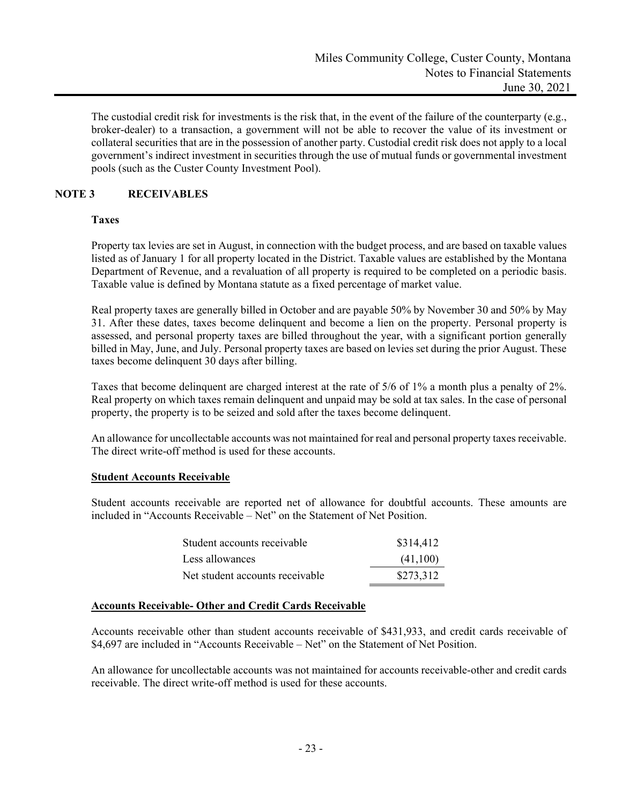The custodial credit risk for investments is the risk that, in the event of the failure of the counterparty (e.g., broker-dealer) to a transaction, a government will not be able to recover the value of its investment or collateral securities that are in the possession of another party. Custodial credit risk does not apply to a local government's indirect investment in securities through the use of mutual funds or governmental investment pools (such as the Custer County Investment Pool).

#### **NOTE 3 RECEIVABLES**

#### **Taxes**

Property tax levies are set in August, in connection with the budget process, and are based on taxable values listed as of January 1 for all property located in the District. Taxable values are established by the Montana Department of Revenue, and a revaluation of all property is required to be completed on a periodic basis. Taxable value is defined by Montana statute as a fixed percentage of market value.

Real property taxes are generally billed in October and are payable 50% by November 30 and 50% by May 31. After these dates, taxes become delinquent and become a lien on the property. Personal property is assessed, and personal property taxes are billed throughout the year, with a significant portion generally billed in May, June, and July. Personal property taxes are based on levies set during the prior August. These taxes become delinquent 30 days after billing.

Taxes that become delinquent are charged interest at the rate of 5/6 of 1% a month plus a penalty of 2%. Real property on which taxes remain delinquent and unpaid may be sold at tax sales. In the case of personal property, the property is to be seized and sold after the taxes become delinquent.

An allowance for uncollectable accounts was not maintained for real and personal property taxes receivable. The direct write-off method is used for these accounts.

#### **Student Accounts Receivable**

Student accounts receivable are reported net of allowance for doubtful accounts. These amounts are included in "Accounts Receivable – Net" on the Statement of Net Position.

| Student accounts receivable     | \$314,412 |
|---------------------------------|-----------|
| Less allowances                 | (41,100)  |
| Net student accounts receivable | \$273,312 |

#### **Accounts Receivable- Other and Credit Cards Receivable**

Accounts receivable other than student accounts receivable of \$431,933, and credit cards receivable of \$4,697 are included in "Accounts Receivable – Net" on the Statement of Net Position.

An allowance for uncollectable accounts was not maintained for accounts receivable-other and credit cards receivable. The direct write-off method is used for these accounts.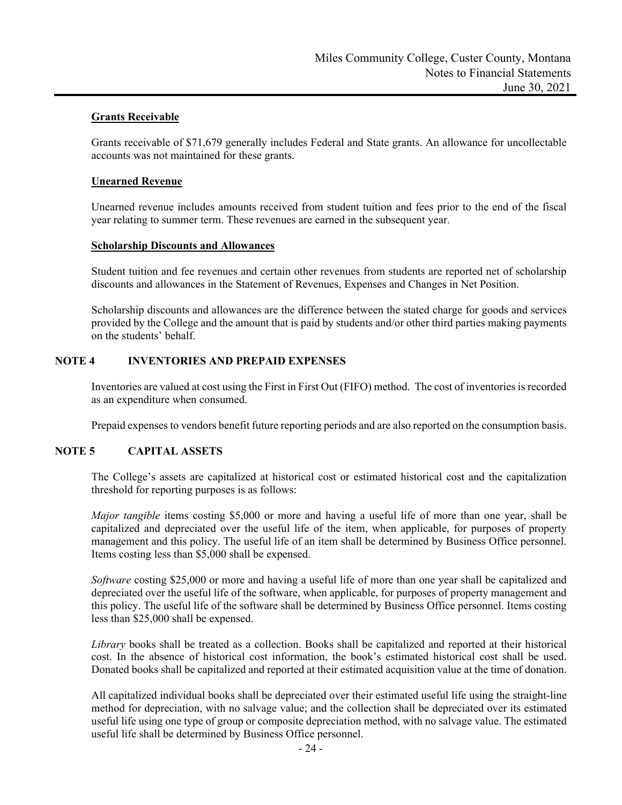#### **Grants Receivable**

Grants receivable of \$71,679 generally includes Federal and State grants. An allowance for uncollectable accounts was not maintained for these grants.

#### **Unearned Revenue**

Unearned revenue includes amounts received from student tuition and fees prior to the end of the fiscal year relating to summer term. These revenues are earned in the subsequent year.

#### **Scholarship Discounts and Allowances**

Student tuition and fee revenues and certain other revenues from students are reported net of scholarship discounts and allowances in the Statement of Revenues, Expenses and Changes in Net Position.

Scholarship discounts and allowances are the difference between the stated charge for goods and services provided by the College and the amount that is paid by students and/or other third parties making payments on the students' behalf.

#### **NOTE 4 INVENTORIES AND PREPAID EXPENSES**

Inventories are valued at cost using the First in First Out (FIFO) method. The cost of inventories is recorded as an expenditure when consumed.

Prepaid expenses to vendors benefit future reporting periods and are also reported on the consumption basis.

#### **NOTE 5 CAPITAL ASSETS**

The College's assets are capitalized at historical cost or estimated historical cost and the capitalization threshold for reporting purposes is as follows:

*Major tangible* items costing \$5,000 or more and having a useful life of more than one year, shall be capitalized and depreciated over the useful life of the item, when applicable, for purposes of property management and this policy. The useful life of an item shall be determined by Business Office personnel. Items costing less than \$5,000 shall be expensed.

*Software* costing \$25,000 or more and having a useful life of more than one year shall be capitalized and depreciated over the useful life of the software, when applicable, for purposes of property management and this policy. The useful life of the software shall be determined by Business Office personnel. Items costing less than \$25,000 shall be expensed.

*Library* books shall be treated as a collection. Books shall be capitalized and reported at their historical cost. In the absence of historical cost information, the book's estimated historical cost shall be used. Donated books shall be capitalized and reported at their estimated acquisition value at the time of donation.

All capitalized individual books shall be depreciated over their estimated useful life using the straight-line method for depreciation, with no salvage value; and the collection shall be depreciated over its estimated useful life using one type of group or composite depreciation method, with no salvage value. The estimated useful life shall be determined by Business Office personnel.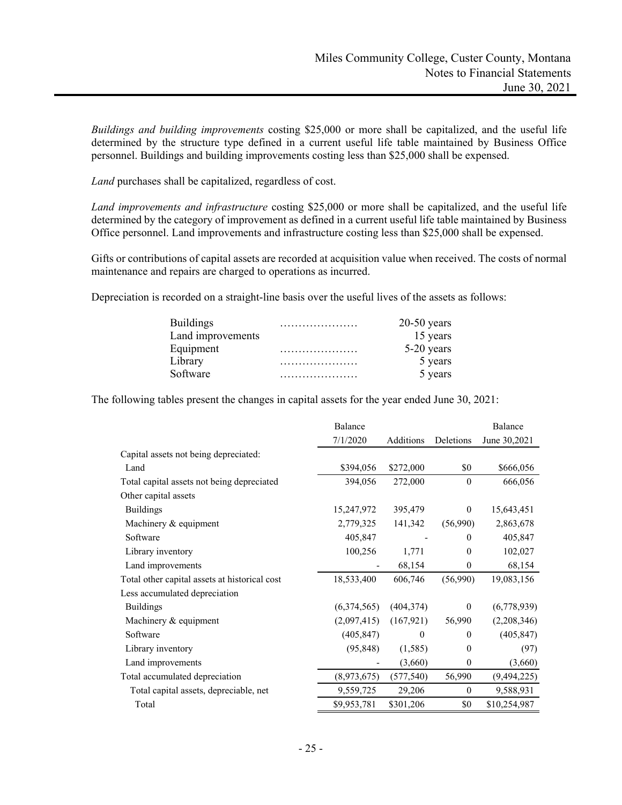*Buildings and building improvements* costing \$25,000 or more shall be capitalized, and the useful life determined by the structure type defined in a current useful life table maintained by Business Office personnel. Buildings and building improvements costing less than \$25,000 shall be expensed.

*Land* purchases shall be capitalized, regardless of cost.

*Land improvements and infrastructure* costing \$25,000 or more shall be capitalized, and the useful life determined by the category of improvement as defined in a current useful life table maintained by Business Office personnel. Land improvements and infrastructure costing less than \$25,000 shall be expensed.

Gifts or contributions of capital assets are recorded at acquisition value when received. The costs of normal maintenance and repairs are charged to operations as incurred.

Depreciation is recorded on a straight-line basis over the useful lives of the assets as follows:

| <b>Buildings</b>  |   | $20-50$ years |
|-------------------|---|---------------|
| Land improvements |   | 15 years      |
| Equipment         |   | 5-20 years    |
| Library           | . | 5 years       |
| Software          |   | 5 years       |

The following tables present the changes in capital assets for the year ended June 30, 2021:

|                                               | Balance     |            |                  | Balance       |
|-----------------------------------------------|-------------|------------|------------------|---------------|
|                                               | 7/1/2020    | Additions  | Deletions        | June 30,2021  |
| Capital assets not being depreciated:         |             |            |                  |               |
| Land                                          | \$394,056   | \$272,000  | \$0              | \$666,056     |
| Total capital assets not being depreciated    | 394,056     | 272,000    | $\mathbf{0}$     | 666,056       |
| Other capital assets                          |             |            |                  |               |
| <b>Buildings</b>                              | 15,247,972  | 395,479    | $\boldsymbol{0}$ | 15,643,451    |
| Machinery & equipment                         | 2,779,325   | 141,342    | (56,990)         | 2,863,678     |
| Software                                      | 405,847     |            | 0                | 405,847       |
| Library inventory                             | 100,256     | 1,771      | $\boldsymbol{0}$ | 102,027       |
| Land improvements                             |             | 68,154     | $\boldsymbol{0}$ | 68,154        |
| Total other capital assets at historical cost | 18,533,400  | 606,746    | (56,990)         | 19,083,156    |
| Less accumulated depreciation                 |             |            |                  |               |
| <b>Buildings</b>                              | (6,374,565) | (404, 374) | $\mathbf{0}$     | (6,778,939)   |
| Machinery & equipment                         | (2,097,415) | (167, 921) | 56,990           | (2,208,346)   |
| Software                                      | (405, 847)  | $\theta$   | $\theta$         | (405, 847)    |
| Library inventory                             | (95, 848)   | (1,585)    | $\boldsymbol{0}$ | (97)          |
| Land improvements                             |             | (3,660)    | $\boldsymbol{0}$ | (3,660)       |
| Total accumulated depreciation                | (8,973,675) | (577, 540) | 56,990           | (9, 494, 225) |
| Total capital assets, depreciable, net        | 9,559,725   | 29,206     | $\boldsymbol{0}$ | 9,588,931     |
| Total                                         | \$9,953,781 | \$301,206  | \$0              | \$10,254,987  |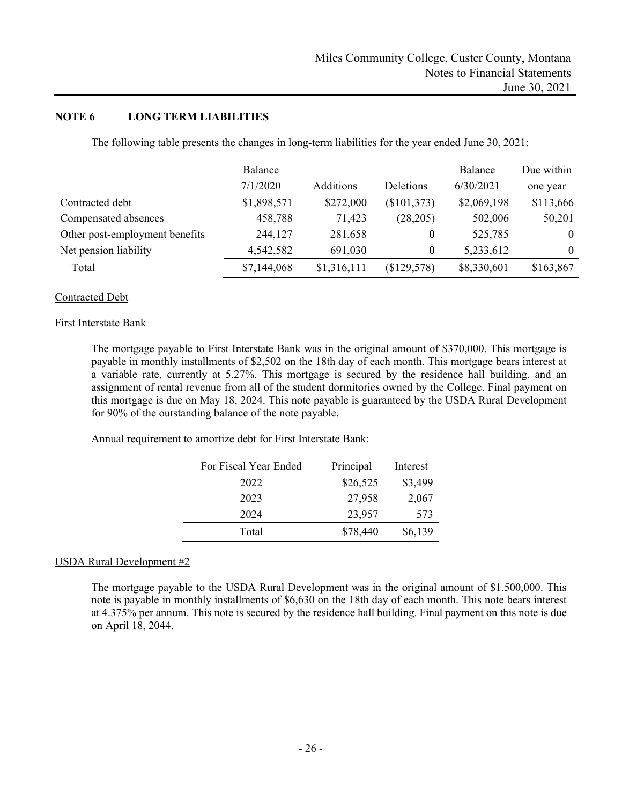#### **NOTE 6 LONG TERM LIABILITIES**

The following table presents the changes in long-term liabilities for the year ended June 30, 2021:

|                                | Balance     |             |                | Balance     | Due within |
|--------------------------------|-------------|-------------|----------------|-------------|------------|
|                                | 7/1/2020    | Additions   | Deletions      | 6/30/2021   | one year   |
| Contracted debt                | \$1,898,571 | \$272,000   | (\$101,373)    | \$2,069,198 | \$113,666  |
| Compensated absences           | 458,788     | 71,423      | (28,205)       | 502,006     | 50,201     |
| Other post-employment benefits | 244,127     | 281,658     | $\overline{0}$ | 525,785     | $\theta$   |
| Net pension liability          | 4,542,582   | 691,030     | $\mathbf{0}$   | 5,233,612   | $\theta$   |
| Total                          | \$7,144,068 | \$1,316,111 | (\$129,578)    | \$8,330,601 | \$163,867  |

#### Contracted Debt

#### First Interstate Bank

The mortgage payable to First Interstate Bank was in the original amount of \$370,000. This mortgage is payable in monthly installments of \$2,502 on the 18th day of each month. This mortgage bears interest at a variable rate, currently at 5.27%. This mortgage is secured by the residence hall building, and an assignment of rental revenue from all of the student dormitories owned by the College. Final payment on this mortgage is due on May 18, 2024. This note payable is guaranteed by the USDA Rural Development for 90% of the outstanding balance of the note payable.

Annual requirement to amortize debt for First Interstate Bank:

| For Fiscal Year Ended | Principal | Interest |
|-----------------------|-----------|----------|
| 2022                  | \$26,525  | \$3,499  |
| 2023                  | 27,958    | 2,067    |
| 2024                  | 23,957    | 573      |
| Total                 | \$78,440  | \$6,139  |

#### USDA Rural Development #2

The mortgage payable to the USDA Rural Development was in the original amount of \$1,500,000. This note is payable in monthly installments of \$6,630 on the 18th day of each month. This note bears interest at 4.375% per annum. This note is secured by the residence hall building. Final payment on this note is due on April 18, 2044.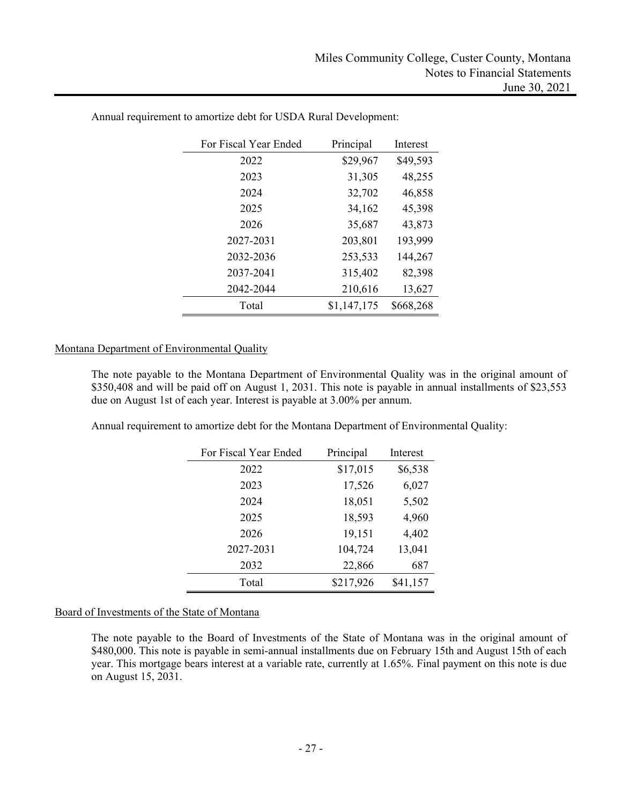| For Fiscal Year Ended | Principal   | Interest  |
|-----------------------|-------------|-----------|
| 2022                  | \$29,967    | \$49,593  |
| 2023                  | 31,305      | 48,255    |
| 2024                  | 32,702      | 46,858    |
| 2025                  | 34,162      | 45,398    |
| 2026                  | 35,687      | 43,873    |
| 2027-2031             | 203,801     | 193,999   |
| 2032-2036             | 253,533     | 144,267   |
| 2037-2041             | 315,402     | 82,398    |
| 2042-2044             | 210,616     | 13,627    |
| Total                 | \$1,147,175 | \$668,268 |

Annual requirement to amortize debt for USDA Rural Development:

#### Montana Department of Environmental Quality

The note payable to the Montana Department of Environmental Quality was in the original amount of \$350,408 and will be paid off on August 1, 2031. This note is payable in annual installments of \$23,553 due on August 1st of each year. Interest is payable at 3.00% per annum.

Annual requirement to amortize debt for the Montana Department of Environmental Quality:

| For Fiscal Year Ended | Principal | Interest |
|-----------------------|-----------|----------|
| 2022                  | \$17,015  | \$6,538  |
| 2023                  | 17,526    | 6,027    |
| 2024                  | 18,051    | 5,502    |
| 2025                  | 18,593    | 4,960    |
| 2026                  | 19,151    | 4,402    |
| 2027-2031             | 104,724   | 13,041   |
| 2032                  | 22,866    | 687      |
| Total                 | \$217,926 | \$41,157 |

#### Board of Investments of the State of Montana

The note payable to the Board of Investments of the State of Montana was in the original amount of \$480,000. This note is payable in semi-annual installments due on February 15th and August 15th of each year. This mortgage bears interest at a variable rate, currently at 1.65%. Final payment on this note is due on August 15, 2031.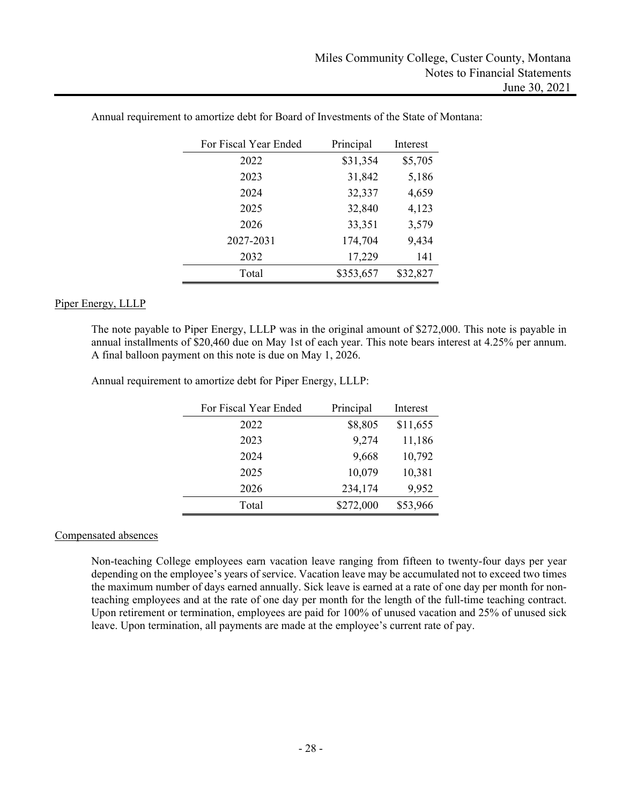| For Fiscal Year Ended | Principal | Interest |
|-----------------------|-----------|----------|
| 2022                  | \$31,354  | \$5,705  |
| 2023                  | 31,842    | 5,186    |
| 2024                  | 32,337    | 4,659    |
| 2025                  | 32,840    | 4,123    |
| 2026                  | 33,351    | 3,579    |
| 2027-2031             | 174,704   | 9,434    |
| 2032                  | 17,229    | 141      |
| Total                 | \$353,657 | \$32,827 |

Annual requirement to amortize debt for Board of Investments of the State of Montana:

#### Piper Energy, LLLP

The note payable to Piper Energy, LLLP was in the original amount of \$272,000. This note is payable in annual installments of \$20,460 due on May 1st of each year. This note bears interest at 4.25% per annum. A final balloon payment on this note is due on May 1, 2026.

Annual requirement to amortize debt for Piper Energy, LLLP:

| For Fiscal Year Ended | Principal | Interest |
|-----------------------|-----------|----------|
| 2022                  | \$8,805   | \$11,655 |
| 2023                  | 9,274     | 11,186   |
| 2024                  | 9,668     | 10,792   |
| 2025                  | 10,079    | 10,381   |
| 2026                  | 234,174   | 9,952    |
| Total                 | \$272,000 | \$53,966 |

#### Compensated absences

Non-teaching College employees earn vacation leave ranging from fifteen to twenty-four days per year depending on the employee's years of service. Vacation leave may be accumulated not to exceed two times the maximum number of days earned annually. Sick leave is earned at a rate of one day per month for nonteaching employees and at the rate of one day per month for the length of the full-time teaching contract. Upon retirement or termination, employees are paid for 100% of unused vacation and 25% of unused sick leave. Upon termination, all payments are made at the employee's current rate of pay.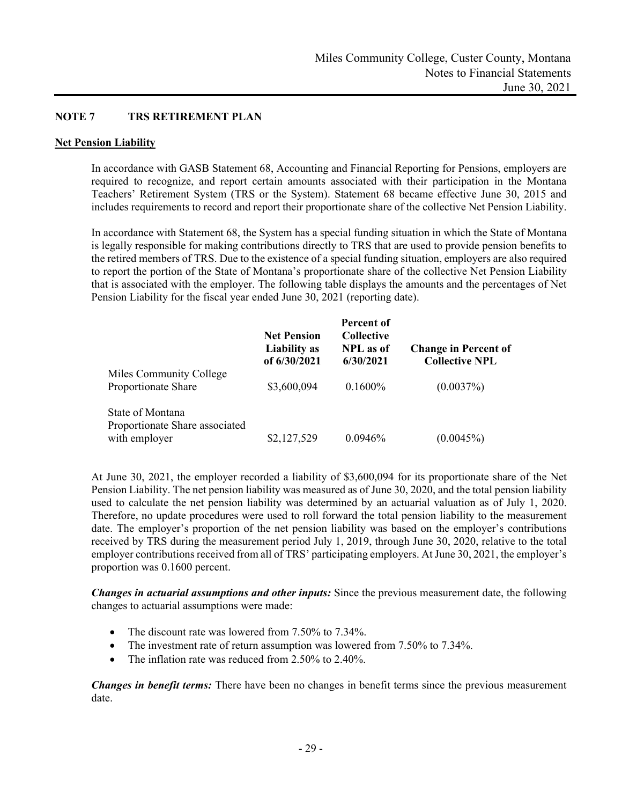#### **NOTE 7 TRS RETIREMENT PLAN**

#### **Net Pension Liability**

In accordance with GASB Statement 68, Accounting and Financial Reporting for Pensions, employers are required to recognize, and report certain amounts associated with their participation in the Montana Teachers' Retirement System (TRS or the System). Statement 68 became effective June 30, 2015 and includes requirements to record and report their proportionate share of the collective Net Pension Liability.

In accordance with Statement 68, the System has a special funding situation in which the State of Montana is legally responsible for making contributions directly to TRS that are used to provide pension benefits to the retired members of TRS. Due to the existence of a special funding situation, employers are also required to report the portion of the State of Montana's proportionate share of the collective Net Pension Liability that is associated with the employer. The following table displays the amounts and the percentages of Net Pension Liability for the fiscal year ended June 30, 2021 (reporting date).

|                                                                     | <b>Net Pension</b><br><b>Liability as</b><br>of 6/30/2021 | Percent of<br><b>Collective</b><br><b>NPL</b> as of<br>6/30/2021 | <b>Change in Percent of</b><br><b>Collective NPL</b> |
|---------------------------------------------------------------------|-----------------------------------------------------------|------------------------------------------------------------------|------------------------------------------------------|
| Miles Community College<br>Proportionate Share                      | \$3,600,094                                               | $0.1600\%$                                                       | (0.0037%)                                            |
| State of Montana<br>Proportionate Share associated<br>with employer | \$2,127,529                                               | 0.0946%                                                          | (0.0045%)                                            |

At June 30, 2021, the employer recorded a liability of \$3,600,094 for its proportionate share of the Net Pension Liability. The net pension liability was measured as of June 30, 2020, and the total pension liability used to calculate the net pension liability was determined by an actuarial valuation as of July 1, 2020. Therefore, no update procedures were used to roll forward the total pension liability to the measurement date. The employer's proportion of the net pension liability was based on the employer's contributions received by TRS during the measurement period July 1, 2019, through June 30, 2020, relative to the total employer contributions received from all of TRS' participating employers. At June 30, 2021, the employer's proportion was 0.1600 percent.

*Changes in actuarial assumptions and other inputs:* Since the previous measurement date, the following changes to actuarial assumptions were made:

- The discount rate was lowered from 7.50% to 7.34%.
- The investment rate of return assumption was lowered from 7.50% to 7.34%.
- The inflation rate was reduced from 2.50% to 2.40%.

*Changes in benefit terms:* There have been no changes in benefit terms since the previous measurement date.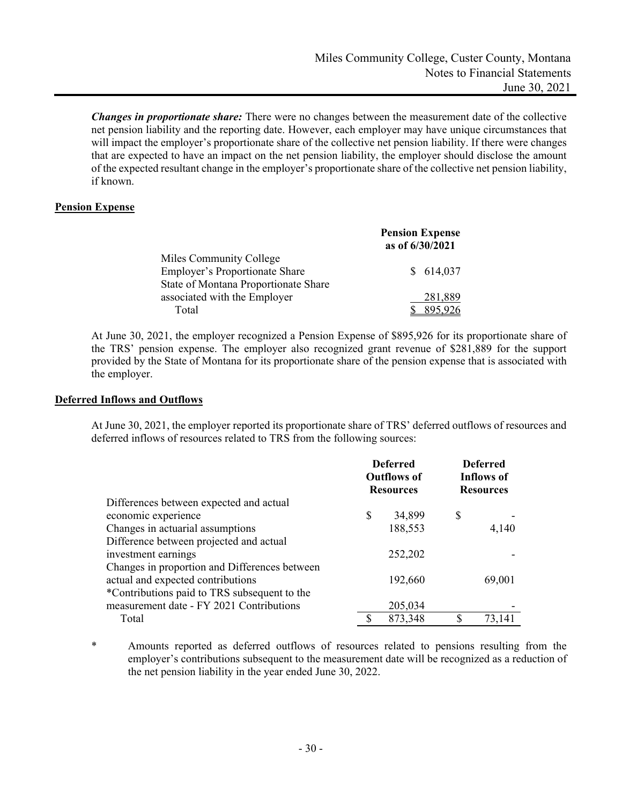*Changes in proportionate share:* There were no changes between the measurement date of the collective net pension liability and the reporting date. However, each employer may have unique circumstances that will impact the employer's proportionate share of the collective net pension liability. If there were changes that are expected to have an impact on the net pension liability, the employer should disclose the amount of the expected resultant change in the employer's proportionate share of the collective net pension liability, if known.

#### **Pension Expense**

|                                       | <b>Pension Expense</b><br>as of 6/30/2021 |
|---------------------------------------|-------------------------------------------|
| Miles Community College               |                                           |
| <b>Employer's Proportionate Share</b> | \$614,037                                 |
| State of Montana Proportionate Share  |                                           |
| associated with the Employer          | 281,889                                   |
| Total                                 | 895,926                                   |

At June 30, 2021, the employer recognized a Pension Expense of \$895,926 for its proportionate share of the TRS' pension expense. The employer also recognized grant revenue of \$281,889 for the support provided by the State of Montana for its proportionate share of the pension expense that is associated with the employer.

#### **Deferred Inflows and Outflows**

At June 30, 2021, the employer reported its proportionate share of TRS' deferred outflows of resources and deferred inflows of resources related to TRS from the following sources:

|                                               | <b>Deferred</b><br><b>Outflows of</b><br><b>Resources</b> |   | <b>Deferred</b><br>Inflows of<br><b>Resources</b> |
|-----------------------------------------------|-----------------------------------------------------------|---|---------------------------------------------------|
| Differences between expected and actual       |                                                           |   |                                                   |
| economic experience                           | \$<br>34,899                                              | S |                                                   |
| Changes in actuarial assumptions              | 188,553                                                   |   | 4,140                                             |
| Difference between projected and actual       |                                                           |   |                                                   |
| investment earnings                           | 252,202                                                   |   |                                                   |
| Changes in proportion and Differences between |                                                           |   |                                                   |
| actual and expected contributions             | 192,660                                                   |   | 69,001                                            |
| *Contributions paid to TRS subsequent to the  |                                                           |   |                                                   |
| measurement date - FY 2021 Contributions      | 205,034                                                   |   |                                                   |
| Total                                         | 873,348                                                   |   | 73,141                                            |

\* Amounts reported as deferred outflows of resources related to pensions resulting from the employer's contributions subsequent to the measurement date will be recognized as a reduction of the net pension liability in the year ended June 30, 2022.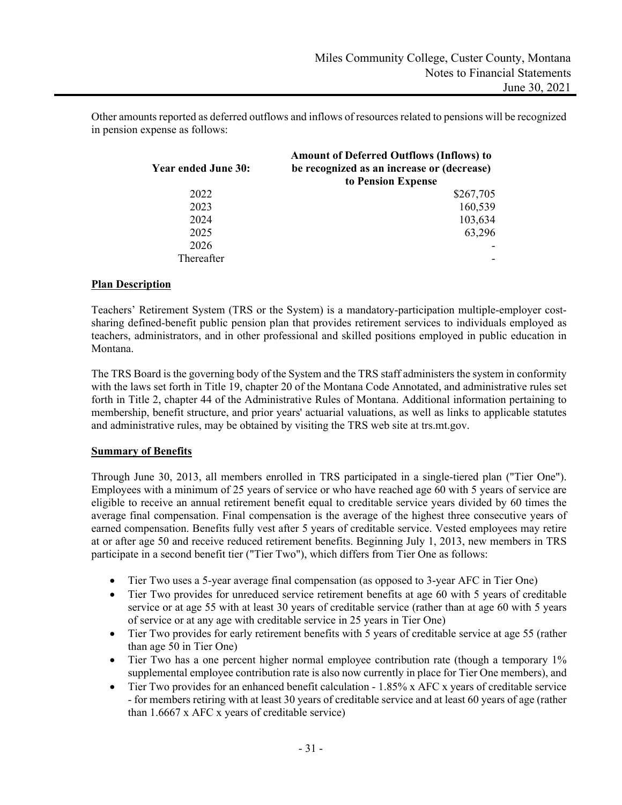Other amounts reported as deferred outflows and inflows of resources related to pensions will be recognized in pension expense as follows:

| <b>Amount of Deferred Outflows (Inflows) to</b><br>be recognized as an increase or (decrease)<br>to Pension Expense |
|---------------------------------------------------------------------------------------------------------------------|
| \$267,705                                                                                                           |
|                                                                                                                     |
| 160,539                                                                                                             |
| 103,634                                                                                                             |
| 63,296                                                                                                              |
|                                                                                                                     |
|                                                                                                                     |
|                                                                                                                     |

#### **Plan Description**

Teachers' Retirement System (TRS or the System) is a mandatory-participation multiple-employer costsharing defined-benefit public pension plan that provides retirement services to individuals employed as teachers, administrators, and in other professional and skilled positions employed in public education in Montana.

The TRS Board is the governing body of the System and the TRS staff administers the system in conformity with the laws set forth in Title 19, chapter 20 of the Montana Code Annotated, and administrative rules set forth in Title 2, chapter 44 of the Administrative Rules of Montana. Additional information pertaining to membership, benefit structure, and prior years' actuarial valuations, as well as links to applicable statutes and administrative rules, may be obtained by visiting the TRS web site at trs.mt.gov.

#### **Summary of Benefits**

Through June 30, 2013, all members enrolled in TRS participated in a single-tiered plan ("Tier One"). Employees with a minimum of 25 years of service or who have reached age 60 with 5 years of service are eligible to receive an annual retirement benefit equal to creditable service years divided by 60 times the average final compensation. Final compensation is the average of the highest three consecutive years of earned compensation. Benefits fully vest after 5 years of creditable service. Vested employees may retire at or after age 50 and receive reduced retirement benefits. Beginning July 1, 2013, new members in TRS participate in a second benefit tier ("Tier Two"), which differs from Tier One as follows:

- Tier Two uses a 5-year average final compensation (as opposed to 3-year AFC in Tier One)
- Tier Two provides for unreduced service retirement benefits at age 60 with 5 years of creditable service or at age 55 with at least 30 years of creditable service (rather than at age 60 with 5 years of service or at any age with creditable service in 25 years in Tier One)
- Tier Two provides for early retirement benefits with 5 years of creditable service at age 55 (rather than age 50 in Tier One)
- Tier Two has a one percent higher normal employee contribution rate (though a temporary 1% supplemental employee contribution rate is also now currently in place for Tier One members), and
- Tier Two provides for an enhanced benefit calculation 1.85% x AFC x years of creditable service - for members retiring with at least 30 years of creditable service and at least 60 years of age (rather than 1.6667 x AFC x years of creditable service)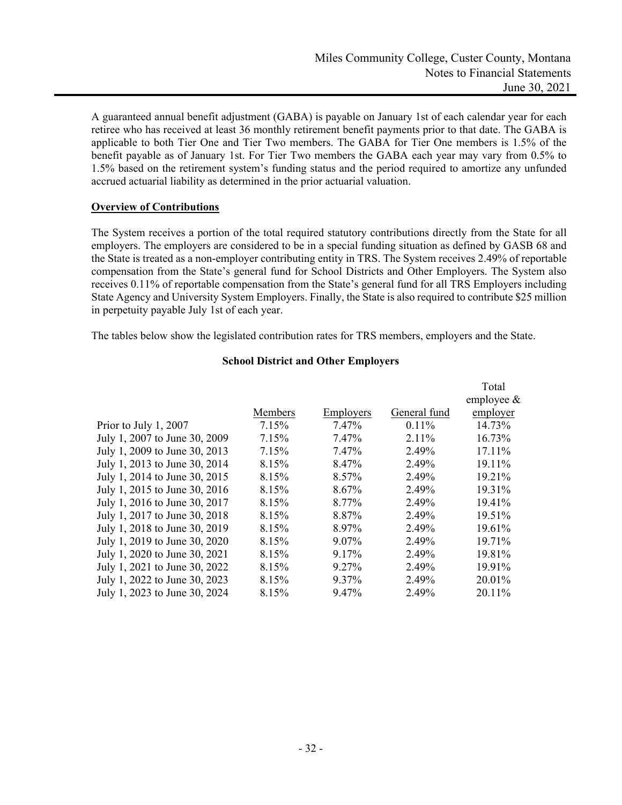A guaranteed annual benefit adjustment (GABA) is payable on January 1st of each calendar year for each retiree who has received at least 36 monthly retirement benefit payments prior to that date. The GABA is applicable to both Tier One and Tier Two members. The GABA for Tier One members is 1.5% of the benefit payable as of January 1st. For Tier Two members the GABA each year may vary from 0.5% to 1.5% based on the retirement system's funding status and the period required to amortize any unfunded accrued actuarial liability as determined in the prior actuarial valuation.

#### **Overview of Contributions**

The System receives a portion of the total required statutory contributions directly from the State for all employers. The employers are considered to be in a special funding situation as defined by GASB 68 and the State is treated as a non-employer contributing entity in TRS. The System receives 2.49% of reportable compensation from the State's general fund for School Districts and Other Employers. The System also receives 0.11% of reportable compensation from the State's general fund for all TRS Employers including State Agency and University System Employers. Finally, the State is also required to contribute \$25 million in perpetuity payable July 1st of each year.

The tables below show the legislated contribution rates for TRS members, employers and the State.

#### **School District and Other Employers**

|                               |         |           |              | Total        |
|-------------------------------|---------|-----------|--------------|--------------|
|                               |         |           |              | employee $&$ |
|                               | Members | Employers | General fund | employer     |
| Prior to July 1, 2007         | 7.15%   | 7.47%     | 0.11%        | 14.73%       |
| July 1, 2007 to June 30, 2009 | 7.15%   | 7.47%     | 2.11%        | 16.73%       |
| July 1, 2009 to June 30, 2013 | 7.15%   | 7.47%     | 2.49%        | 17.11%       |
| July 1, 2013 to June 30, 2014 | 8.15%   | 8.47%     | 2.49%        | 19.11%       |
| July 1, 2014 to June 30, 2015 | 8.15%   | 8.57%     | 2.49%        | 19.21%       |
| July 1, 2015 to June 30, 2016 | 8.15%   | 8.67%     | 2.49%        | 19.31%       |
| July 1, 2016 to June 30, 2017 | 8.15%   | 8.77%     | 2.49%        | 19.41%       |
| July 1, 2017 to June 30, 2018 | 8.15%   | 8.87%     | 2.49%        | 19.51%       |
| July 1, 2018 to June 30, 2019 | 8.15%   | 8.97%     | 2.49%        | 19.61%       |
| July 1, 2019 to June 30, 2020 | 8.15%   | 9.07%     | 2.49%        | 19.71%       |
| July 1, 2020 to June 30, 2021 | 8.15%   | 9.17%     | 2.49%        | 19.81%       |
| July 1, 2021 to June 30, 2022 | 8.15%   | 9.27%     | 2.49%        | 19.91%       |
| July 1, 2022 to June 30, 2023 | 8.15%   | 9.37%     | 2.49%        | 20.01%       |
| July 1, 2023 to June 30, 2024 | 8.15%   | 9.47%     | 2.49%        | 20.11%       |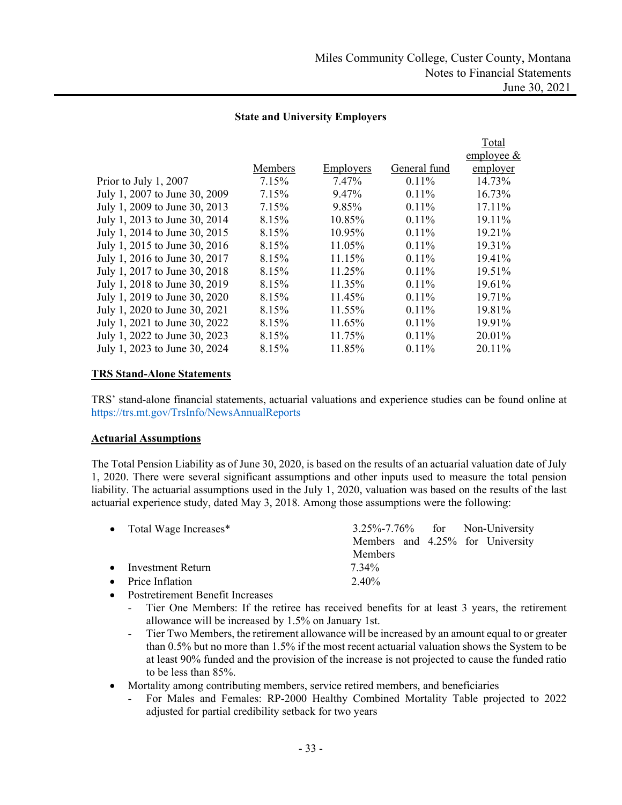$T_{\text{max}}$ 

#### **State and University Employers**

|         |           |              | a otal       |
|---------|-----------|--------------|--------------|
|         |           |              | employee $&$ |
| Members | Employers | General fund | employer     |
| 7.15%   | 7.47%     | $0.11\%$     | 14.73%       |
| 7.15%   | 9.47%     | 0.11%        | 16.73%       |
| 7.15%   | 9.85%     | $0.11\%$     | 17.11\%      |
| 8.15%   | 10.85%    | 0.11%        | 19.11%       |
| 8.15%   | 10.95%    | $0.11\%$     | 19.21%       |
| 8.15%   | 11.05%    | $0.11\%$     | 19.31%       |
| 8.15%   | 11.15%    | $0.11\%$     | 19.41%       |
| 8.15%   | 11.25%    | 0.11%        | 19.51%       |
| 8.15%   | 11.35%    | $0.11\%$     | 19.61%       |
| 8.15%   | 11.45%    | $0.11\%$     | 19.71%       |
| 8.15%   | 11.55%    | $0.11\%$     | 19.81%       |
| 8.15%   | 11.65%    | $0.11\%$     | 19.91%       |
| 8.15%   | 11.75%    | $0.11\%$     | 20.01%       |
| 8.15%   | 11.85%    | $0.11\%$     | 20.11%       |
|         |           |              |              |

#### **TRS Stand-Alone Statements**

TRS' stand-alone financial statements, actuarial valuations and experience studies can be found online at https://trs.mt.gov/TrsInfo/NewsAnnualReports

#### **Actuarial Assumptions**

The Total Pension Liability as of June 30, 2020, is based on the results of an actuarial valuation date of July 1, 2020. There were several significant assumptions and other inputs used to measure the total pension liability. The actuarial assumptions used in the July 1, 2020, valuation was based on the results of the last actuarial experience study, dated May 3, 2018. Among those assumptions were the following:

| • Total Wage Increases*                        | 3.25%-7.76% for Non-University   |  |  |
|------------------------------------------------|----------------------------------|--|--|
|                                                | Members and 4.25% for University |  |  |
|                                                | <b>Members</b>                   |  |  |
| • Investment Return                            | 7.34%                            |  |  |
| • Price Inflation                              | $2.40\%$                         |  |  |
| $\mathbf{r}$ and $\mathbf{r}$ and $\mathbf{r}$ |                                  |  |  |

- Postretirement Benefit Increases
	- Tier One Members: If the retiree has received benefits for at least 3 years, the retirement allowance will be increased by 1.5% on January 1st.
	- Tier Two Members, the retirement allowance will be increased by an amount equal to or greater than 0.5% but no more than 1.5% if the most recent actuarial valuation shows the System to be at least 90% funded and the provision of the increase is not projected to cause the funded ratio to be less than 85%.
- Mortality among contributing members, service retired members, and beneficiaries
	- For Males and Females: RP-2000 Healthy Combined Mortality Table projected to 2022 adjusted for partial credibility setback for two years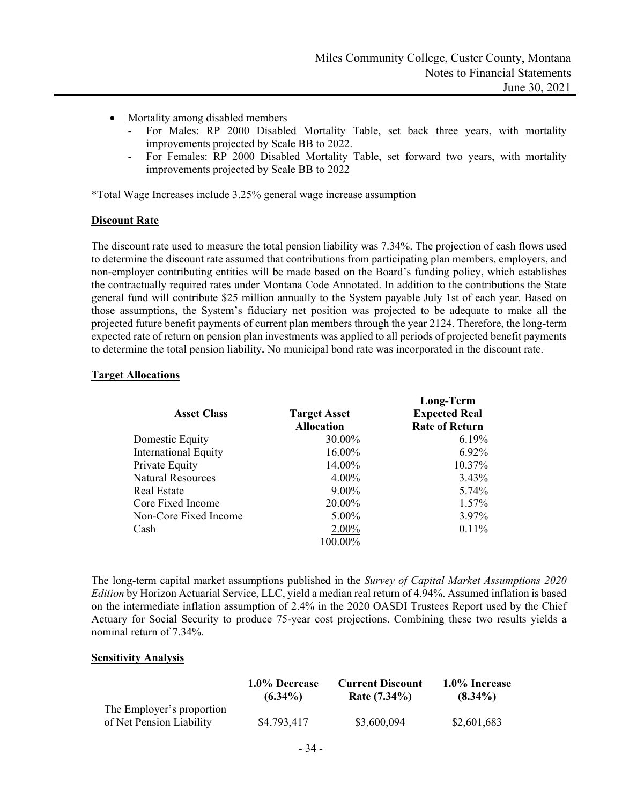- Mortality among disabled members
	- For Males: RP 2000 Disabled Mortality Table, set back three years, with mortality improvements projected by Scale BB to 2022.
	- For Females: RP 2000 Disabled Mortality Table, set forward two years, with mortality improvements projected by Scale BB to 2022

\*Total Wage Increases include 3.25% general wage increase assumption

#### **Discount Rate**

The discount rate used to measure the total pension liability was 7.34%. The projection of cash flows used to determine the discount rate assumed that contributions from participating plan members, employers, and non-employer contributing entities will be made based on the Board's funding policy, which establishes the contractually required rates under Montana Code Annotated. In addition to the contributions the State general fund will contribute \$25 million annually to the System payable July 1st of each year. Based on those assumptions, the System's fiduciary net position was projected to be adequate to make all the projected future benefit payments of current plan members through the year 2124. Therefore, the long-term expected rate of return on pension plan investments was applied to all periods of projected benefit payments to determine the total pension liability**.** No municipal bond rate was incorporated in the discount rate.

#### **Target Allocations**

|                             |                     | Long-Term             |
|-----------------------------|---------------------|-----------------------|
| <b>Asset Class</b>          | <b>Target Asset</b> | <b>Expected Real</b>  |
|                             | <b>Allocation</b>   | <b>Rate of Return</b> |
| Domestic Equity             | 30.00%              | $6.19\%$              |
| <b>International Equity</b> | 16.00%              | $6.92\%$              |
| Private Equity              | 14.00%              | 10.37%                |
| <b>Natural Resources</b>    | $4.00\%$            | $3.43\%$              |
| Real Estate                 | 9.00%               | 5.74%                 |
| Core Fixed Income           | 20.00%              | $1.57\%$              |
| Non-Core Fixed Income       | 5.00%               | $3.97\%$              |
| Cash                        | 2.00%               | $0.11\%$              |
|                             | 100.00%             |                       |

The long-term capital market assumptions published in the *Survey of Capital Market Assumptions 2020 Edition* by Horizon Actuarial Service, LLC, yield a median real return of 4.94%. Assumed inflation is based on the intermediate inflation assumption of 2.4% in the 2020 OASDI Trustees Report used by the Chief Actuary for Social Security to produce 75-year cost projections. Combining these two results yields a nominal return of 7.34%.

#### **Sensitivity Analysis**

|                                                       | 1.0% Decrease | <b>Current Discount</b> | 1.0% Increase |
|-------------------------------------------------------|---------------|-------------------------|---------------|
|                                                       | $(6.34\%)$    | Rate $(7.34\%)$         | $(8.34\%)$    |
| The Employer's proportion<br>of Net Pension Liability | \$4,793,417   | \$3,600,094             | \$2,601,683   |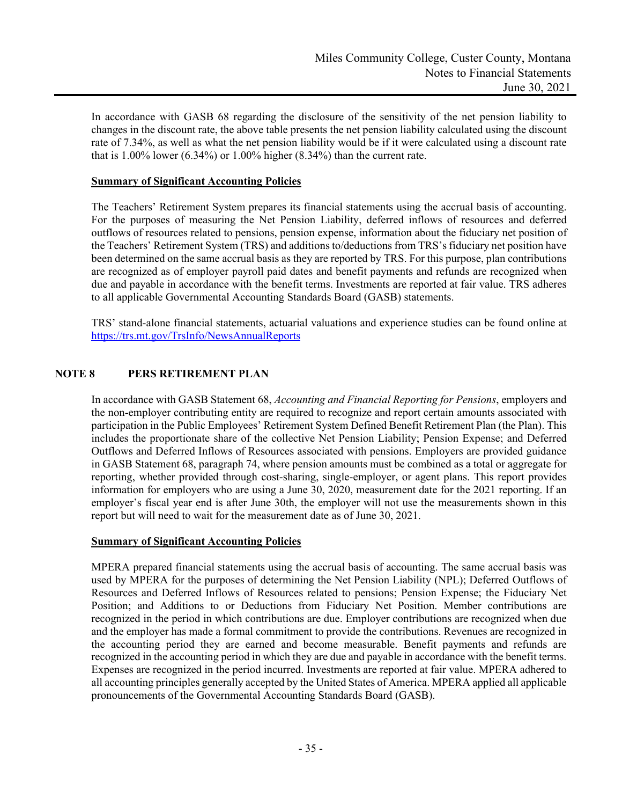In accordance with GASB 68 regarding the disclosure of the sensitivity of the net pension liability to changes in the discount rate, the above table presents the net pension liability calculated using the discount rate of 7.34%, as well as what the net pension liability would be if it were calculated using a discount rate that is  $1.00\%$  lower  $(6.34\%)$  or  $1.00\%$  higher  $(8.34\%)$  than the current rate.

#### **Summary of Significant Accounting Policies**

The Teachers' Retirement System prepares its financial statements using the accrual basis of accounting. For the purposes of measuring the Net Pension Liability, deferred inflows of resources and deferred outflows of resources related to pensions, pension expense, information about the fiduciary net position of the Teachers' Retirement System (TRS) and additions to/deductions from TRS's fiduciary net position have been determined on the same accrual basis as they are reported by TRS. For this purpose, plan contributions are recognized as of employer payroll paid dates and benefit payments and refunds are recognized when due and payable in accordance with the benefit terms. Investments are reported at fair value. TRS adheres to all applicable Governmental Accounting Standards Board (GASB) statements.

TRS' stand-alone financial statements, actuarial valuations and experience studies can be found online at https://trs.mt.gov/TrsInfo/NewsAnnualReports

#### **NOTE 8 PERS RETIREMENT PLAN**

In accordance with GASB Statement 68, *Accounting and Financial Reporting for Pensions*, employers and the non-employer contributing entity are required to recognize and report certain amounts associated with participation in the Public Employees' Retirement System Defined Benefit Retirement Plan (the Plan). This includes the proportionate share of the collective Net Pension Liability; Pension Expense; and Deferred Outflows and Deferred Inflows of Resources associated with pensions. Employers are provided guidance in GASB Statement 68, paragraph 74, where pension amounts must be combined as a total or aggregate for reporting, whether provided through cost-sharing, single-employer, or agent plans. This report provides information for employers who are using a June 30, 2020, measurement date for the 2021 reporting. If an employer's fiscal year end is after June 30th, the employer will not use the measurements shown in this report but will need to wait for the measurement date as of June 30, 2021.

#### **Summary of Significant Accounting Policies**

MPERA prepared financial statements using the accrual basis of accounting. The same accrual basis was used by MPERA for the purposes of determining the Net Pension Liability (NPL); Deferred Outflows of Resources and Deferred Inflows of Resources related to pensions; Pension Expense; the Fiduciary Net Position; and Additions to or Deductions from Fiduciary Net Position. Member contributions are recognized in the period in which contributions are due. Employer contributions are recognized when due and the employer has made a formal commitment to provide the contributions. Revenues are recognized in the accounting period they are earned and become measurable. Benefit payments and refunds are recognized in the accounting period in which they are due and payable in accordance with the benefit terms. Expenses are recognized in the period incurred. Investments are reported at fair value. MPERA adhered to all accounting principles generally accepted by the United States of America. MPERA applied all applicable pronouncements of the Governmental Accounting Standards Board (GASB).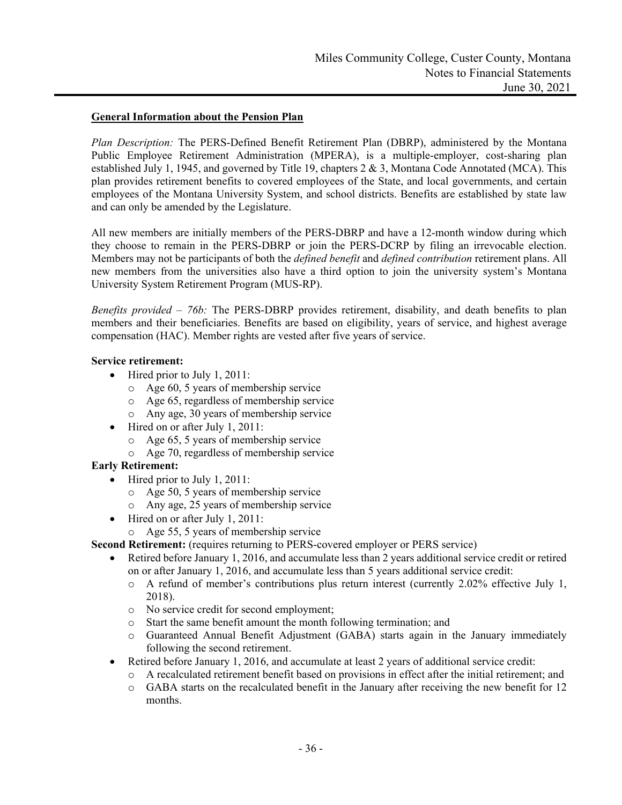#### **General Information about the Pension Plan**

*Plan Description:* The PERS-Defined Benefit Retirement Plan (DBRP), administered by the Montana Public Employee Retirement Administration (MPERA), is a multiple-employer, cost-sharing plan established July 1, 1945, and governed by Title 19, chapters 2 & 3, Montana Code Annotated (MCA). This plan provides retirement benefits to covered employees of the State, and local governments, and certain employees of the Montana University System, and school districts. Benefits are established by state law and can only be amended by the Legislature.

All new members are initially members of the PERS-DBRP and have a 12-month window during which they choose to remain in the PERS-DBRP or join the PERS-DCRP by filing an irrevocable election. Members may not be participants of both the *defined benefit* and *defined contribution* retirement plans. All new members from the universities also have a third option to join the university system's Montana University System Retirement Program (MUS-RP).

*Benefits provided – 76b:* The PERS-DBRP provides retirement, disability, and death benefits to plan members and their beneficiaries. Benefits are based on eligibility, years of service, and highest average compensation (HAC). Member rights are vested after five years of service.

#### **Service retirement:**

- $\bullet$  Hired prior to July 1, 2011:
	- o Age 60, 5 years of membership service
	- o Age 65, regardless of membership service
	- o Any age, 30 years of membership service
- Hired on or after July 1, 2011:
	- o Age 65, 5 years of membership service
	- o Age 70, regardless of membership service

#### **Early Retirement:**

- Hired prior to July 1, 2011:
	- o Age 50, 5 years of membership service
	- o Any age, 25 years of membership service
- Hired on or after July 1, 2011:
	- o Age 55, 5 years of membership service

**Second Retirement:** (requires returning to PERS-covered employer or PERS service)

- Retired before January 1, 2016, and accumulate less than 2 years additional service credit or retired on or after January 1, 2016, and accumulate less than 5 years additional service credit:
	- $\circ$  A refund of member's contributions plus return interest (currently 2.02% effective July 1, 2018).
	- o No service credit for second employment;
	- o Start the same benefit amount the month following termination; and
	- o Guaranteed Annual Benefit Adjustment (GABA) starts again in the January immediately following the second retirement.
- Retired before January 1, 2016, and accumulate at least 2 years of additional service credit:
	- o A recalculated retirement benefit based on provisions in effect after the initial retirement; and
	- o GABA starts on the recalculated benefit in the January after receiving the new benefit for 12 months.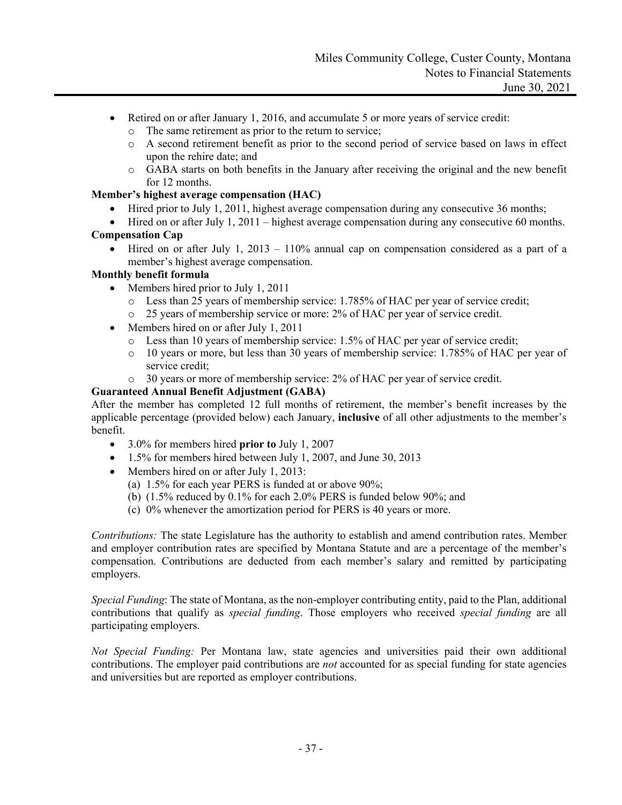- Retired on or after January 1, 2016, and accumulate 5 or more years of service credit:
	- o The same retirement as prior to the return to service;
	- o A second retirement benefit as prior to the second period of service based on laws in effect upon the rehire date; and
	- o GABA starts on both benefits in the January after receiving the original and the new benefit for 12 months.

#### **Member's highest average compensation (HAC)**

- Hired prior to July 1, 2011, highest average compensation during any consecutive 36 months;
- $\bullet$  Hired on or after July 1, 2011 highest average compensation during any consecutive 60 months.

#### **Compensation Cap**

 $\bullet$  Hired on or after July 1, 2013 – 110% annual cap on compensation considered as a part of a member's highest average compensation.

#### **Monthly benefit formula**

- Members hired prior to July 1, 2011
	- o Less than 25 years of membership service: 1.785% of HAC per year of service credit;
	- o 25 years of membership service or more: 2% of HAC per year of service credit.
- Members hired on or after July 1, 2011
	- o Less than 10 years of membership service: 1.5% of HAC per year of service credit;
	- o 10 years or more, but less than 30 years of membership service: 1.785% of HAC per year of service credit;
	- o 30 years or more of membership service: 2% of HAC per year of service credit.

#### **Guaranteed Annual Benefit Adjustment (GABA)**

After the member has completed 12 full months of retirement, the member's benefit increases by the applicable percentage (provided below) each January, **inclusive** of all other adjustments to the member's benefit.

- 3.0% for members hired **prior to** July 1, 2007
- 1.5% for members hired between July 1, 2007, and June 30, 2013
- Members hired on or after July 1, 2013:
	- (a) 1.5% for each year PERS is funded at or above 90%;
	- (b) (1.5% reduced by 0.1% for each 2.0% PERS is funded below 90%; and
	- (c) 0% whenever the amortization period for PERS is 40 years or more.

*Contributions:* The state Legislature has the authority to establish and amend contribution rates. Member and employer contribution rates are specified by Montana Statute and are a percentage of the member's compensation. Contributions are deducted from each member's salary and remitted by participating employers.

*Special Funding*: The state of Montana, as the non-employer contributing entity, paid to the Plan, additional contributions that qualify as *special funding*. Those employers who received *special funding* are all participating employers.

*Not Special Funding:* Per Montana law, state agencies and universities paid their own additional contributions. The employer paid contributions are *not* accounted for as special funding for state agencies and universities but are reported as employer contributions.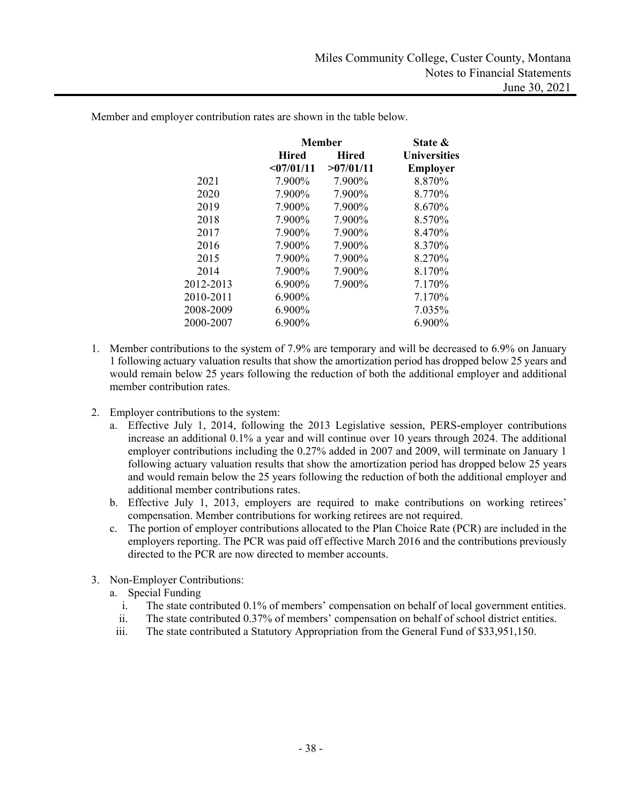|           |              | <b>Member</b> | State &             |
|-----------|--------------|---------------|---------------------|
|           | <b>Hired</b> | <b>Hired</b>  | <b>Universities</b> |
|           | $<$ 07/01/11 | >07/01/11     | <b>Employer</b>     |
| 2021      | 7.900\%      | 7.900\%       | 8.870\%             |
| 2020      | 7.900\%      | 7.900%        | 8.770%              |
| 2019      | 7.900%       | 7.900%        | 8.670%              |
| 2018      | 7.900\%      | 7.900\%       | 8.570\%             |
| 2017      | 7.900\%      | 7.900\%       | 8.470\%             |
| 2016      | 7.900\%      | 7.900%        | 8.370\%             |
| 2015      | 7.900\%      | 7.900\%       | 8.270\%             |
| 2014      | 7.900\%      | 7.900\%       | 8.170\%             |
| 2012-2013 | $6.900\%$    | 7.900%        | 7.170%              |
| 2010-2011 | $6.900\%$    |               | 7.170%              |
| 2008-2009 | 6.900%       |               | 7.035%              |
| 2000-2007 | $6.900\%$    |               | $6.900\%$           |
|           |              |               |                     |

Member and employer contribution rates are shown in the table below.

- 1. Member contributions to the system of 7.9% are temporary and will be decreased to 6.9% on January 1 following actuary valuation results that show the amortization period has dropped below 25 years and would remain below 25 years following the reduction of both the additional employer and additional member contribution rates.
- 2. Employer contributions to the system:
	- a. Effective July 1, 2014, following the 2013 Legislative session, PERS-employer contributions increase an additional 0.1% a year and will continue over 10 years through 2024. The additional employer contributions including the 0.27% added in 2007 and 2009, will terminate on January 1 following actuary valuation results that show the amortization period has dropped below 25 years and would remain below the 25 years following the reduction of both the additional employer and additional member contributions rates.
	- b. Effective July 1, 2013, employers are required to make contributions on working retirees' compensation. Member contributions for working retirees are not required.
	- c. The portion of employer contributions allocated to the Plan Choice Rate (PCR) are included in the employers reporting. The PCR was paid off effective March 2016 and the contributions previously directed to the PCR are now directed to member accounts.
- 3. Non-Employer Contributions:
	- a. Special Funding
		- i. The state contributed 0.1% of members' compensation on behalf of local government entities.
		- ii. The state contributed 0.37% of members' compensation on behalf of school district entities.
	- iii. The state contributed a Statutory Appropriation from the General Fund of \$33,951,150.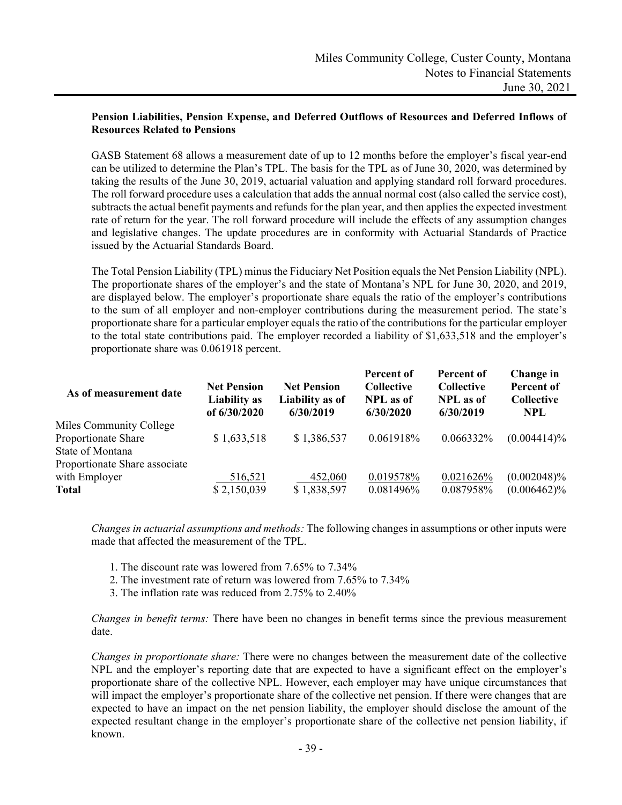#### **Pension Liabilities, Pension Expense, and Deferred Outflows of Resources and Deferred Inflows of Resources Related to Pensions**

GASB Statement 68 allows a measurement date of up to 12 months before the employer's fiscal year-end can be utilized to determine the Plan's TPL. The basis for the TPL as of June 30, 2020, was determined by taking the results of the June 30, 2019, actuarial valuation and applying standard roll forward procedures. The roll forward procedure uses a calculation that adds the annual normal cost (also called the service cost), subtracts the actual benefit payments and refunds for the plan year, and then applies the expected investment rate of return for the year. The roll forward procedure will include the effects of any assumption changes and legislative changes. The update procedures are in conformity with Actuarial Standards of Practice issued by the Actuarial Standards Board.

The Total Pension Liability (TPL) minus the Fiduciary Net Position equals the Net Pension Liability (NPL). The proportionate shares of the employer's and the state of Montana's NPL for June 30, 2020, and 2019, are displayed below. The employer's proportionate share equals the ratio of the employer's contributions to the sum of all employer and non-employer contributions during the measurement period. The state's proportionate share for a particular employer equals the ratio of the contributions for the particular employer to the total state contributions paid. The employer recorded a liability of \$1,633,518 and the employer's proportionate share was 0.061918 percent.

| <b>Net Pension</b><br><b>Liability as</b><br>of 6/30/2020 | <b>Net Pension</b><br>Liability as of<br>6/30/2019 | Percent of<br><b>Collective</b><br><b>NPL</b> as of<br>6/30/2020 | Percent of<br><b>Collective</b><br><b>NPL</b> as of<br>6/30/2019 | Change in<br>Percent of<br><b>Collective</b><br>NPL |
|-----------------------------------------------------------|----------------------------------------------------|------------------------------------------------------------------|------------------------------------------------------------------|-----------------------------------------------------|
|                                                           |                                                    |                                                                  |                                                                  |                                                     |
| \$1,633,518                                               | \$1,386,537                                        | 0.061918%                                                        | 0.066332%                                                        | $(0.004414)\%$                                      |
|                                                           |                                                    |                                                                  |                                                                  |                                                     |
|                                                           |                                                    |                                                                  |                                                                  |                                                     |
| 516,521                                                   | 452,060                                            | 0.019578%                                                        | 0.021626%                                                        | $(0.002048)\%$                                      |
| \$2,150,039                                               | \$1,838,597                                        | 0.081496%                                                        | 0.087958%                                                        | $(0.006462)\%$                                      |
|                                                           |                                                    |                                                                  |                                                                  |                                                     |

*Changes in actuarial assumptions and methods:* The following changes in assumptions or other inputs were made that affected the measurement of the TPL.

- 1. The discount rate was lowered from 7.65% to 7.34%
- 2. The investment rate of return was lowered from 7.65% to 7.34%
- 3. The inflation rate was reduced from 2.75% to 2.40%

*Changes in benefit terms:* There have been no changes in benefit terms since the previous measurement date.

*Changes in proportionate share:* There were no changes between the measurement date of the collective NPL and the employer's reporting date that are expected to have a significant effect on the employer's proportionate share of the collective NPL. However, each employer may have unique circumstances that will impact the employer's proportionate share of the collective net pension. If there were changes that are expected to have an impact on the net pension liability, the employer should disclose the amount of the expected resultant change in the employer's proportionate share of the collective net pension liability, if known.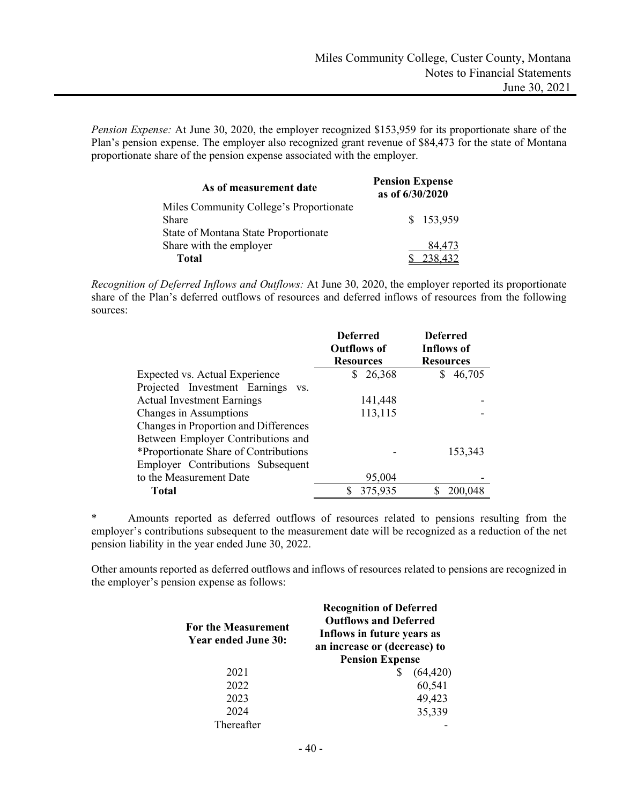*Pension Expense:* At June 30, 2020, the employer recognized \$153,959 for its proportionate share of the Plan's pension expense. The employer also recognized grant revenue of \$84,473 for the state of Montana proportionate share of the pension expense associated with the employer.

| <b>Pension Expense</b><br>as of 6/30/2020 |
|-------------------------------------------|
| \$153,959                                 |
| 84.473<br>x.432                           |
|                                           |

*Recognition of Deferred Inflows and Outflows:* At June 30, 2020, the employer reported its proportionate share of the Plan's deferred outflows of resources and deferred inflows of resources from the following sources:

|                                       | <b>Deferred</b><br><b>Outflows of</b> | <b>Deferred</b><br>Inflows of |
|---------------------------------------|---------------------------------------|-------------------------------|
|                                       | <b>Resources</b>                      | <b>Resources</b>              |
| Expected vs. Actual Experience        | 26,368<br>S                           | 46,705                        |
| Projected Investment Earnings vs.     |                                       |                               |
| <b>Actual Investment Earnings</b>     | 141,448                               |                               |
| Changes in Assumptions                | 113,115                               |                               |
| Changes in Proportion and Differences |                                       |                               |
| Between Employer Contributions and    |                                       |                               |
| *Proportionate Share of Contributions |                                       | 153,343                       |
| Employer Contributions Subsequent     |                                       |                               |
| to the Measurement Date               | 95,004                                |                               |
| <b>Total</b>                          | 375,935                               | 200,048                       |

\* Amounts reported as deferred outflows of resources related to pensions resulting from the employer's contributions subsequent to the measurement date will be recognized as a reduction of the net pension liability in the year ended June 30, 2022.

Other amounts reported as deferred outflows and inflows of resources related to pensions are recognized in the employer's pension expense as follows:

| <b>For the Measurement</b><br>Year ended June 30: | <b>Recognition of Deferred</b><br><b>Outflows and Deferred</b><br>Inflows in future years as<br>an increase or (decrease) to<br><b>Pension Expense</b> |  |  |
|---------------------------------------------------|--------------------------------------------------------------------------------------------------------------------------------------------------------|--|--|
| 2021                                              | (64, 420)                                                                                                                                              |  |  |
| 2022                                              | 60,541                                                                                                                                                 |  |  |
| 2023                                              | 49,423                                                                                                                                                 |  |  |
| 2024                                              | 35,339                                                                                                                                                 |  |  |
| Thereafter                                        |                                                                                                                                                        |  |  |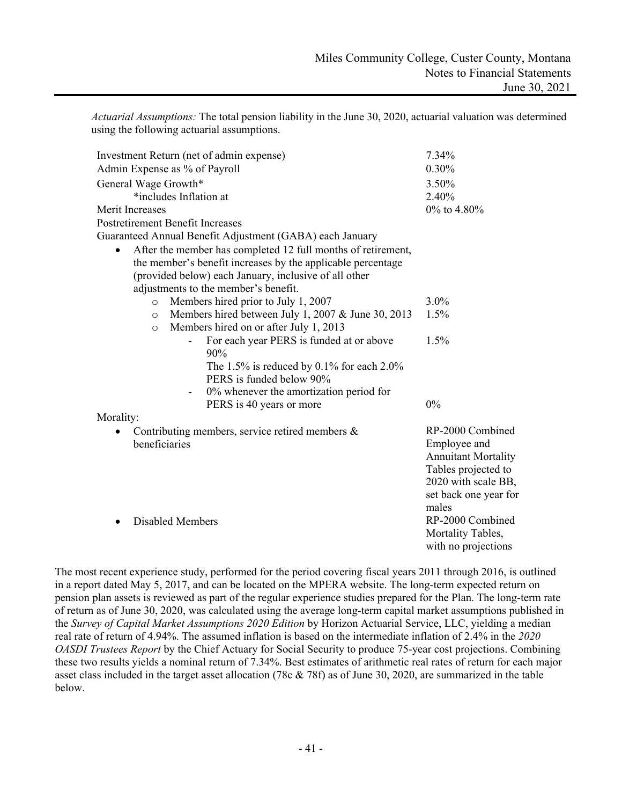*Actuarial Assumptions:* The total pension liability in the June 30, 2020, actuarial valuation was determined using the following actuarial assumptions.

| Investment Return (net of admin expense)                          | 7.34%                      |
|-------------------------------------------------------------------|----------------------------|
| Admin Expense as % of Payroll                                     | 0.30%                      |
| General Wage Growth*                                              | 3.50%                      |
| *includes Inflation at                                            | 2.40%                      |
| Merit Increases                                                   | 0% to 4.80%                |
| <b>Postretirement Benefit Increases</b>                           |                            |
| Guaranteed Annual Benefit Adjustment (GABA) each January          |                            |
| After the member has completed 12 full months of retirement,<br>٠ |                            |
| the member's benefit increases by the applicable percentage       |                            |
| (provided below) each January, inclusive of all other             |                            |
| adjustments to the member's benefit.                              |                            |
| Members hired prior to July 1, 2007<br>$\circ$                    | 3.0%                       |
| Members hired between July 1, 2007 & June 30, 2013<br>$\circ$     | 1.5%                       |
| Members hired on or after July 1, 2013<br>$\circ$                 |                            |
| For each year PERS is funded at or above<br>90%                   | 1.5%                       |
| The $1.5\%$ is reduced by 0.1% for each 2.0%                      |                            |
| PERS is funded below 90%                                          |                            |
| 0% whenever the amortization period for                           |                            |
| PERS is 40 years or more                                          | 0%                         |
| Morality:                                                         |                            |
| Contributing members, service retired members &                   | RP-2000 Combined           |
| beneficiaries                                                     | Employee and               |
|                                                                   | <b>Annuitant Mortality</b> |
|                                                                   | Tables projected to        |
|                                                                   | 2020 with scale BB,        |
|                                                                   | set back one year for      |
|                                                                   | males                      |
| Disabled Members                                                  | RP-2000 Combined           |
|                                                                   | Mortality Tables,          |
|                                                                   | with no projections        |

The most recent experience study, performed for the period covering fiscal years 2011 through 2016, is outlined in a report dated May 5, 2017, and can be located on the MPERA website. The long-term expected return on pension plan assets is reviewed as part of the regular experience studies prepared for the Plan. The long-term rate of return as of June 30, 2020, was calculated using the average long-term capital market assumptions published in the *Survey of Capital Market Assumptions 2020 Edition* by Horizon Actuarial Service, LLC, yielding a median real rate of return of 4.94%. The assumed inflation is based on the intermediate inflation of 2.4% in the *2020 OASDI Trustees Report* by the Chief Actuary for Social Security to produce 75-year cost projections. Combining these two results yields a nominal return of 7.34%. Best estimates of arithmetic real rates of return for each major asset class included in the target asset allocation (78c & 78f) as of June 30, 2020, are summarized in the table below.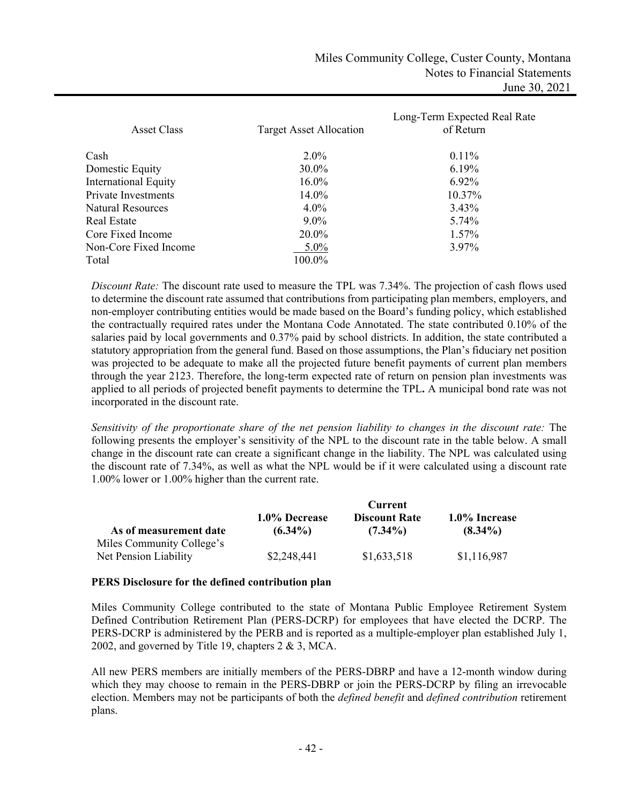| Asset Class                 | <b>Target Asset Allocation</b> | Long-Term Expected Real Rate<br>of Return |
|-----------------------------|--------------------------------|-------------------------------------------|
| Cash                        | $2.0\%$                        | $0.11\%$                                  |
| Domestic Equity             | 30.0%                          | $6.19\%$                                  |
| <b>International Equity</b> | $16.0\%$                       | $6.92\%$                                  |
| Private Investments         | 14.0%                          | 10.37%                                    |
| Natural Resources           | $4.0\%$                        | $3.43\%$                                  |
| Real Estate                 | $9.0\%$                        | $5.74\%$                                  |
| Core Fixed Income           | 20.0%                          | 1.57%                                     |
| Non-Core Fixed Income       | $5.0\%$                        | $3.97\%$                                  |
| Total                       | 100.0%                         |                                           |

*Discount Rate:* The discount rate used to measure the TPL was 7.34%. The projection of cash flows used to determine the discount rate assumed that contributions from participating plan members, employers, and non-employer contributing entities would be made based on the Board's funding policy, which established the contractually required rates under the Montana Code Annotated. The state contributed 0.10% of the salaries paid by local governments and 0.37% paid by school districts. In addition, the state contributed a statutory appropriation from the general fund. Based on those assumptions, the Plan's fiduciary net position was projected to be adequate to make all the projected future benefit payments of current plan members through the year 2123. Therefore, the long-term expected rate of return on pension plan investments was applied to all periods of projected benefit payments to determine the TPL**.** A municipal bond rate was not incorporated in the discount rate.

*Sensitivity of the proportionate share of the net pension liability to changes in the discount rate:* The following presents the employer's sensitivity of the NPL to the discount rate in the table below. A small change in the discount rate can create a significant change in the liability. The NPL was calculated using the discount rate of 7.34%, as well as what the NPL would be if it were calculated using a discount rate 1.00% lower or 1.00% higher than the current rate.

|                           | Current       |                      |               |
|---------------------------|---------------|----------------------|---------------|
|                           | 1.0% Decrease | <b>Discount Rate</b> | 1.0% Increase |
| As of measurement date    | $(6.34\%)$    | $(7.34\%)$           | $(8.34\%)$    |
| Miles Community College's |               |                      |               |
| Net Pension Liability     | \$2,248,441   | \$1,633,518          | \$1,116,987   |

#### **PERS Disclosure for the defined contribution plan**

Miles Community College contributed to the state of Montana Public Employee Retirement System Defined Contribution Retirement Plan (PERS-DCRP) for employees that have elected the DCRP. The PERS-DCRP is administered by the PERB and is reported as a multiple-employer plan established July 1, 2002, and governed by Title 19, chapters 2 & 3, MCA.

All new PERS members are initially members of the PERS-DBRP and have a 12-month window during which they may choose to remain in the PERS-DBRP or join the PERS-DCRP by filing an irrevocable election. Members may not be participants of both the *defined benefit* and *defined contribution* retirement plans.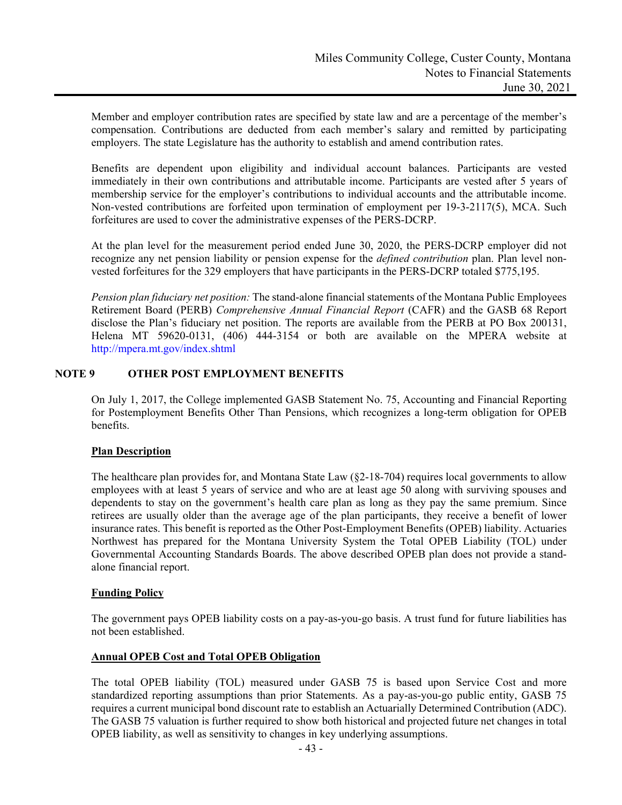Member and employer contribution rates are specified by state law and are a percentage of the member's compensation. Contributions are deducted from each member's salary and remitted by participating employers. The state Legislature has the authority to establish and amend contribution rates.

Benefits are dependent upon eligibility and individual account balances. Participants are vested immediately in their own contributions and attributable income. Participants are vested after 5 years of membership service for the employer's contributions to individual accounts and the attributable income. Non-vested contributions are forfeited upon termination of employment per 19-3-2117(5), MCA. Such forfeitures are used to cover the administrative expenses of the PERS-DCRP.

At the plan level for the measurement period ended June 30, 2020, the PERS-DCRP employer did not recognize any net pension liability or pension expense for the *defined contribution* plan. Plan level nonvested forfeitures for the 329 employers that have participants in the PERS-DCRP totaled \$775,195.

*Pension plan fiduciary net position:* The stand-alone financial statements of the Montana Public Employees Retirement Board (PERB) *Comprehensive Annual Financial Report* (CAFR) and the GASB 68 Report disclose the Plan's fiduciary net position. The reports are available from the PERB at PO Box 200131, Helena MT 59620-0131, (406) 444-3154 or both are available on the MPERA website at http://mpera.mt.gov/index.shtml

#### **NOTE 9 OTHER POST EMPLOYMENT BENEFITS**

On July 1, 2017, the College implemented GASB Statement No. 75, Accounting and Financial Reporting for Postemployment Benefits Other Than Pensions, which recognizes a long-term obligation for OPEB benefits.

#### **Plan Description**

The healthcare plan provides for, and Montana State Law (§2-18-704) requires local governments to allow employees with at least 5 years of service and who are at least age 50 along with surviving spouses and dependents to stay on the government's health care plan as long as they pay the same premium. Since retirees are usually older than the average age of the plan participants, they receive a benefit of lower insurance rates. This benefit is reported as the Other Post-Employment Benefits (OPEB) liability. Actuaries Northwest has prepared for the Montana University System the Total OPEB Liability (TOL) under Governmental Accounting Standards Boards. The above described OPEB plan does not provide a standalone financial report.

#### **Funding Policy**

The government pays OPEB liability costs on a pay-as-you-go basis. A trust fund for future liabilities has not been established.

#### **Annual OPEB Cost and Total OPEB Obligation**

The total OPEB liability (TOL) measured under GASB 75 is based upon Service Cost and more standardized reporting assumptions than prior Statements. As a pay-as-you-go public entity, GASB 75 requires a current municipal bond discount rate to establish an Actuarially Determined Contribution (ADC). The GASB 75 valuation is further required to show both historical and projected future net changes in total OPEB liability, as well as sensitivity to changes in key underlying assumptions.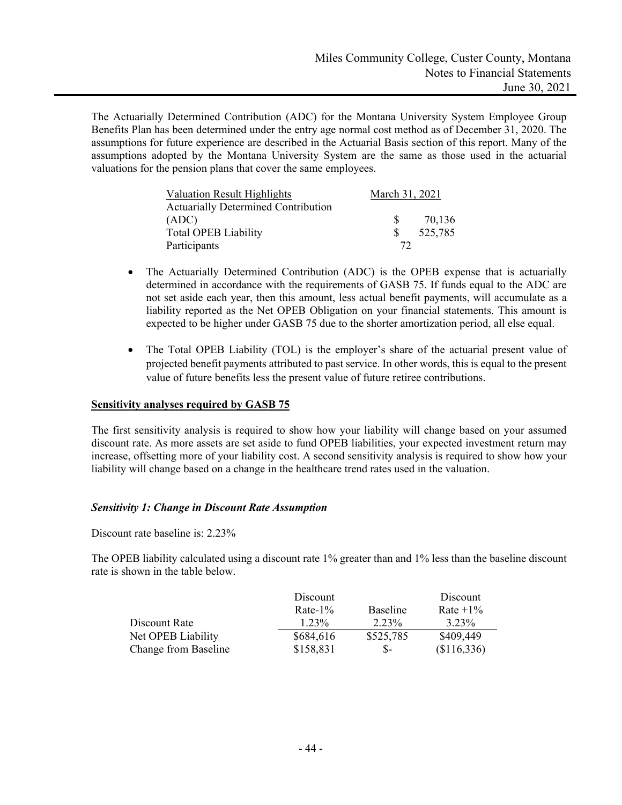The Actuarially Determined Contribution (ADC) for the Montana University System Employee Group Benefits Plan has been determined under the entry age normal cost method as of December 31, 2020. The assumptions for future experience are described in the Actuarial Basis section of this report. Many of the assumptions adopted by the Montana University System are the same as those used in the actuarial valuations for the pension plans that cover the same employees.

| Valuation Result Highlights                | March 31, 2021 |         |
|--------------------------------------------|----------------|---------|
| <b>Actuarially Determined Contribution</b> |                |         |
| (ADC)                                      | S S            | 70,136  |
| <b>Total OPEB Liability</b>                | -ST            | 525,785 |
| Participants                               | 72             |         |

- The Actuarially Determined Contribution (ADC) is the OPEB expense that is actuarially determined in accordance with the requirements of GASB 75. If funds equal to the ADC are not set aside each year, then this amount, less actual benefit payments, will accumulate as a liability reported as the Net OPEB Obligation on your financial statements. This amount is expected to be higher under GASB 75 due to the shorter amortization period, all else equal.
- The Total OPEB Liability (TOL) is the employer's share of the actuarial present value of projected benefit payments attributed to past service. In other words, this is equal to the present value of future benefits less the present value of future retiree contributions.

#### **Sensitivity analyses required by GASB 75**

The first sensitivity analysis is required to show how your liability will change based on your assumed discount rate. As more assets are set aside to fund OPEB liabilities, your expected investment return may increase, offsetting more of your liability cost. A second sensitivity analysis is required to show how your liability will change based on a change in the healthcare trend rates used in the valuation.

#### *Sensitivity 1: Change in Discount Rate Assumption*

Discount rate baseline is: 2.23%

The OPEB liability calculated using a discount rate 1% greater than and 1% less than the baseline discount rate is shown in the table below.

|                      | Discount    |                 | Discount    |
|----------------------|-------------|-----------------|-------------|
|                      | Rate- $1\%$ | <b>Baseline</b> | Rate $+1\%$ |
| Discount Rate        | $1.23\%$    | 2.23%           | 3.23%       |
| Net OPEB Liability   | \$684,616   | \$525,785       | \$409,449   |
| Change from Baseline | \$158,831   | $S-$            | (\$116,336) |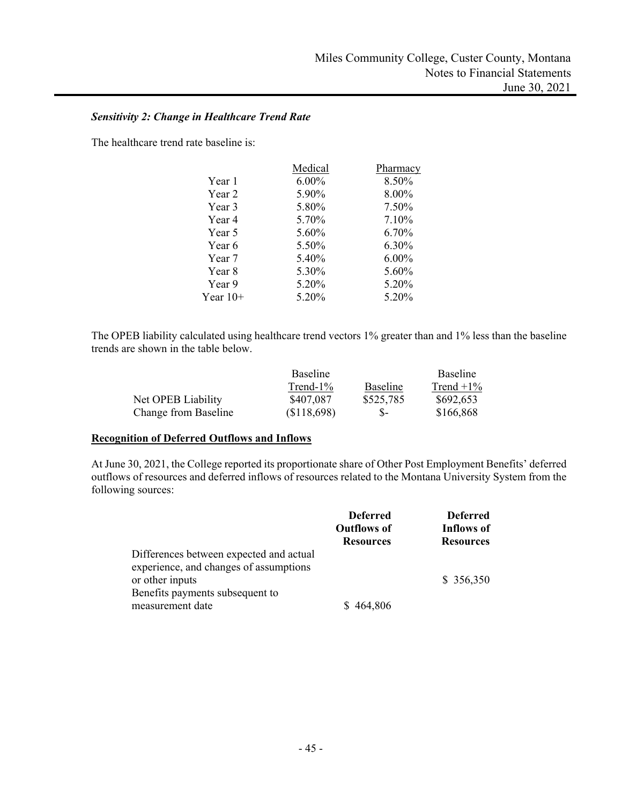#### *Sensitivity 2: Change in Healthcare Trend Rate*

The healthcare trend rate baseline is:

|            | Medical  | Pharmacy |
|------------|----------|----------|
| Year 1     | $6.00\%$ | 8.50%    |
| Year 2     | 5.90%    | 8.00%    |
| Year 3     | 5.80%    | 7.50%    |
| Year 4     | 5.70%    | 7.10%    |
| Year 5     | 5.60%    | $6.70\%$ |
| Year 6     | 5.50%    | 6.30%    |
| Year 7     | 5.40%    | $6.00\%$ |
| Year 8     | 5.30%    | 5.60%    |
| Year 9     | 5.20%    | 5.20%    |
| Year $10+$ | 5.20%    | 5.20%    |
|            |          |          |

The OPEB liability calculated using healthcare trend vectors 1% greater than and 1% less than the baseline trends are shown in the table below.

|                      | <b>Baseline</b> |           | Baseline     |
|----------------------|-----------------|-----------|--------------|
|                      | Trend- $1\%$    | Baseline  | Trend $+1\%$ |
| Net OPEB Liability   | \$407,087       | \$525,785 | \$692,653    |
| Change from Baseline | \$118,698       | \$-       | \$166,868    |

#### **Recognition of Deferred Outflows and Inflows**

At June 30, 2021, the College reported its proportionate share of Other Post Employment Benefits' deferred outflows of resources and deferred inflows of resources related to the Montana University System from the following sources:

|                                                                                                                                         | <b>Deferred</b><br><b>Outflows of</b><br><b>Resources</b> | <b>Deferred</b><br><b>Inflows of</b><br><b>Resources</b> |
|-----------------------------------------------------------------------------------------------------------------------------------------|-----------------------------------------------------------|----------------------------------------------------------|
| Differences between expected and actual<br>experience, and changes of assumptions<br>or other inputs<br>Benefits payments subsequent to |                                                           | \$ 356,350                                               |
| measurement date                                                                                                                        | 464,806                                                   |                                                          |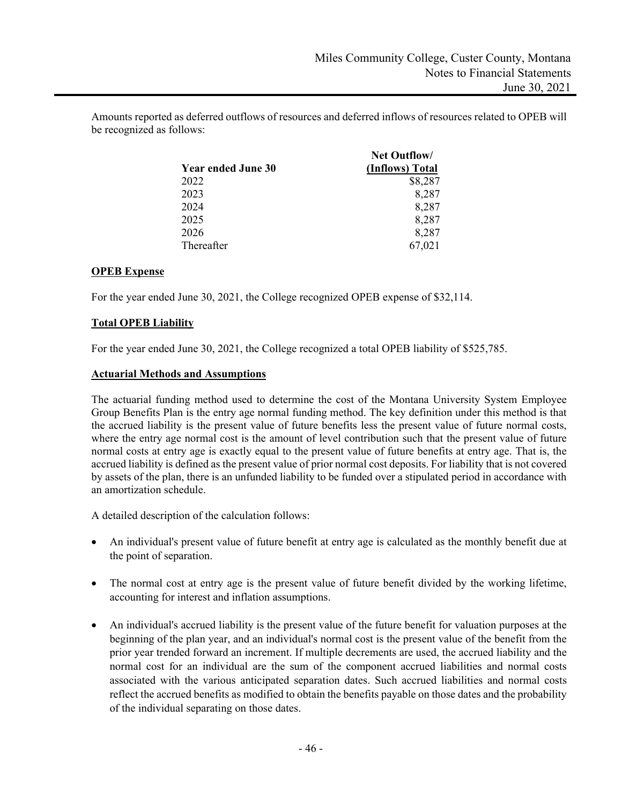Amounts reported as deferred outflows of resources and deferred inflows of resources related to OPEB will be recognized as follows:

|                    | Net Outflow/    |
|--------------------|-----------------|
| Year ended June 30 | (Inflows) Total |
| 2022               | \$8,287         |
| 2023               | 8,287           |
| 2024               | 8,287           |
| 2025               | 8,287           |
| 2026               | 8,287           |
| Thereafter         | 67,021          |

#### **OPEB Expense**

For the year ended June 30, 2021, the College recognized OPEB expense of \$32,114.

#### **Total OPEB Liability**

For the year ended June 30, 2021, the College recognized a total OPEB liability of \$525,785.

#### **Actuarial Methods and Assumptions**

The actuarial funding method used to determine the cost of the Montana University System Employee Group Benefits Plan is the entry age normal funding method. The key definition under this method is that the accrued liability is the present value of future benefits less the present value of future normal costs, where the entry age normal cost is the amount of level contribution such that the present value of future normal costs at entry age is exactly equal to the present value of future benefits at entry age. That is, the accrued liability is defined as the present value of prior normal cost deposits. For liability that is not covered by assets of the plan, there is an unfunded liability to be funded over a stipulated period in accordance with an amortization schedule.

A detailed description of the calculation follows:

- An individual's present value of future benefit at entry age is calculated as the monthly benefit due at the point of separation.
- The normal cost at entry age is the present value of future benefit divided by the working lifetime, accounting for interest and inflation assumptions.
- An individual's accrued liability is the present value of the future benefit for valuation purposes at the beginning of the plan year, and an individual's normal cost is the present value of the benefit from the prior year trended forward an increment. If multiple decrements are used, the accrued liability and the normal cost for an individual are the sum of the component accrued liabilities and normal costs associated with the various anticipated separation dates. Such accrued liabilities and normal costs reflect the accrued benefits as modified to obtain the benefits payable on those dates and the probability of the individual separating on those dates.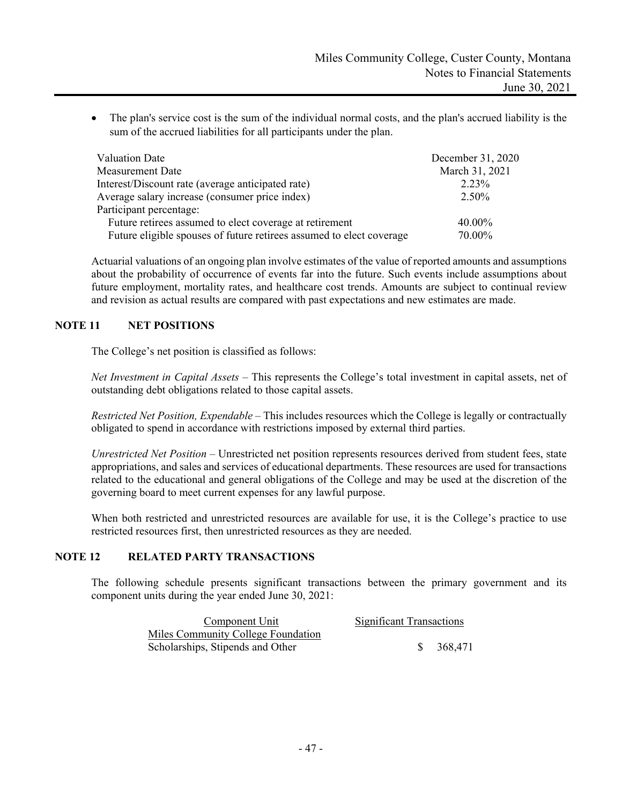The plan's service cost is the sum of the individual normal costs, and the plan's accrued liability is the sum of the accrued liabilities for all participants under the plan.

| <b>Valuation Date</b>                                                | December 31, 2020 |
|----------------------------------------------------------------------|-------------------|
| Measurement Date                                                     | March 31, 2021    |
| Interest/Discount rate (average anticipated rate)                    | 2.23%             |
| Average salary increase (consumer price index)                       | 2.50%             |
| Participant percentage:                                              |                   |
| Future retirees assumed to elect coverage at retirement              | 40.00%            |
| Future eligible spouses of future retirees assumed to elect coverage | 70.00%            |

Actuarial valuations of an ongoing plan involve estimates of the value of reported amounts and assumptions about the probability of occurrence of events far into the future. Such events include assumptions about future employment, mortality rates, and healthcare cost trends. Amounts are subject to continual review and revision as actual results are compared with past expectations and new estimates are made.

#### **NOTE 11 NET POSITIONS**

The College's net position is classified as follows:

*Net Investment in Capital Assets* – This represents the College's total investment in capital assets, net of outstanding debt obligations related to those capital assets.

*Restricted Net Position, Expendable* – This includes resources which the College is legally or contractually obligated to spend in accordance with restrictions imposed by external third parties.

*Unrestricted Net Position* – Unrestricted net position represents resources derived from student fees, state appropriations, and sales and services of educational departments. These resources are used for transactions related to the educational and general obligations of the College and may be used at the discretion of the governing board to meet current expenses for any lawful purpose.

When both restricted and unrestricted resources are available for use, it is the College's practice to use restricted resources first, then unrestricted resources as they are needed.

#### **NOTE 12 RELATED PARTY TRANSACTIONS**

The following schedule presents significant transactions between the primary government and its component units during the year ended June 30, 2021:

| Component Unit                     | <b>Significant Transactions</b> |         |
|------------------------------------|---------------------------------|---------|
| Miles Community College Foundation |                                 |         |
| Scholarships, Stipends and Other   |                                 | 368.471 |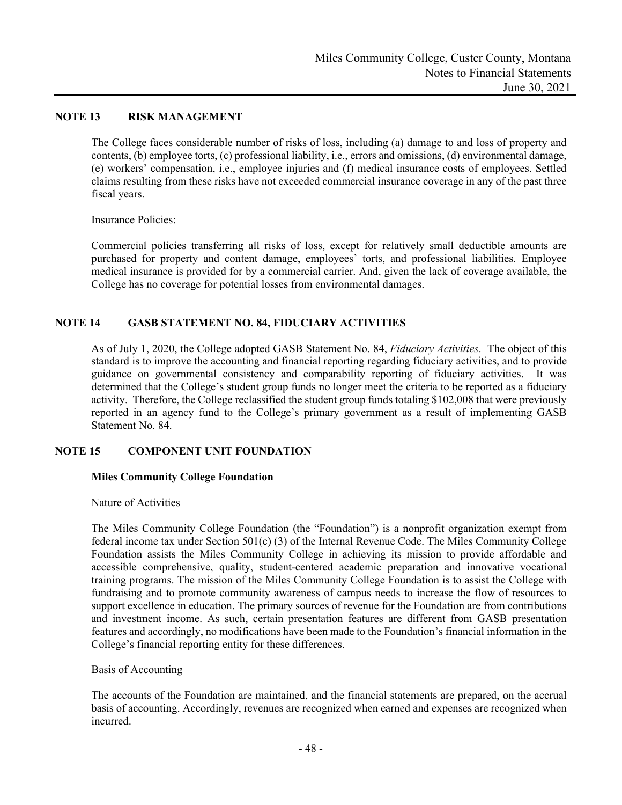#### **NOTE 13 RISK MANAGEMENT**

The College faces considerable number of risks of loss, including (a) damage to and loss of property and contents, (b) employee torts, (c) professional liability, i.e., errors and omissions, (d) environmental damage, (e) workers' compensation, i.e., employee injuries and (f) medical insurance costs of employees. Settled claims resulting from these risks have not exceeded commercial insurance coverage in any of the past three fiscal years.

#### Insurance Policies:

Commercial policies transferring all risks of loss, except for relatively small deductible amounts are purchased for property and content damage, employees' torts, and professional liabilities. Employee medical insurance is provided for by a commercial carrier. And, given the lack of coverage available, the College has no coverage for potential losses from environmental damages.

#### **NOTE 14 GASB STATEMENT NO. 84, FIDUCIARY ACTIVITIES**

As of July 1, 2020, the College adopted GASB Statement No. 84, *Fiduciary Activities*. The object of this standard is to improve the accounting and financial reporting regarding fiduciary activities, and to provide guidance on governmental consistency and comparability reporting of fiduciary activities. It was determined that the College's student group funds no longer meet the criteria to be reported as a fiduciary activity. Therefore, the College reclassified the student group funds totaling \$102,008 that were previously reported in an agency fund to the College's primary government as a result of implementing GASB Statement No. 84.

#### **NOTE 15 COMPONENT UNIT FOUNDATION**

#### **Miles Community College Foundation**

#### Nature of Activities

The Miles Community College Foundation (the "Foundation") is a nonprofit organization exempt from federal income tax under Section 501(c) (3) of the Internal Revenue Code. The Miles Community College Foundation assists the Miles Community College in achieving its mission to provide affordable and accessible comprehensive, quality, student-centered academic preparation and innovative vocational training programs. The mission of the Miles Community College Foundation is to assist the College with fundraising and to promote community awareness of campus needs to increase the flow of resources to support excellence in education. The primary sources of revenue for the Foundation are from contributions and investment income. As such, certain presentation features are different from GASB presentation features and accordingly, no modifications have been made to the Foundation's financial information in the College's financial reporting entity for these differences.

#### Basis of Accounting

The accounts of the Foundation are maintained, and the financial statements are prepared, on the accrual basis of accounting. Accordingly, revenues are recognized when earned and expenses are recognized when incurred.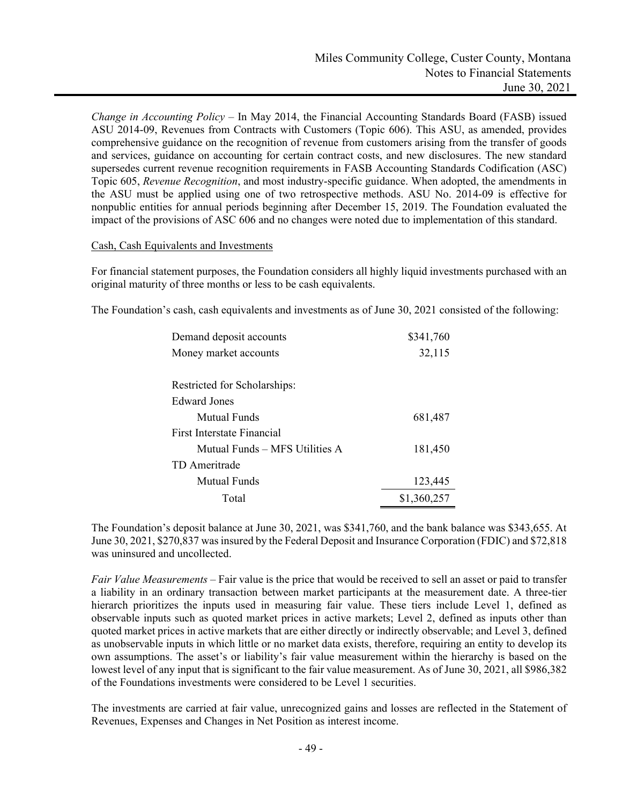*Change in Accounting Policy* – In May 2014, the Financial Accounting Standards Board (FASB) issued ASU 2014-09, Revenues from Contracts with Customers (Topic 606). This ASU, as amended, provides comprehensive guidance on the recognition of revenue from customers arising from the transfer of goods and services, guidance on accounting for certain contract costs, and new disclosures. The new standard supersedes current revenue recognition requirements in FASB Accounting Standards Codification (ASC) Topic 605, *Revenue Recognition*, and most industry-specific guidance. When adopted, the amendments in the ASU must be applied using one of two retrospective methods. ASU No. 2014-09 is effective for nonpublic entities for annual periods beginning after December 15, 2019. The Foundation evaluated the impact of the provisions of ASC 606 and no changes were noted due to implementation of this standard.

#### Cash, Cash Equivalents and Investments

For financial statement purposes, the Foundation considers all highly liquid investments purchased with an original maturity of three months or less to be cash equivalents.

The Foundation's cash, cash equivalents and investments as of June 30, 2021 consisted of the following:

| Demand deposit accounts        | \$341,760   |
|--------------------------------|-------------|
| Money market accounts          | 32,115      |
|                                |             |
| Restricted for Scholarships:   |             |
| Edward Jones                   |             |
| Mutual Funds                   | 681,487     |
| First Interstate Financial     |             |
| Mutual Funds – MFS Utilities A | 181,450     |
| TD Ameritrade                  |             |
| Mutual Funds                   | 123,445     |
| Total                          | \$1,360,257 |

The Foundation's deposit balance at June 30, 2021, was \$341,760, and the bank balance was \$343,655. At June 30, 2021, \$270,837 was insured by the Federal Deposit and Insurance Corporation (FDIC) and \$72,818 was uninsured and uncollected.

*Fair Value Measurements* – Fair value is the price that would be received to sell an asset or paid to transfer a liability in an ordinary transaction between market participants at the measurement date. A three-tier hierarch prioritizes the inputs used in measuring fair value. These tiers include Level 1, defined as observable inputs such as quoted market prices in active markets; Level 2, defined as inputs other than quoted market prices in active markets that are either directly or indirectly observable; and Level 3, defined as unobservable inputs in which little or no market data exists, therefore, requiring an entity to develop its own assumptions. The asset's or liability's fair value measurement within the hierarchy is based on the lowest level of any input that is significant to the fair value measurement. As of June 30, 2021, all \$986,382 of the Foundations investments were considered to be Level 1 securities.

The investments are carried at fair value, unrecognized gains and losses are reflected in the Statement of Revenues, Expenses and Changes in Net Position as interest income.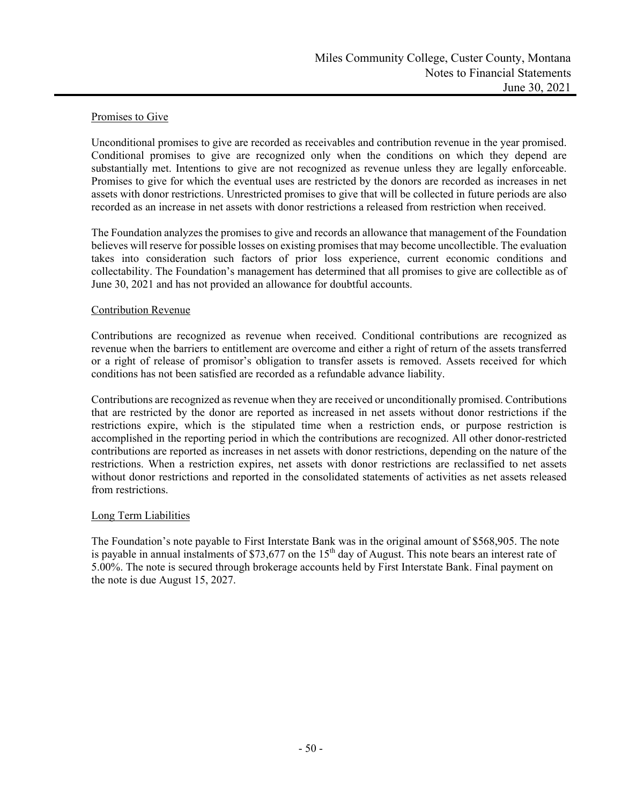#### Promises to Give

Unconditional promises to give are recorded as receivables and contribution revenue in the year promised. Conditional promises to give are recognized only when the conditions on which they depend are substantially met. Intentions to give are not recognized as revenue unless they are legally enforceable. Promises to give for which the eventual uses are restricted by the donors are recorded as increases in net assets with donor restrictions. Unrestricted promises to give that will be collected in future periods are also recorded as an increase in net assets with donor restrictions a released from restriction when received.

The Foundation analyzes the promises to give and records an allowance that management of the Foundation believes will reserve for possible losses on existing promises that may become uncollectible. The evaluation takes into consideration such factors of prior loss experience, current economic conditions and collectability. The Foundation's management has determined that all promises to give are collectible as of June 30, 2021 and has not provided an allowance for doubtful accounts.

#### Contribution Revenue

Contributions are recognized as revenue when received. Conditional contributions are recognized as revenue when the barriers to entitlement are overcome and either a right of return of the assets transferred or a right of release of promisor's obligation to transfer assets is removed. Assets received for which conditions has not been satisfied are recorded as a refundable advance liability.

Contributions are recognized as revenue when they are received or unconditionally promised. Contributions that are restricted by the donor are reported as increased in net assets without donor restrictions if the restrictions expire, which is the stipulated time when a restriction ends, or purpose restriction is accomplished in the reporting period in which the contributions are recognized. All other donor-restricted contributions are reported as increases in net assets with donor restrictions, depending on the nature of the restrictions. When a restriction expires, net assets with donor restrictions are reclassified to net assets without donor restrictions and reported in the consolidated statements of activities as net assets released from restrictions.

#### Long Term Liabilities

The Foundation's note payable to First Interstate Bank was in the original amount of \$568,905. The note is payable in annual instalments of \$73,677 on the 15<sup>th</sup> day of August. This note bears an interest rate of 5.00%. The note is secured through brokerage accounts held by First Interstate Bank. Final payment on the note is due August 15, 2027.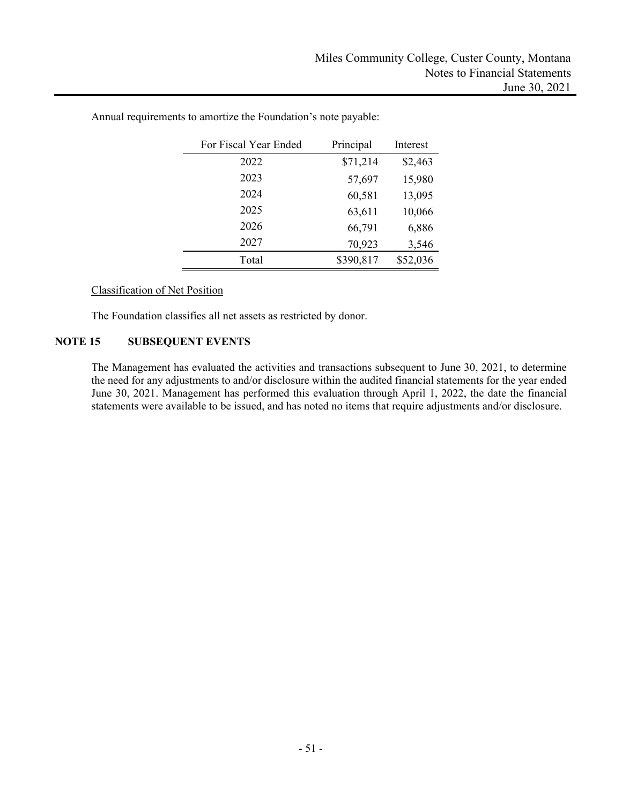| For Fiscal Year Ended | Principal | Interest |
|-----------------------|-----------|----------|
| 2022                  | \$71,214  | \$2,463  |
| 2023                  | 57,697    | 15,980   |
| 2024                  | 60,581    | 13,095   |
| 2025                  | 63,611    | 10,066   |
| 2026                  | 66,791    | 6,886    |
| 2027                  | 70,923    | 3,546    |
| Total                 | \$390,817 | \$52,036 |

Annual requirements to amortize the Foundation's note payable:

#### Classification of Net Position

The Foundation classifies all net assets as restricted by donor.

#### **NOTE 15 SUBSEQUENT EVENTS**

The Management has evaluated the activities and transactions subsequent to June 30, 2021, to determine the need for any adjustments to and/or disclosure within the audited financial statements for the year ended June 30, 2021. Management has performed this evaluation through April 1, 2022, the date the financial statements were available to be issued, and has noted no items that require adjustments and/or disclosure.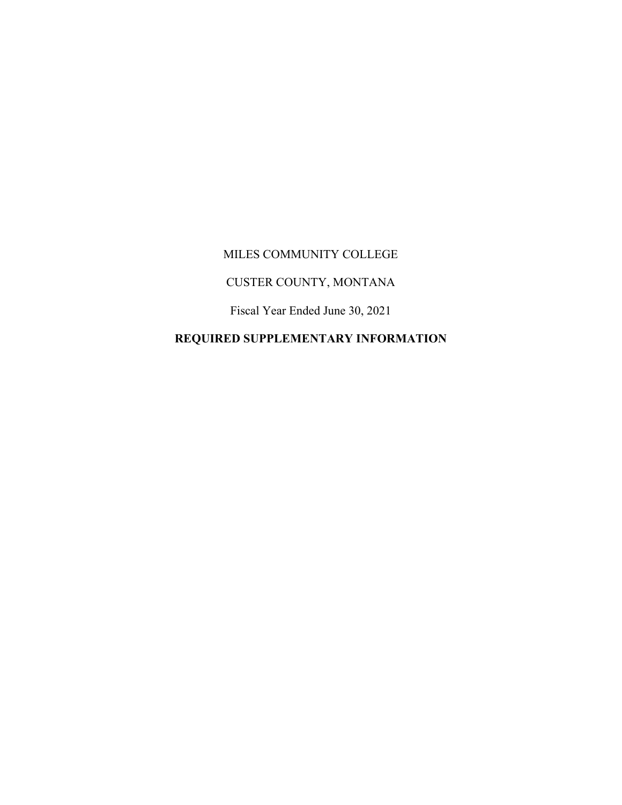## CUSTER COUNTY, MONTANA

Fiscal Year Ended June 30, 2021

## **REQUIRED SUPPLEMENTARY INFORMATION**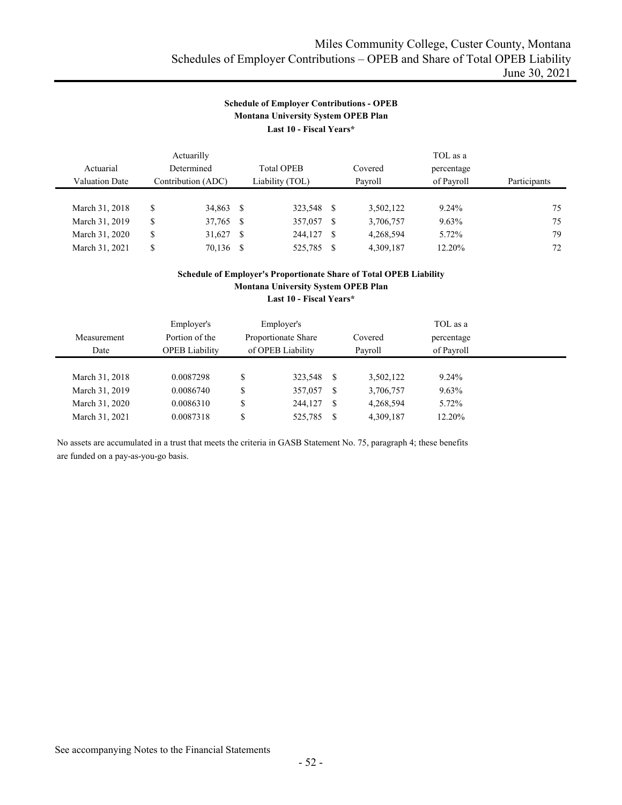| Schedule of Employer Contributions - Of ED<br><b>Montana University System OPEB Plan</b><br>Last 10 - Fiscal Years* |    |                                                |    |                                      |     |                    |                                      |              |  |  |  |
|---------------------------------------------------------------------------------------------------------------------|----|------------------------------------------------|----|--------------------------------------|-----|--------------------|--------------------------------------|--------------|--|--|--|
| Actuarial<br><b>Valuation Date</b>                                                                                  |    | Actuarilly<br>Determined<br>Contribution (ADC) |    | <b>Total OPEB</b><br>Liability (TOL) |     | Covered<br>Payroll | TOL as a<br>percentage<br>of Payroll | Participants |  |  |  |
| March 31, 2018                                                                                                      | S  | 34,863 \$                                      |    | 323,548 \$                           |     | 3,502,122          | 9.24%                                | 75           |  |  |  |
| March 31, 2019                                                                                                      | \$ | 37,765 \$                                      |    | 357,057 \$                           |     | 3,706,757          | 9.63%                                | 75           |  |  |  |
| March 31, 2020                                                                                                      | \$ | 31,627 \$                                      |    | 244,127 \$                           |     | 4,268,594          | 5.72%                                | 79           |  |  |  |
| March 31, 2021                                                                                                      | \$ | 70,136                                         | -S | 525,785                              | - S | 4,309,187          | 12.20%                               | 72           |  |  |  |

# **Schedule of Employer Contributions - OPEB**

#### **Last 10 - Fiscal Years\* Schedule of Employer's Proportionate Share of Total OPEB Liability Montana University System OPEB Plan**

| Measurement<br>Date | Employer's<br>Portion of the<br><b>OPEB</b> Liability |    | Employer's<br>Proportionate Share<br>of OPEB Liability |      | Covered<br>Payroll | TOL as a<br>percentage<br>of Payroll |  |
|---------------------|-------------------------------------------------------|----|--------------------------------------------------------|------|--------------------|--------------------------------------|--|
| March 31, 2018      | 0.0087298                                             | \$ | 323.548                                                | - \$ | 3,502,122          | $9.24\%$                             |  |
| March 31, 2019      | 0.0086740                                             | S  | 357,057                                                | - \$ | 3,706,757          | 9.63%                                |  |
| March 31, 2020      | 0.0086310                                             | \$ | 244,127                                                | - \$ | 4,268,594          | 5.72%                                |  |
| March 31, 2021      | 0.0087318                                             | \$ | 525,785                                                | - \$ | 4,309,187          | 12.20%                               |  |

No assets are accumulated in a trust that meets the criteria in GASB Statement No. 75, paragraph 4; these benefits are funded on a pay-as-you-go basis.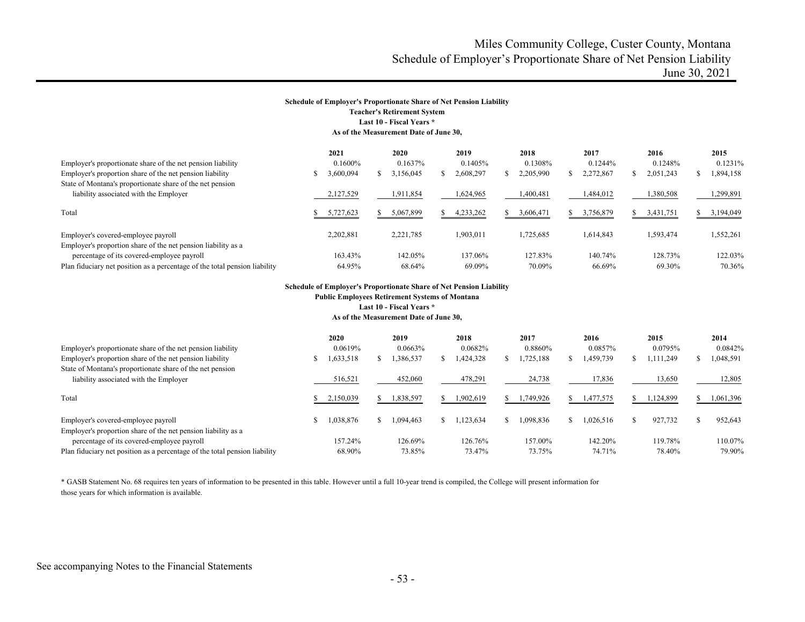|                                                                            | Schedule of Employer's Proportionate Share of Net Pension Liability |                                    |                 |           |                 |                 |           |  |  |  |  |
|----------------------------------------------------------------------------|---------------------------------------------------------------------|------------------------------------|-----------------|-----------|-----------------|-----------------|-----------|--|--|--|--|
|                                                                            |                                                                     | <b>Teacher's Retirement System</b> |                 |           |                 |                 |           |  |  |  |  |
| Last 10 - Fiscal Years *                                                   |                                                                     |                                    |                 |           |                 |                 |           |  |  |  |  |
| As of the Measurement Date of June 30,                                     |                                                                     |                                    |                 |           |                 |                 |           |  |  |  |  |
|                                                                            | 2021                                                                | <b>2020</b>                        | 2019            | 2018      | 2017            | 2016            | 2015      |  |  |  |  |
| Employer's proportionate share of the net pension liability                | $0.1600\%$                                                          | 0.1637%                            | 0.1405%         | 0.1308%   | 0.1244%         | 0.1248%         | 0.1231%   |  |  |  |  |
| Employer's proportion share of the net pension liability                   | 3,600,094<br>S                                                      | 3,156,045<br>S.                    | 2,608,297<br>S. | 2,205,990 | 2,272,867<br>S. | 2,051,243       | 1,894,158 |  |  |  |  |
| State of Montana's proportionate share of the net pension                  |                                                                     |                                    |                 |           |                 |                 |           |  |  |  |  |
| liability associated with the Employer                                     | 2,127,529                                                           | 1,911,854                          | 1,624,965       | 1,400,481 | 1,484,012       | 1,380,508       | 1,299,891 |  |  |  |  |
| Total                                                                      | 5,727,623                                                           | 5,067,899                          | 4,233,262       | 3,606,471 | 3,756,879       | 3,431,751<br>S. | 3,194,049 |  |  |  |  |
|                                                                            |                                                                     |                                    |                 |           |                 |                 |           |  |  |  |  |
| Employer's covered-employee payroll                                        | 2,202,881                                                           | 2,221,785                          | 1,903,011       | 1,725,685 | 1,614,843       | 1,593,474       | 1,552,261 |  |  |  |  |
| Employer's proportion share of the net pension liability as a              |                                                                     |                                    |                 |           |                 |                 |           |  |  |  |  |
| percentage of its covered-employee payroll                                 | 163.43%                                                             | 142.05%                            | 137.06%         | 127.83%   | 140.74%         | 128.73%         | 122.03%   |  |  |  |  |
| Plan fiduciary net position as a percentage of the total pension liability | 64.95%                                                              | 68.64%                             | 69.09%          | 70.09%    | 66.69%          | 69.30%          | 70.36%    |  |  |  |  |

#### **Schedule of Employer's Proportionate Share of Net Pension Liability**

**Public Employees Retirement Systems of Montana**

#### **Last 10 - Fiscal Years \***

**As of the Measurement Date of June 30,**

|                                                                                                                                                                                      | 2020<br>0.0619%   | 2019<br>0.0663%   | 2018<br>0.0682%   |               | 2017<br>0.8860%   |    | 2016<br>0.0857%   | 2015<br>0.0795%   | 2014<br>0.0842%   |
|--------------------------------------------------------------------------------------------------------------------------------------------------------------------------------------|-------------------|-------------------|-------------------|---------------|-------------------|----|-------------------|-------------------|-------------------|
| Employer's proportionate share of the net pension liability<br>Employer's proportion share of the net pension liability<br>State of Montana's proportionate share of the net pension | 1,633,518         | .386,537          | 424,328           |               | ,725,188          |    | 1,459,739         | 111,249           | 1,048,591         |
| liability associated with the Employer                                                                                                                                               | 516,521           | 452,060           | 478,291           |               | 24,738            |    | 17,836            | 13,650            | 12,805            |
| Total                                                                                                                                                                                | 2,150,039         | 1,838,597         | 1,902,619         | $\mathcal{L}$ | .749,926          | ъ. | 1,477,575         | 1,124,899         | 1,061,396         |
| Employer's covered-employee payroll<br>Employer's proportion share of the net pension liability as a                                                                                 | 1,038,876         | .094,463          | 123,634           |               | ,098,836          |    | .026,516          | 927,732           | 952,643           |
| percentage of its covered-employee payroll<br>Plan fiduciary net position as a percentage of the total pension liability                                                             | 157.24%<br>68.90% | 126.69%<br>73.85% | 126.76%<br>73.47% |               | 157.00%<br>73.75% |    | 142.20%<br>74.71% | 119.78%<br>78.40% | 110.07%<br>79.90% |

\* GASB Statement No. 68 requires ten years of information to be presented in this table. However until a full 10-year trend is compiled, the College will present information for those years for which information is available.

#### See accompanying Notes to the Financial Statements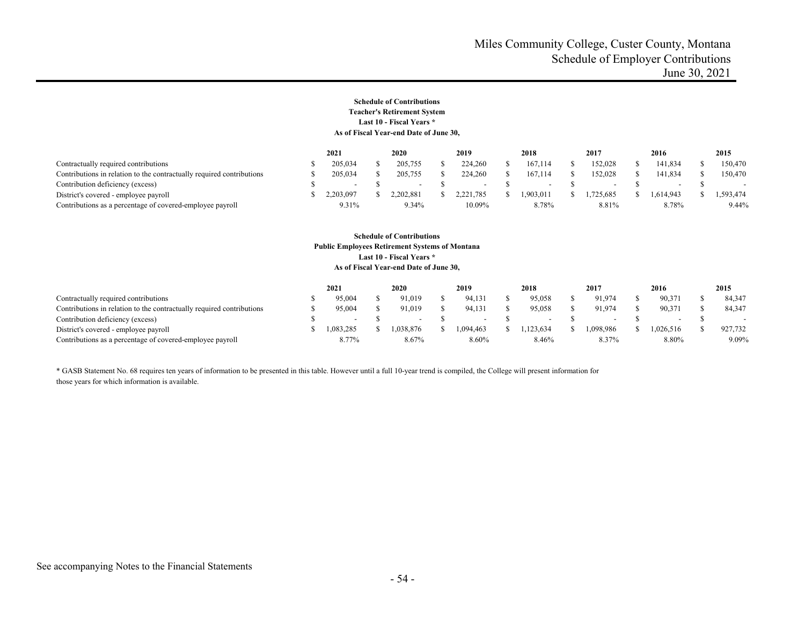#### **Schedule of Contributions Teacher's Retirement System Last 10 - Fiscal Years \* As of Fiscal Year-end Date of June 30,**

|                                                                       | 2021                     | <b>2020</b> | 2019      | 2018     | 2017    | 2016      | 2015     |
|-----------------------------------------------------------------------|--------------------------|-------------|-----------|----------|---------|-----------|----------|
| Contractually required contributions                                  | 205,034                  | 205,755     | 224.260   | 167.114  | 152.028 | 141.834   | 150,470  |
| Contributions in relation to the contractually required contributions | 205,034                  | 205,755     | 224.260   | 167.114  | 152.028 | 141.834   | 150,470  |
| Contribution deficiency (excess)                                      | $\overline{\phantom{a}}$ |             |           |          |         |           |          |
| District's covered - employee payroll                                 | 2.203.097                | 2.202.881   | 2.221.785 | .903.01. | 725.685 | 1.614.943 | .593,474 |
| Contributions as a percentage of covered-employee payroll             | 9.31%                    | 9.34%       | 10.09%    | 8.78%    | 8.81%   | 8.78%     | 9.44%    |

#### **Schedule of Contributions Public Employees Retirement Systems of Montana Last 10 - Fiscal Years \* As of Fiscal Year-end Date of June 30,**

|                                                                       | 2021     | <b>2020</b> | 2019     | 2018    | 2017      | 2016     | 2015    |
|-----------------------------------------------------------------------|----------|-------------|----------|---------|-----------|----------|---------|
| Contractually required contributions                                  | 95.004   | 91.019      |          | 95,058  |           | 90.371   | 84.347  |
| Contributions in relation to the contractually required contributions | 95.004   | 91.019      | 94.131   | 95.058  | 91.974    | 90.371   | 84.347  |
| Contribution deficiency (excess)                                      |          |             |          |         |           |          |         |
| District's covered - employee payroll                                 | .083.285 | .038.876    | .094.463 | 123.634 | 1.098.986 | .026.516 | 927,732 |
| Contributions as a percentage of covered-employee payroll             | 8.77%    | 8.67%       | 8.60%    | 8.46%   | 8.37%     | 8.80%    | 9.09%   |

\* GASB Statement No. 68 requires ten years of information to be presented in this table. However until a full 10-year trend is compiled, the College will present information for those years for which information is available.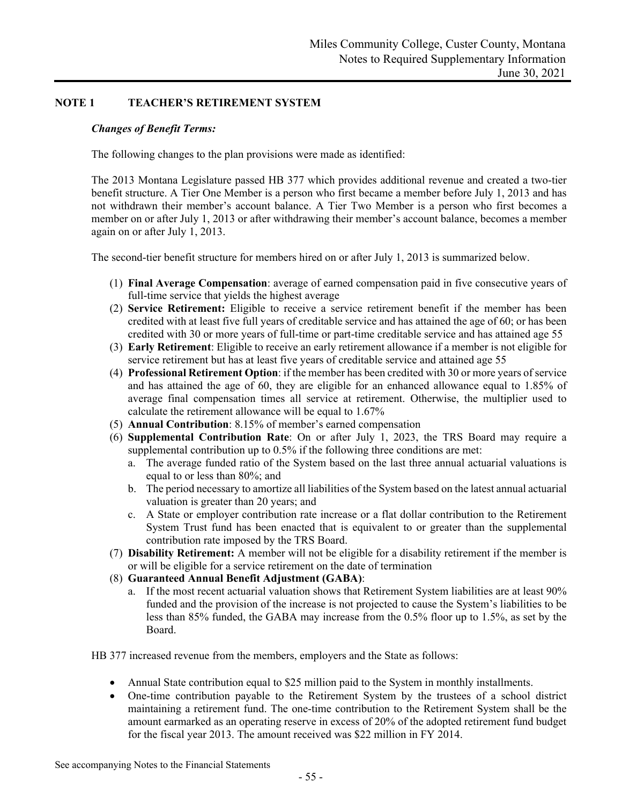#### **NOTE 1 TEACHER'S RETIREMENT SYSTEM**

#### *Changes of Benefit Terms:*

The following changes to the plan provisions were made as identified:

The 2013 Montana Legislature passed HB 377 which provides additional revenue and created a two-tier benefit structure. A Tier One Member is a person who first became a member before July 1, 2013 and has not withdrawn their member's account balance. A Tier Two Member is a person who first becomes a member on or after July 1, 2013 or after withdrawing their member's account balance, becomes a member again on or after July 1, 2013.

The second-tier benefit structure for members hired on or after July 1, 2013 is summarized below.

- (1) **Final Average Compensation**: average of earned compensation paid in five consecutive years of full-time service that yields the highest average
- (2) **Service Retirement:** Eligible to receive a service retirement benefit if the member has been credited with at least five full years of creditable service and has attained the age of 60; or has been credited with 30 or more years of full-time or part-time creditable service and has attained age 55
- (3) **Early Retirement**: Eligible to receive an early retirement allowance if a member is not eligible for service retirement but has at least five years of creditable service and attained age 55
- (4) **Professional Retirement Option**: if the member has been credited with 30 or more years of service and has attained the age of 60, they are eligible for an enhanced allowance equal to 1.85% of average final compensation times all service at retirement. Otherwise, the multiplier used to calculate the retirement allowance will be equal to 1.67%
- (5) **Annual Contribution**: 8.15% of member's earned compensation
- (6) **Supplemental Contribution Rate**: On or after July 1, 2023, the TRS Board may require a supplemental contribution up to 0.5% if the following three conditions are met:
	- a. The average funded ratio of the System based on the last three annual actuarial valuations is equal to or less than 80%; and
	- b. The period necessary to amortize all liabilities of the System based on the latest annual actuarial valuation is greater than 20 years; and
	- c. A State or employer contribution rate increase or a flat dollar contribution to the Retirement System Trust fund has been enacted that is equivalent to or greater than the supplemental contribution rate imposed by the TRS Board.
- (7) **Disability Retirement:** A member will not be eligible for a disability retirement if the member is or will be eligible for a service retirement on the date of termination
- (8) **Guaranteed Annual Benefit Adjustment (GABA)**:
	- a. If the most recent actuarial valuation shows that Retirement System liabilities are at least 90% funded and the provision of the increase is not projected to cause the System's liabilities to be less than 85% funded, the GABA may increase from the 0.5% floor up to 1.5%, as set by the Board.

HB 377 increased revenue from the members, employers and the State as follows:

- Annual State contribution equal to \$25 million paid to the System in monthly installments.
- One-time contribution payable to the Retirement System by the trustees of a school district maintaining a retirement fund. The one-time contribution to the Retirement System shall be the amount earmarked as an operating reserve in excess of 20% of the adopted retirement fund budget for the fiscal year 2013. The amount received was \$22 million in FY 2014.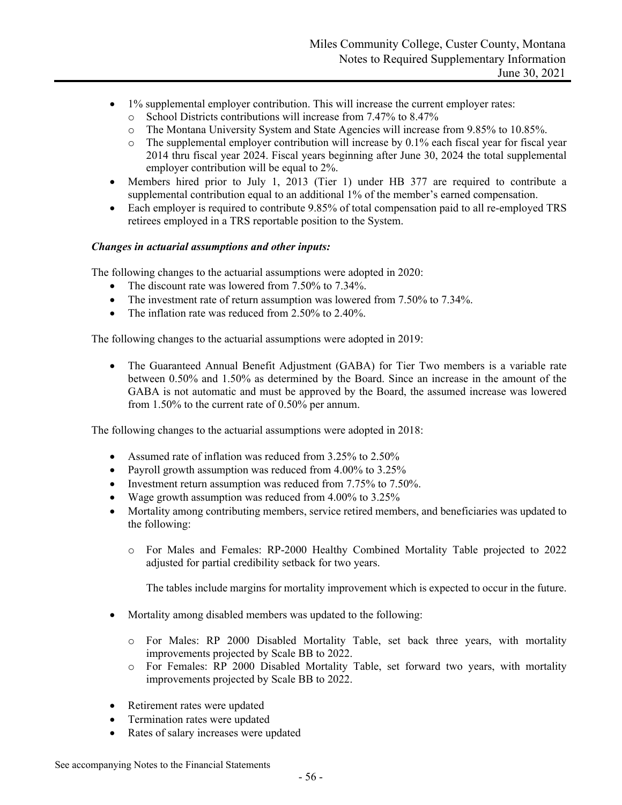- 1% supplemental employer contribution. This will increase the current employer rates:
	- o School Districts contributions will increase from 7.47% to 8.47%
	- o The Montana University System and State Agencies will increase from 9.85% to 10.85%.
	- $\circ$  The supplemental employer contribution will increase by 0.1% each fiscal year for fiscal year 2014 thru fiscal year 2024. Fiscal years beginning after June 30, 2024 the total supplemental employer contribution will be equal to 2%.
- Members hired prior to July 1, 2013 (Tier 1) under HB 377 are required to contribute a supplemental contribution equal to an additional 1% of the member's earned compensation.
- Each employer is required to contribute 9.85% of total compensation paid to all re-employed TRS retirees employed in a TRS reportable position to the System.

#### *Changes in actuarial assumptions and other inputs:*

The following changes to the actuarial assumptions were adopted in 2020:

- The discount rate was lowered from 7.50% to 7.34%.
- The investment rate of return assumption was lowered from 7.50% to 7.34%.
- The inflation rate was reduced from 2.50% to 2.40%.

The following changes to the actuarial assumptions were adopted in 2019:

 The Guaranteed Annual Benefit Adjustment (GABA) for Tier Two members is a variable rate between 0.50% and 1.50% as determined by the Board. Since an increase in the amount of the GABA is not automatic and must be approved by the Board, the assumed increase was lowered from 1.50% to the current rate of 0.50% per annum.

The following changes to the actuarial assumptions were adopted in 2018:

- Assumed rate of inflation was reduced from 3.25% to 2.50%
- Payroll growth assumption was reduced from 4.00% to 3.25%
- Investment return assumption was reduced from  $7.75\%$  to  $7.50\%$ .
- Wage growth assumption was reduced from 4.00% to 3.25%
- Mortality among contributing members, service retired members, and beneficiaries was updated to the following:
	- o For Males and Females: RP-2000 Healthy Combined Mortality Table projected to 2022 adjusted for partial credibility setback for two years.

The tables include margins for mortality improvement which is expected to occur in the future.

- Mortality among disabled members was updated to the following:
	- o For Males: RP 2000 Disabled Mortality Table, set back three years, with mortality improvements projected by Scale BB to 2022.
	- o For Females: RP 2000 Disabled Mortality Table, set forward two years, with mortality improvements projected by Scale BB to 2022.
- Retirement rates were updated
- Termination rates were updated
- Rates of salary increases were updated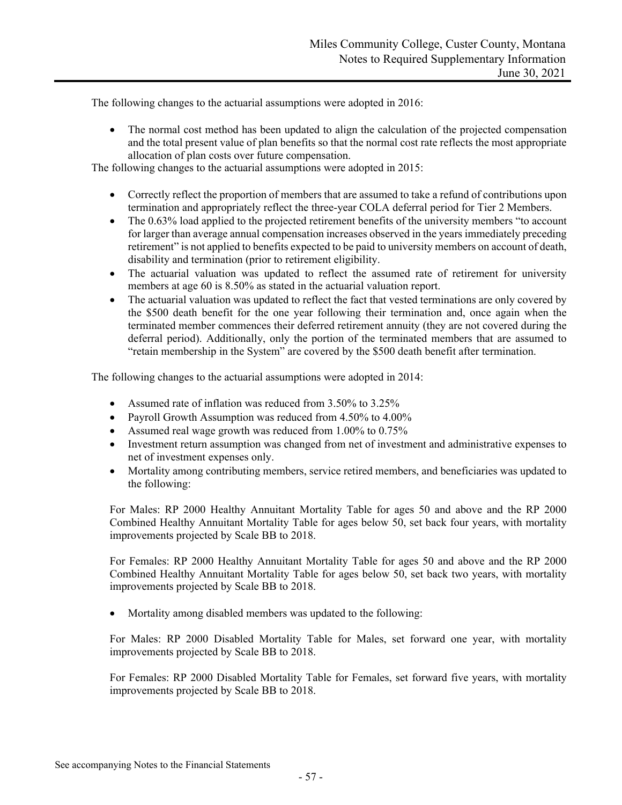The following changes to the actuarial assumptions were adopted in 2016:

 The normal cost method has been updated to align the calculation of the projected compensation and the total present value of plan benefits so that the normal cost rate reflects the most appropriate allocation of plan costs over future compensation.

The following changes to the actuarial assumptions were adopted in 2015:

- Correctly reflect the proportion of members that are assumed to take a refund of contributions upon termination and appropriately reflect the three-year COLA deferral period for Tier 2 Members.
- The 0.63% load applied to the projected retirement benefits of the university members "to account for larger than average annual compensation increases observed in the years immediately preceding retirement" is not applied to benefits expected to be paid to university members on account of death, disability and termination (prior to retirement eligibility.
- The actuarial valuation was updated to reflect the assumed rate of retirement for university members at age 60 is 8.50% as stated in the actuarial valuation report.
- The actuarial valuation was updated to reflect the fact that vested terminations are only covered by the \$500 death benefit for the one year following their termination and, once again when the terminated member commences their deferred retirement annuity (they are not covered during the deferral period). Additionally, only the portion of the terminated members that are assumed to "retain membership in the System" are covered by the \$500 death benefit after termination.

The following changes to the actuarial assumptions were adopted in 2014:

- Assumed rate of inflation was reduced from 3.50% to 3.25%
- Payroll Growth Assumption was reduced from 4.50% to 4.00%
- Assumed real wage growth was reduced from 1.00% to 0.75%
- Investment return assumption was changed from net of investment and administrative expenses to net of investment expenses only.
- Mortality among contributing members, service retired members, and beneficiaries was updated to the following:

For Males: RP 2000 Healthy Annuitant Mortality Table for ages 50 and above and the RP 2000 Combined Healthy Annuitant Mortality Table for ages below 50, set back four years, with mortality improvements projected by Scale BB to 2018.

For Females: RP 2000 Healthy Annuitant Mortality Table for ages 50 and above and the RP 2000 Combined Healthy Annuitant Mortality Table for ages below 50, set back two years, with mortality improvements projected by Scale BB to 2018.

• Mortality among disabled members was updated to the following:

For Males: RP 2000 Disabled Mortality Table for Males, set forward one year, with mortality improvements projected by Scale BB to 2018.

For Females: RP 2000 Disabled Mortality Table for Females, set forward five years, with mortality improvements projected by Scale BB to 2018.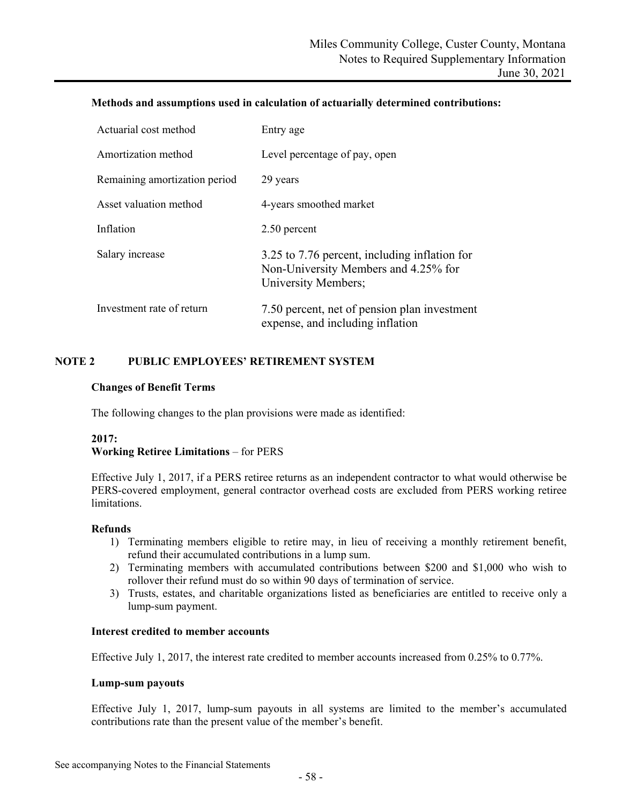#### **Methods and assumptions used in calculation of actuarially determined contributions:**

| Actuarial cost method         | Entry age                                                                                                    |
|-------------------------------|--------------------------------------------------------------------------------------------------------------|
| Amortization method           | Level percentage of pay, open                                                                                |
| Remaining amortization period | 29 years                                                                                                     |
| Asset valuation method        | 4-years smoothed market                                                                                      |
| Inflation                     | 2.50 percent                                                                                                 |
| Salary increase               | 3.25 to 7.76 percent, including inflation for<br>Non-University Members and 4.25% for<br>University Members; |
| Investment rate of return     | 7.50 percent, net of pension plan investment<br>expense, and including inflation                             |

#### **NOTE 2 PUBLIC EMPLOYEES' RETIREMENT SYSTEM**

#### **Changes of Benefit Terms**

The following changes to the plan provisions were made as identified:

#### **2017:**

#### **Working Retiree Limitations** – for PERS

Effective July 1, 2017, if a PERS retiree returns as an independent contractor to what would otherwise be PERS-covered employment, general contractor overhead costs are excluded from PERS working retiree limitations.

#### **Refunds**

- 1) Terminating members eligible to retire may, in lieu of receiving a monthly retirement benefit, refund their accumulated contributions in a lump sum.
- 2) Terminating members with accumulated contributions between \$200 and \$1,000 who wish to rollover their refund must do so within 90 days of termination of service.
- 3) Trusts, estates, and charitable organizations listed as beneficiaries are entitled to receive only a lump-sum payment.

#### **Interest credited to member accounts**

Effective July 1, 2017, the interest rate credited to member accounts increased from 0.25% to 0.77%.

#### **Lump-sum payouts**

Effective July 1, 2017, lump-sum payouts in all systems are limited to the member's accumulated contributions rate than the present value of the member's benefit.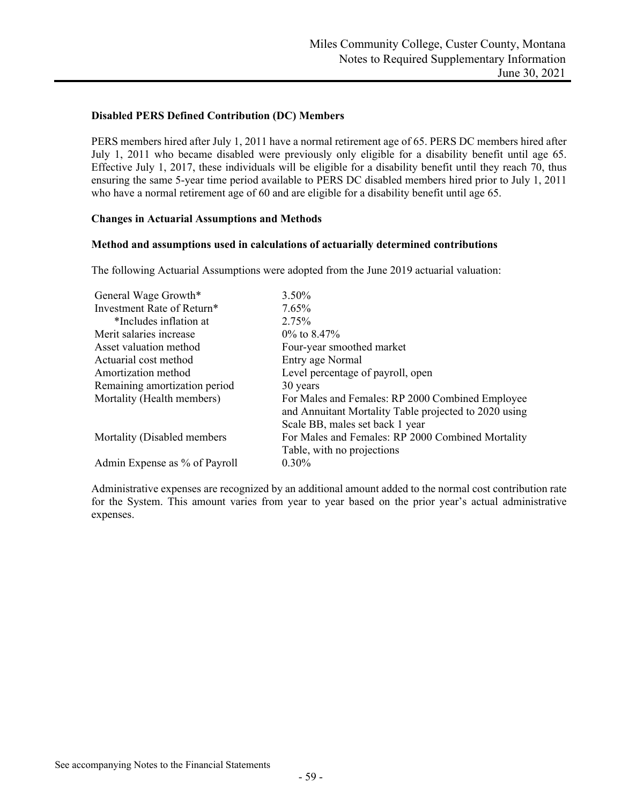#### **Disabled PERS Defined Contribution (DC) Members**

PERS members hired after July 1, 2011 have a normal retirement age of 65. PERS DC members hired after July 1, 2011 who became disabled were previously only eligible for a disability benefit until age 65. Effective July 1, 2017, these individuals will be eligible for a disability benefit until they reach 70, thus ensuring the same 5-year time period available to PERS DC disabled members hired prior to July 1, 2011 who have a normal retirement age of 60 and are eligible for a disability benefit until age 65.

#### **Changes in Actuarial Assumptions and Methods**

#### **Method and assumptions used in calculations of actuarially determined contributions**

The following Actuarial Assumptions were adopted from the June 2019 actuarial valuation:

| General Wage Growth*          | $3.50\%$                                                                                                                                     |
|-------------------------------|----------------------------------------------------------------------------------------------------------------------------------------------|
| Investment Rate of Return*    | 7.65%                                                                                                                                        |
| *Includes inflation at        | $2.75\%$                                                                                                                                     |
| Merit salaries increase       | $0\%$ to 8.47%                                                                                                                               |
| Asset valuation method        | Four-year smoothed market                                                                                                                    |
| Actuarial cost method         | Entry age Normal                                                                                                                             |
| Amortization method           | Level percentage of payroll, open                                                                                                            |
| Remaining amortization period | 30 years                                                                                                                                     |
| Mortality (Health members)    | For Males and Females: RP 2000 Combined Employee<br>and Annuitant Mortality Table projected to 2020 using<br>Scale BB, males set back 1 year |
| Mortality (Disabled members   | For Males and Females: RP 2000 Combined Mortality<br>Table, with no projections                                                              |
| Admin Expense as % of Payroll | $0.30\%$                                                                                                                                     |

Administrative expenses are recognized by an additional amount added to the normal cost contribution rate for the System. This amount varies from year to year based on the prior year's actual administrative expenses.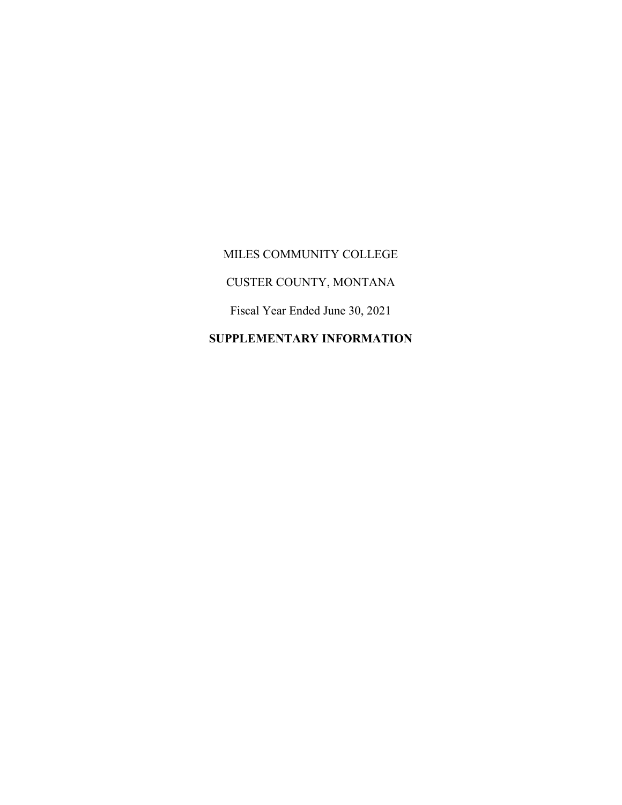CUSTER COUNTY, MONTANA

Fiscal Year Ended June 30, 2021

## **SUPPLEMENTARY INFORMATION**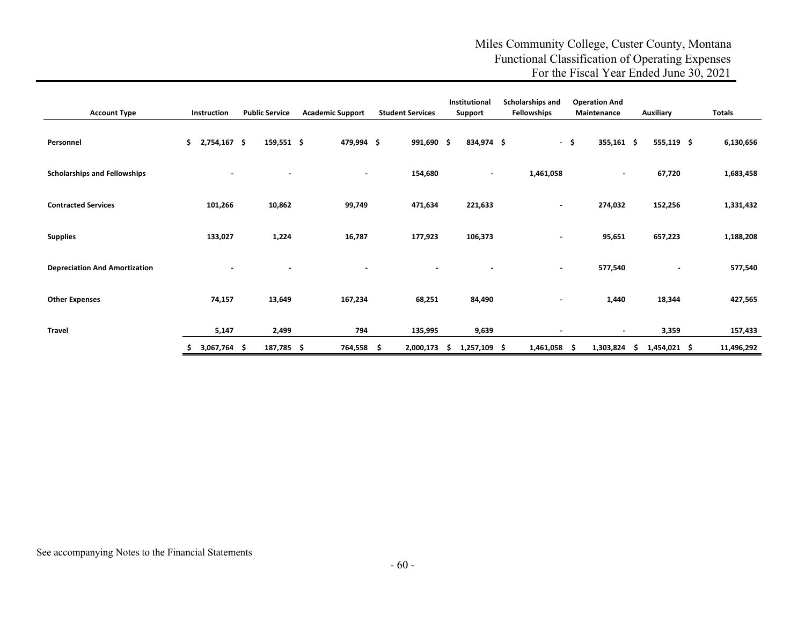## Miles Community College, Custer County, Montana Functional Classification of Operating Expenses For the Fiscal Year Ended June 30, 2021

| <b>Account Type</b>                  | <b>Instruction</b> | <b>Public Service</b>    | <b>Academic Support</b>  | <b>Student Services</b> | Institutional<br>Support | Scholarships and<br><b>Fellowships</b> | <b>Operation And</b><br>Maintenance | <b>Auxiliary</b>    | <b>Totals</b> |
|--------------------------------------|--------------------|--------------------------|--------------------------|-------------------------|--------------------------|----------------------------------------|-------------------------------------|---------------------|---------------|
| Personnel                            | Ś.<br>2,754,167 \$ | $159,551$ \$             | 479,994 \$               | 991,690 \$              | 834,974 \$               |                                        | - \$<br>$355,161$ \$                | 555,119 \$          | 6,130,656     |
| <b>Scholarships and Fellowships</b>  | $\blacksquare$     | $\overline{\phantom{a}}$ | $\sim$                   | 154,680                 | $\blacksquare$           | 1,461,058                              | $\blacksquare$                      | 67,720              | 1,683,458     |
| <b>Contracted Services</b>           | 101,266            | 10,862                   | 99,749                   | 471,634                 | 221,633                  | $\sim$                                 | 274,032                             | 152,256             | 1,331,432     |
| <b>Supplies</b>                      | 133,027            | 1,224                    | 16,787                   | 177,923                 | 106,373                  | $\blacksquare$                         | 95,651                              | 657,223             | 1,188,208     |
| <b>Depreciation And Amortization</b> |                    | $\overline{\phantom{a}}$ | $\overline{\phantom{a}}$ |                         | ٠                        | $\sim$                                 | 577,540                             |                     | 577,540       |
| <b>Other Expenses</b>                | 74,157             | 13,649                   | 167,234                  | 68,251                  | 84,490                   | $\blacksquare$                         | 1,440                               | 18,344              | 427,565       |
| <b>Travel</b>                        | 5,147              | 2,499                    | 794                      | 135,995                 | 9,639                    | $\overline{\phantom{a}}$               | $\blacksquare$                      | 3,359               | 157,433       |
|                                      | 3,067,764 \$<br>Ş. | 187,785 \$               | 764,558                  | 2,000,173<br>-S         | $1,257,109$ \$<br>s      | 1,461,058                              | 1,303,824<br>-S                     | $1,454,021$ \$<br>S | 11,496,292    |

#### See accompanying Notes to the Financial Statements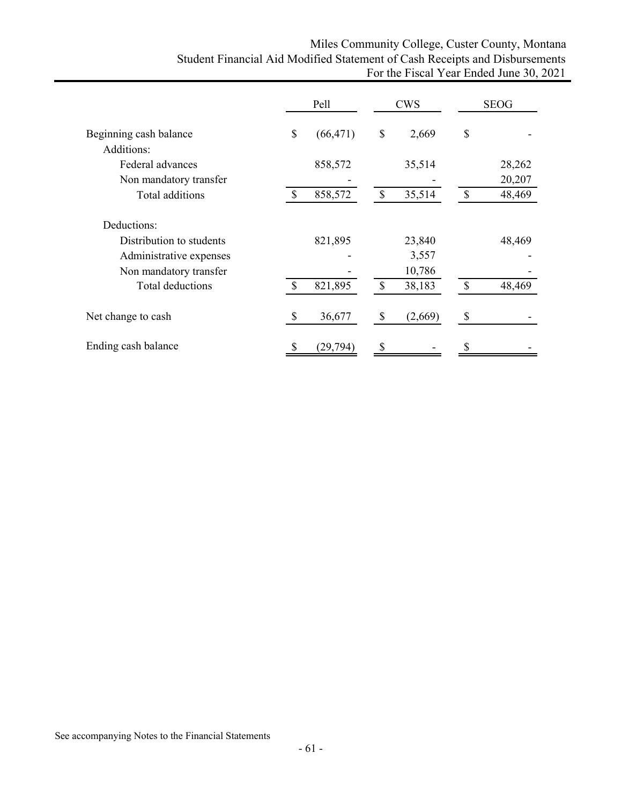## Miles Community College, Custer County, Montana Student Financial Aid Modified Statement of Cash Receipts and Disbursements For the Fiscal Year Ended June 30, 2021

|                          | Pell               |           |               | <b>CWS</b> | <b>SEOG</b>   |        |  |
|--------------------------|--------------------|-----------|---------------|------------|---------------|--------|--|
| Beginning cash balance   | \$                 | (66, 471) | \$            | 2,669      | \$            |        |  |
| Additions:               |                    |           |               |            |               |        |  |
| Federal advances         |                    | 858,572   |               | 35,514     |               | 28,262 |  |
| Non mandatory transfer   |                    |           |               |            |               | 20,207 |  |
| Total additions          |                    | 858,572   |               | 35,514     | $\mathcal{S}$ | 48,469 |  |
| Deductions:              |                    |           |               |            |               |        |  |
| Distribution to students |                    | 821,895   |               | 23,840     |               | 48,469 |  |
| Administrative expenses  |                    |           |               | 3,557      |               |        |  |
| Non mandatory transfer   |                    |           |               | 10,786     |               |        |  |
| <b>Total deductions</b>  | $\mathbf{\hat{s}}$ | 821,895   | $\mathcal{S}$ | 38,183     | $\mathcal{S}$ | 48,469 |  |
| Net change to cash       | \$                 | 36,677    | \$            | (2,669)    | \$            |        |  |
| Ending cash balance      | \$                 | (29,794)  |               |            |               |        |  |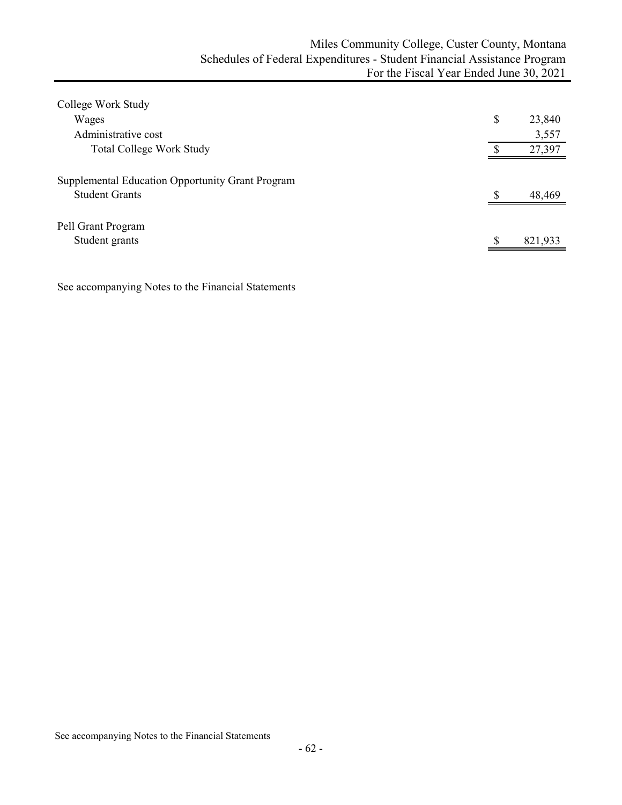| College Work Study                                                        |              |
|---------------------------------------------------------------------------|--------------|
| Wages                                                                     | \$<br>23,840 |
| Administrative cost                                                       | 3,557        |
| <b>Total College Work Study</b>                                           | 27,397       |
| Supplemental Education Opportunity Grant Program<br><b>Student Grants</b> | 48,469       |
| Pell Grant Program<br>Student grants                                      | 821,933      |
|                                                                           |              |

See accompanying Notes to the Financial Statements

See accompanying Notes to the Financial Statements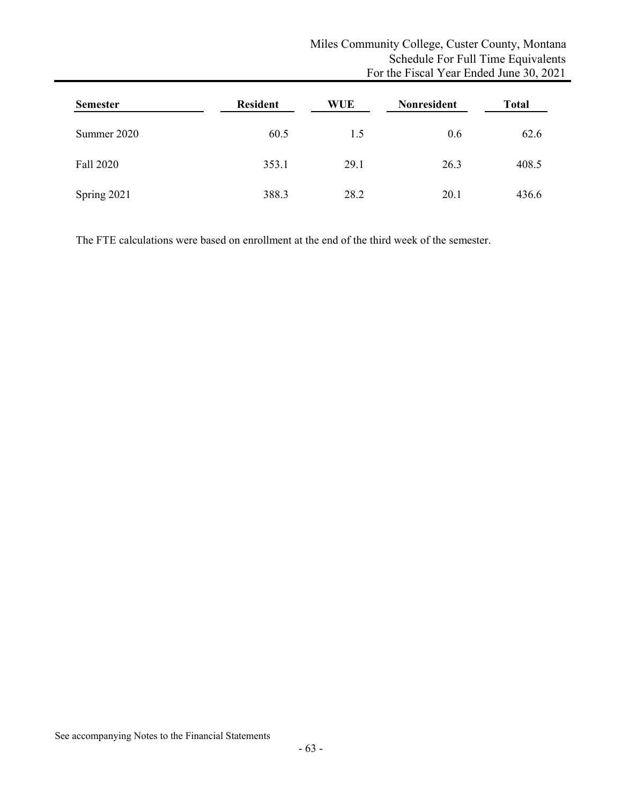| <b>Semester</b> | <b>Resident</b> | <b>WUE</b> | <b>Nonresident</b> | <b>Total</b> |  |
|-----------------|-----------------|------------|--------------------|--------------|--|
| Summer 2020     | 60.5            | 1.5        | 0.6                | 62.6         |  |
| Fall 2020       | 353.1           | 29.1       | 26.3               | 408.5        |  |
| Spring 2021     | 388.3           | 28.2       | 20.1               | 436.6        |  |

The FTE calculations were based on enrollment at the end of the third week of the semester.

See accompanying Notes to the Financial Statements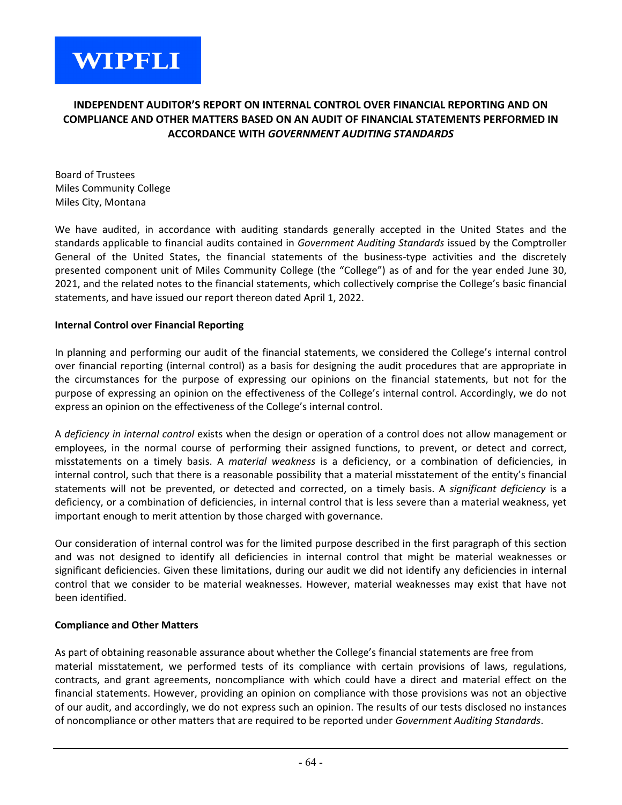## **WIPFLI**

#### **INDEPENDENT AUDITOR'S REPORT ON INTERNAL CONTROL OVER FINANCIAL REPORTING AND ON COMPLIANCE AND OTHER MATTERS BASED ON AN AUDIT OF FINANCIAL STATEMENTS PERFORMED IN ACCORDANCE WITH** *GOVERNMENT AUDITING STANDARDS*

Board of Trustees Miles Community College Miles City, Montana

We have audited, in accordance with auditing standards generally accepted in the United States and the standards applicable to financial audits contained in *Government Auditing Standards* issued by the Comptroller General of the United States, the financial statements of the business-type activities and the discretely presented component unit of Miles Community College (the "College") as of and for the year ended June 30, 2021, and the related notes to the financial statements, which collectively comprise the College's basic financial statements, and have issued our report thereon dated April 1, 2022.

#### **Internal Control over Financial Reporting**

In planning and performing our audit of the financial statements, we considered the College's internal control over financial reporting (internal control) as a basis for designing the audit procedures that are appropriate in the circumstances for the purpose of expressing our opinions on the financial statements, but not for the purpose of expressing an opinion on the effectiveness of the College's internal control. Accordingly, we do not express an opinion on the effectiveness of the College's internal control.

A *deficiency in internal control* exists when the design or operation of a control does not allow management or employees, in the normal course of performing their assigned functions, to prevent, or detect and correct, misstatements on a timely basis. A *material weakness* is a deficiency, or a combination of deficiencies, in internal control, such that there is a reasonable possibility that a material misstatement of the entity's financial statements will not be prevented, or detected and corrected, on a timely basis. A *significant deficiency* is a deficiency, or a combination of deficiencies, in internal control that is less severe than a material weakness, yet important enough to merit attention by those charged with governance.

Our consideration of internal control was for the limited purpose described in the first paragraph of this section and was not designed to identify all deficiencies in internal control that might be material weaknesses or significant deficiencies. Given these limitations, during our audit we did not identify any deficiencies in internal control that we consider to be material weaknesses. However, material weaknesses may exist that have not been identified.

#### **Compliance and Other Matters**

As part of obtaining reasonable assurance about whether the College's financial statements are free from material misstatement, we performed tests of its compliance with certain provisions of laws, regulations, contracts, and grant agreements, noncompliance with which could have a direct and material effect on the financial statements. However, providing an opinion on compliance with those provisions was not an objective of our audit, and accordingly, we do not express such an opinion. The results of our tests disclosed no instances of noncompliance or other matters that are required to be reported under *Government Auditing Standards*.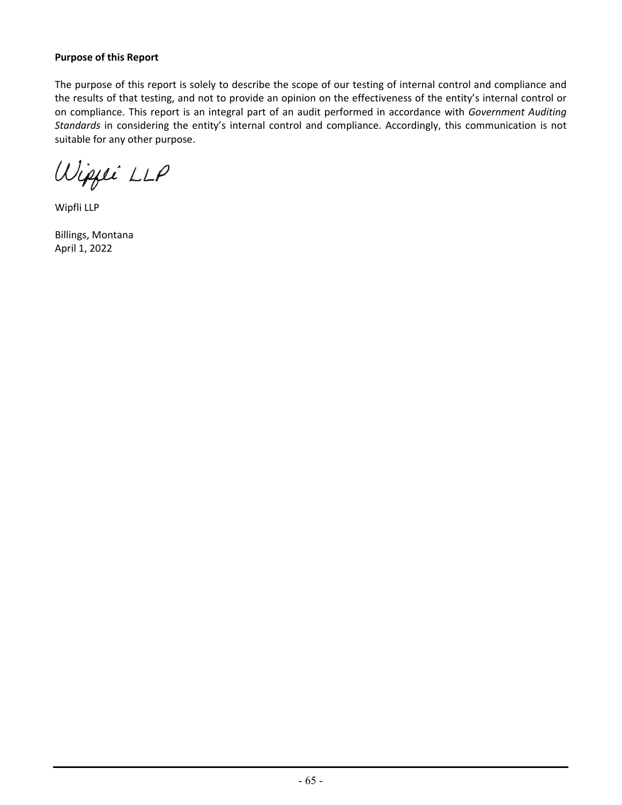#### **Purpose of this Report**

The purpose of this report is solely to describe the scope of our testing of internal control and compliance and the results of that testing, and not to provide an opinion on the effectiveness of the entity's internal control or on compliance. This report is an integral part of an audit performed in accordance with *Government Auditing Standards* in considering the entity's internal control and compliance. Accordingly, this communication is not suitable for any other purpose.

Wippei LLP

Wipfli LLP

Billings, Montana April 1, 2022